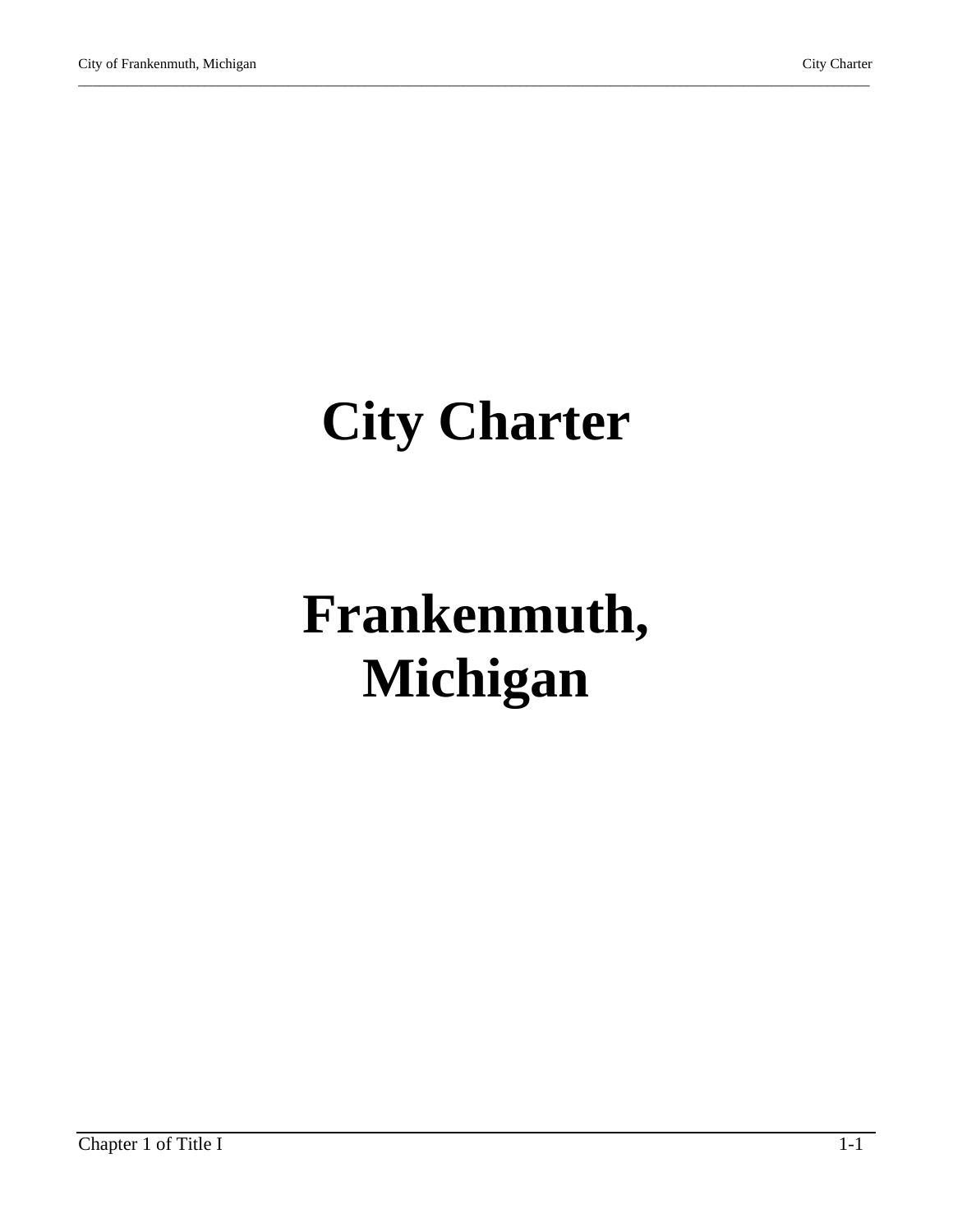# **City Charter**

\_\_\_\_\_\_\_\_\_\_\_\_\_\_\_\_\_\_\_\_\_\_\_\_\_\_\_\_\_\_\_\_\_\_\_\_\_\_\_\_\_\_\_\_\_\_\_\_\_\_\_\_\_\_\_\_\_\_\_\_\_\_\_\_\_\_\_\_\_\_\_\_\_\_\_\_\_\_\_\_\_\_\_\_\_\_\_\_\_\_\_\_\_\_\_\_\_\_\_\_\_\_\_\_\_\_\_\_\_\_\_\_\_

# **Frankenmuth, Michigan**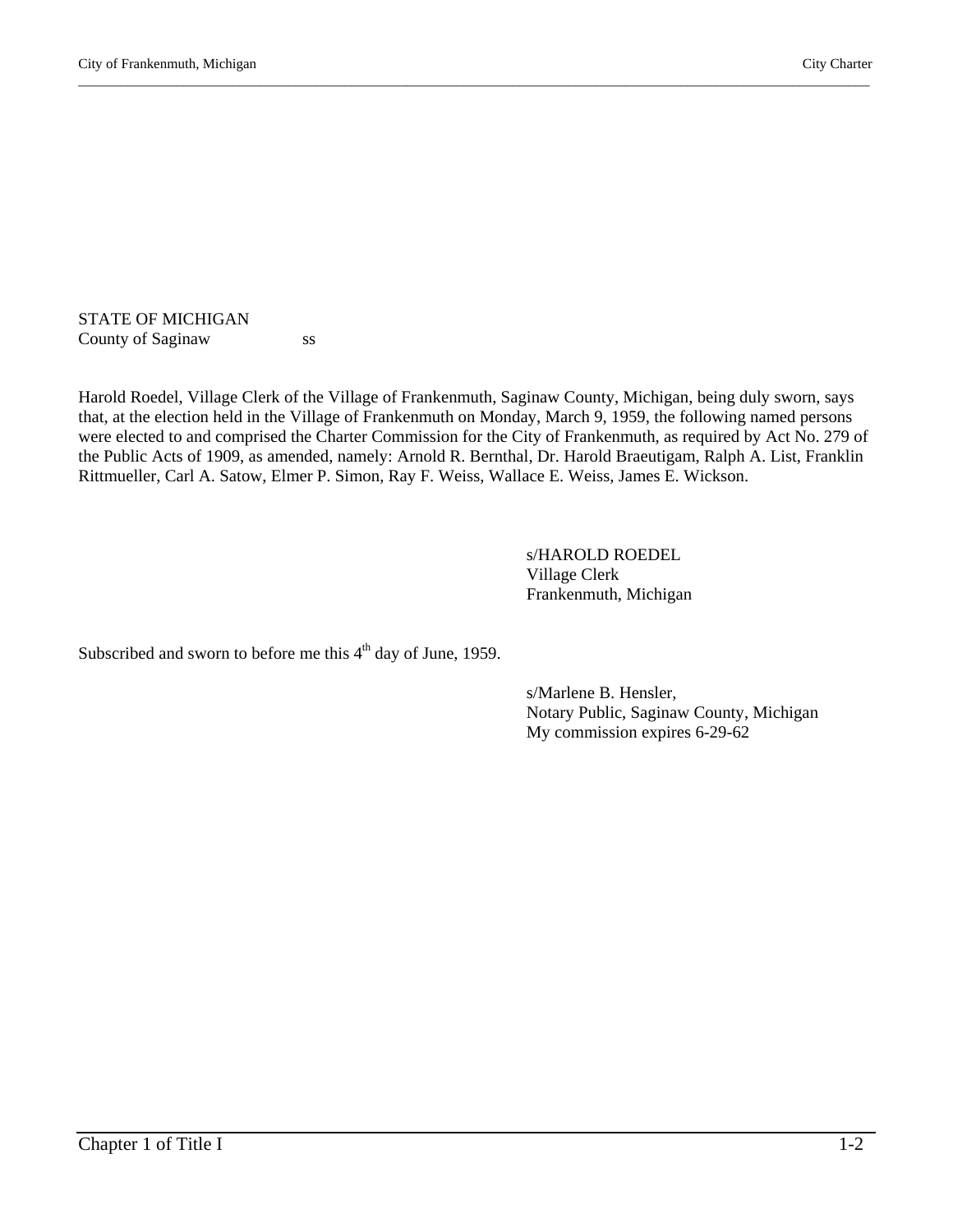#### STATE OF MICHIGAN County of Saginaw ss

Harold Roedel, Village Clerk of the Village of Frankenmuth, Saginaw County, Michigan, being duly sworn, says that, at the election held in the Village of Frankenmuth on Monday, March 9, 1959, the following named persons were elected to and comprised the Charter Commission for the City of Frankenmuth, as required by Act No. 279 of the Public Acts of 1909, as amended, namely: Arnold R. Bernthal, Dr. Harold Braeutigam, Ralph A. List, Franklin Rittmueller, Carl A. Satow, Elmer P. Simon, Ray F. Weiss, Wallace E. Weiss, James E. Wickson.

\_\_\_\_\_\_\_\_\_\_\_\_\_\_\_\_\_\_\_\_\_\_\_\_\_\_\_\_\_\_\_\_\_\_\_\_\_\_\_\_\_\_\_\_\_\_\_\_\_\_\_\_\_\_\_\_\_\_\_\_\_\_\_\_\_\_\_\_\_\_\_\_\_\_\_\_\_\_\_\_\_\_\_\_\_\_\_\_\_\_\_\_\_\_\_\_\_\_\_\_\_\_\_\_\_\_\_\_\_\_\_\_\_

s/HAROLD ROEDEL Village Clerk Frankenmuth, Michigan

Subscribed and sworn to before me this  $4<sup>th</sup>$  day of June, 1959.

 s/Marlene B. Hensler, Notary Public, Saginaw County, Michigan My commission expires 6-29-62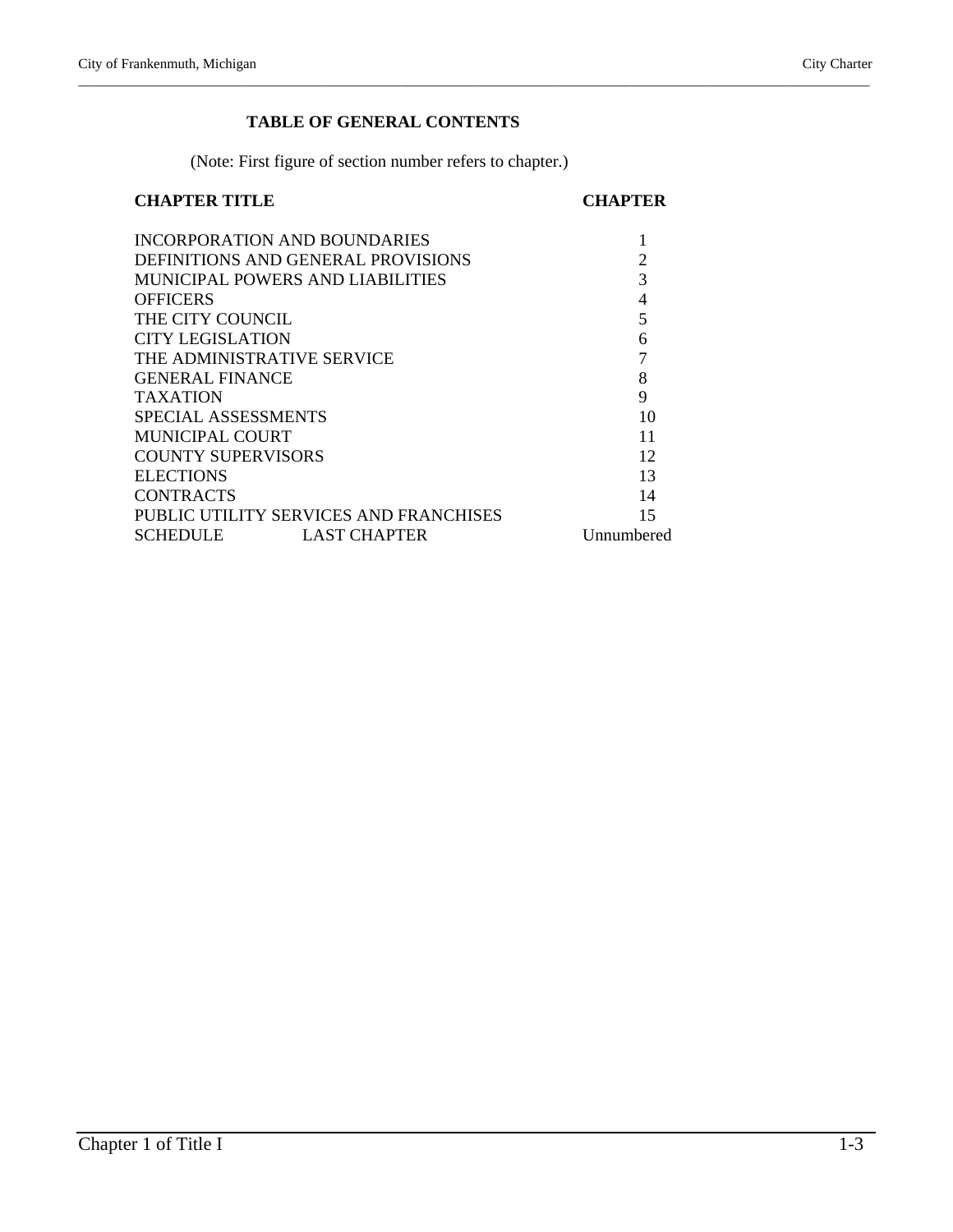# **TABLE OF GENERAL CONTENTS**

\_\_\_\_\_\_\_\_\_\_\_\_\_\_\_\_\_\_\_\_\_\_\_\_\_\_\_\_\_\_\_\_\_\_\_\_\_\_\_\_\_\_\_\_\_\_\_\_\_\_\_\_\_\_\_\_\_\_\_\_\_\_\_\_\_\_\_\_\_\_\_\_\_\_\_\_\_\_\_\_\_\_\_\_\_\_\_\_\_\_\_\_\_\_\_\_\_\_\_\_\_\_\_\_\_\_\_\_\_\_\_\_\_

(Note: First figure of section number refers to chapter.)

# **CHAPTER TITLE CHAPTER**

|                                        | <b>INCORPORATION AND BOUNDARIES</b>     |            |
|----------------------------------------|-----------------------------------------|------------|
|                                        | DEFINITIONS AND GENERAL PROVISIONS      | 2          |
|                                        | <b>MUNICIPAL POWERS AND LIABILITIES</b> | 3          |
| <b>OFFICERS</b>                        |                                         | 4          |
| THE CITY COUNCIL                       |                                         | 5          |
| CITY LEGISLATION                       |                                         | 6          |
|                                        | THE ADMINISTRATIVE SERVICE              | 7          |
| <b>GENERAL FINANCE</b>                 |                                         | 8          |
| <b>TAXATION</b>                        | 9                                       |            |
| SPECIAL ASSESSMENTS                    | 10                                      |            |
| <b>MUNICIPAL COURT</b>                 | 11                                      |            |
| <b>COUNTY SUPERVISORS</b>              | 12                                      |            |
| <b>ELECTIONS</b>                       | 13                                      |            |
| <b>CONTRACTS</b>                       | 14                                      |            |
| PUBLIC UTILITY SERVICES AND FRANCHISES | 15                                      |            |
| <b>SCHEDULE</b>                        | <b>LAST CHAPTER</b>                     | Unnumbered |
|                                        |                                         |            |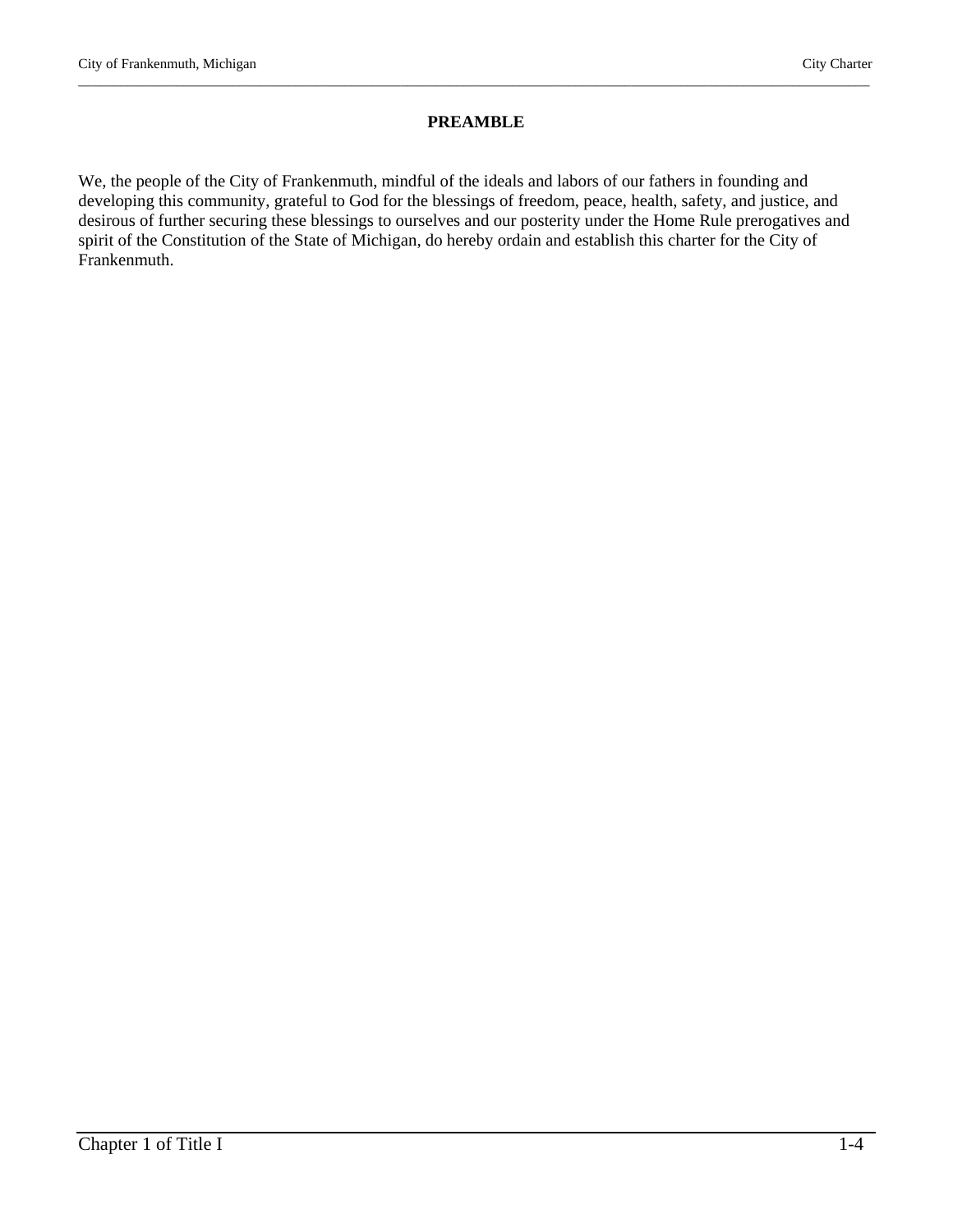#### **PREAMBLE**

\_\_\_\_\_\_\_\_\_\_\_\_\_\_\_\_\_\_\_\_\_\_\_\_\_\_\_\_\_\_\_\_\_\_\_\_\_\_\_\_\_\_\_\_\_\_\_\_\_\_\_\_\_\_\_\_\_\_\_\_\_\_\_\_\_\_\_\_\_\_\_\_\_\_\_\_\_\_\_\_\_\_\_\_\_\_\_\_\_\_\_\_\_\_\_\_\_\_\_\_\_\_\_\_\_\_\_\_\_\_\_\_\_

We, the people of the City of Frankenmuth, mindful of the ideals and labors of our fathers in founding and developing this community, grateful to God for the blessings of freedom, peace, health, safety, and justice, and desirous of further securing these blessings to ourselves and our posterity under the Home Rule prerogatives and spirit of the Constitution of the State of Michigan, do hereby ordain and establish this charter for the City of Frankenmuth.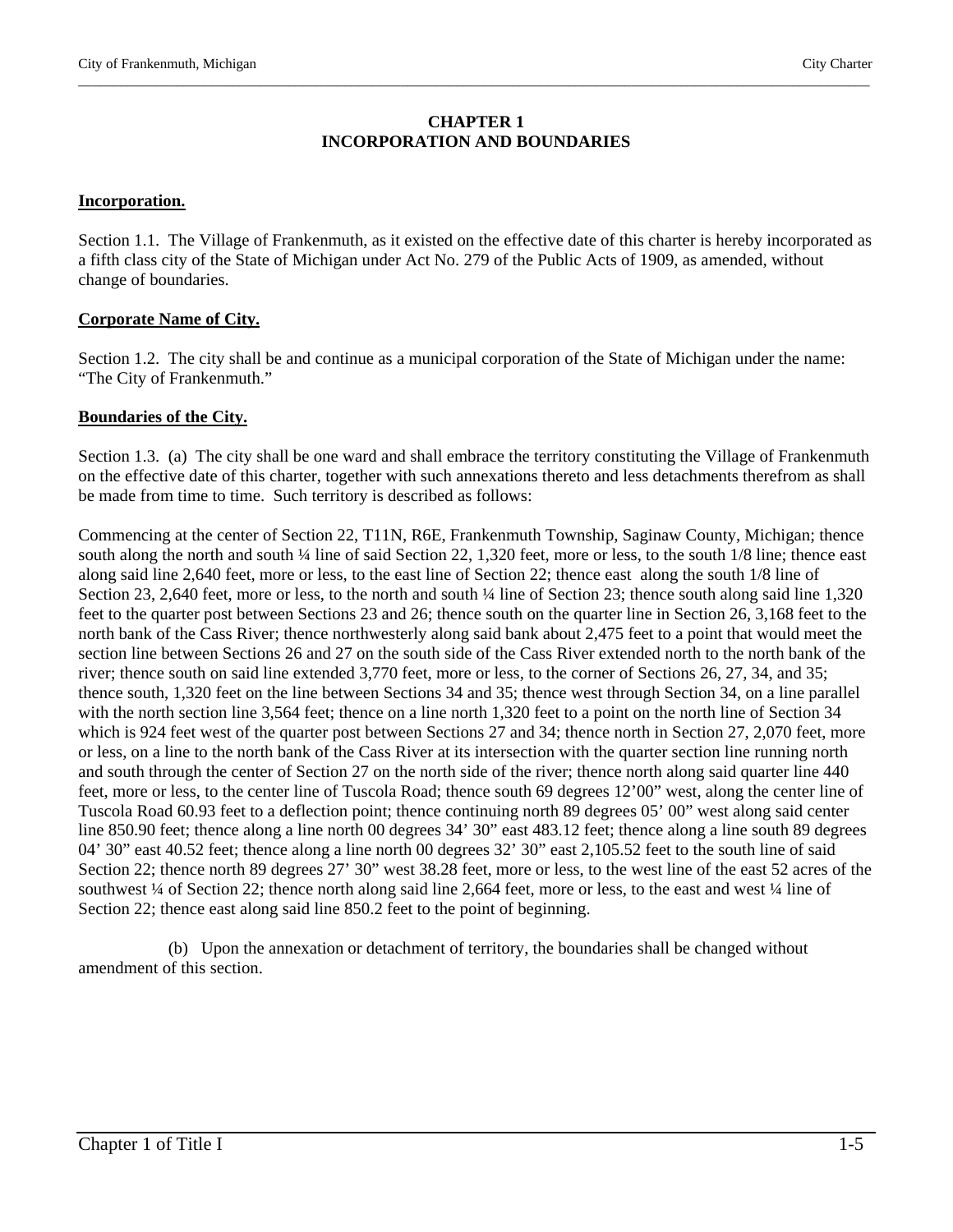#### **CHAPTER 1 INCORPORATION AND BOUNDARIES**

\_\_\_\_\_\_\_\_\_\_\_\_\_\_\_\_\_\_\_\_\_\_\_\_\_\_\_\_\_\_\_\_\_\_\_\_\_\_\_\_\_\_\_\_\_\_\_\_\_\_\_\_\_\_\_\_\_\_\_\_\_\_\_\_\_\_\_\_\_\_\_\_\_\_\_\_\_\_\_\_\_\_\_\_\_\_\_\_\_\_\_\_\_\_\_\_\_\_\_\_\_\_\_\_\_\_\_\_\_\_\_\_\_

#### **Incorporation.**

Section 1.1. The Village of Frankenmuth, as it existed on the effective date of this charter is hereby incorporated as a fifth class city of the State of Michigan under Act No. 279 of the Public Acts of 1909, as amended, without change of boundaries.

#### **Corporate Name of City.**

Section 1.2. The city shall be and continue as a municipal corporation of the State of Michigan under the name: "The City of Frankenmuth."

#### **Boundaries of the City.**

Section 1.3. (a) The city shall be one ward and shall embrace the territory constituting the Village of Frankenmuth on the effective date of this charter, together with such annexations thereto and less detachments therefrom as shall be made from time to time. Such territory is described as follows:

Commencing at the center of Section 22, T11N, R6E, Frankenmuth Township, Saginaw County, Michigan; thence south along the north and south  $\frac{1}{4}$  line of said Section 22, 1,320 feet, more or less, to the south 1/8 line; thence east along said line 2,640 feet, more or less, to the east line of Section 22; thence east along the south 1/8 line of Section 23, 2,640 feet, more or less, to the north and south ¼ line of Section 23; thence south along said line 1,320 feet to the quarter post between Sections 23 and 26; thence south on the quarter line in Section 26, 3,168 feet to the north bank of the Cass River; thence northwesterly along said bank about 2,475 feet to a point that would meet the section line between Sections 26 and 27 on the south side of the Cass River extended north to the north bank of the river; thence south on said line extended 3,770 feet, more or less, to the corner of Sections 26, 27, 34, and 35; thence south, 1,320 feet on the line between Sections 34 and 35; thence west through Section 34, on a line parallel with the north section line 3,564 feet; thence on a line north 1,320 feet to a point on the north line of Section 34 which is 924 feet west of the quarter post between Sections 27 and 34; thence north in Section 27, 2,070 feet, more or less, on a line to the north bank of the Cass River at its intersection with the quarter section line running north and south through the center of Section 27 on the north side of the river; thence north along said quarter line 440 feet, more or less, to the center line of Tuscola Road; thence south 69 degrees 12'00" west, along the center line of Tuscola Road 60.93 feet to a deflection point; thence continuing north 89 degrees 05' 00" west along said center line 850.90 feet; thence along a line north 00 degrees 34' 30" east 483.12 feet; thence along a line south 89 degrees 04' 30" east 40.52 feet; thence along a line north 00 degrees 32' 30" east 2,105.52 feet to the south line of said Section 22; thence north 89 degrees 27' 30" west 38.28 feet, more or less, to the west line of the east 52 acres of the southwest ¼ of Section 22; thence north along said line 2,664 feet, more or less, to the east and west ¼ line of Section 22; thence east along said line 850.2 feet to the point of beginning.

 (b) Upon the annexation or detachment of territory, the boundaries shall be changed without amendment of this section.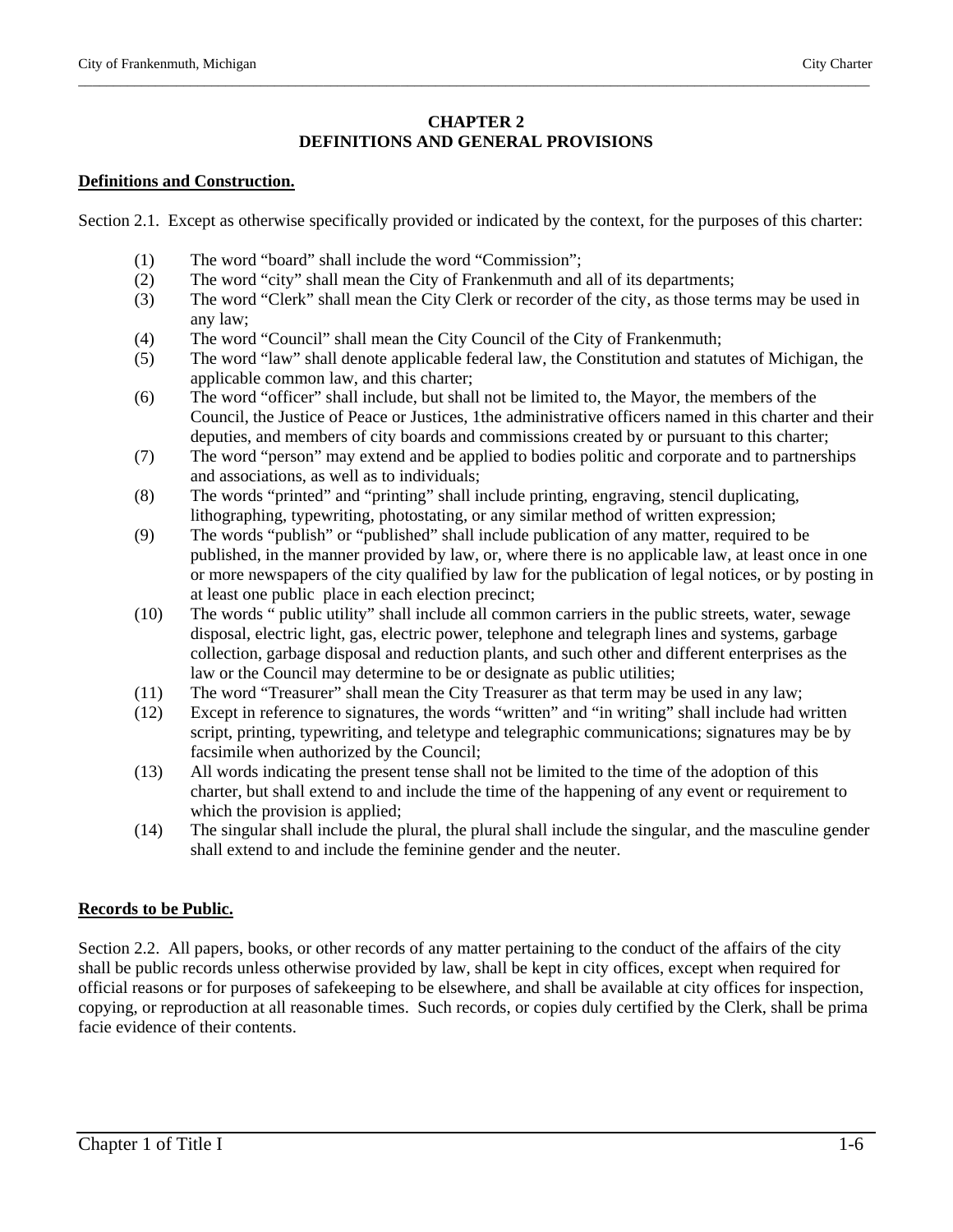# **CHAPTER 2 DEFINITIONS AND GENERAL PROVISIONS**

\_\_\_\_\_\_\_\_\_\_\_\_\_\_\_\_\_\_\_\_\_\_\_\_\_\_\_\_\_\_\_\_\_\_\_\_\_\_\_\_\_\_\_\_\_\_\_\_\_\_\_\_\_\_\_\_\_\_\_\_\_\_\_\_\_\_\_\_\_\_\_\_\_\_\_\_\_\_\_\_\_\_\_\_\_\_\_\_\_\_\_\_\_\_\_\_\_\_\_\_\_\_\_\_\_\_\_\_\_\_\_\_\_

# **Definitions and Construction.**

Section 2.1. Except as otherwise specifically provided or indicated by the context, for the purposes of this charter:

- (1) The word "board" shall include the word "Commission";
- (2) The word "city" shall mean the City of Frankenmuth and all of its departments;
- (3) The word "Clerk" shall mean the City Clerk or recorder of the city, as those terms may be used in any law;
- (4) The word "Council" shall mean the City Council of the City of Frankenmuth;
- (5) The word "law" shall denote applicable federal law, the Constitution and statutes of Michigan, the applicable common law, and this charter;
- (6) The word "officer" shall include, but shall not be limited to, the Mayor, the members of the Council, the Justice of Peace or Justices, 1the administrative officers named in this charter and their deputies, and members of city boards and commissions created by or pursuant to this charter;
- (7) The word "person" may extend and be applied to bodies politic and corporate and to partnerships and associations, as well as to individuals;
- (8) The words "printed" and "printing" shall include printing, engraving, stencil duplicating, lithographing, typewriting, photostating, or any similar method of written expression;
- (9) The words "publish" or "published" shall include publication of any matter, required to be published, in the manner provided by law, or, where there is no applicable law, at least once in one or more newspapers of the city qualified by law for the publication of legal notices, or by posting in at least one public place in each election precinct;
- (10) The words " public utility" shall include all common carriers in the public streets, water, sewage disposal, electric light, gas, electric power, telephone and telegraph lines and systems, garbage collection, garbage disposal and reduction plants, and such other and different enterprises as the law or the Council may determine to be or designate as public utilities;
- (11) The word "Treasurer" shall mean the City Treasurer as that term may be used in any law;
- (12) Except in reference to signatures, the words "written" and "in writing" shall include had written script, printing, typewriting, and teletype and telegraphic communications; signatures may be by facsimile when authorized by the Council;
- (13) All words indicating the present tense shall not be limited to the time of the adoption of this charter, but shall extend to and include the time of the happening of any event or requirement to which the provision is applied;
- (14) The singular shall include the plural, the plural shall include the singular, and the masculine gender shall extend to and include the feminine gender and the neuter.

# **Records to be Public.**

Section 2.2. All papers, books, or other records of any matter pertaining to the conduct of the affairs of the city shall be public records unless otherwise provided by law, shall be kept in city offices, except when required for official reasons or for purposes of safekeeping to be elsewhere, and shall be available at city offices for inspection, copying, or reproduction at all reasonable times. Such records, or copies duly certified by the Clerk, shall be prima facie evidence of their contents.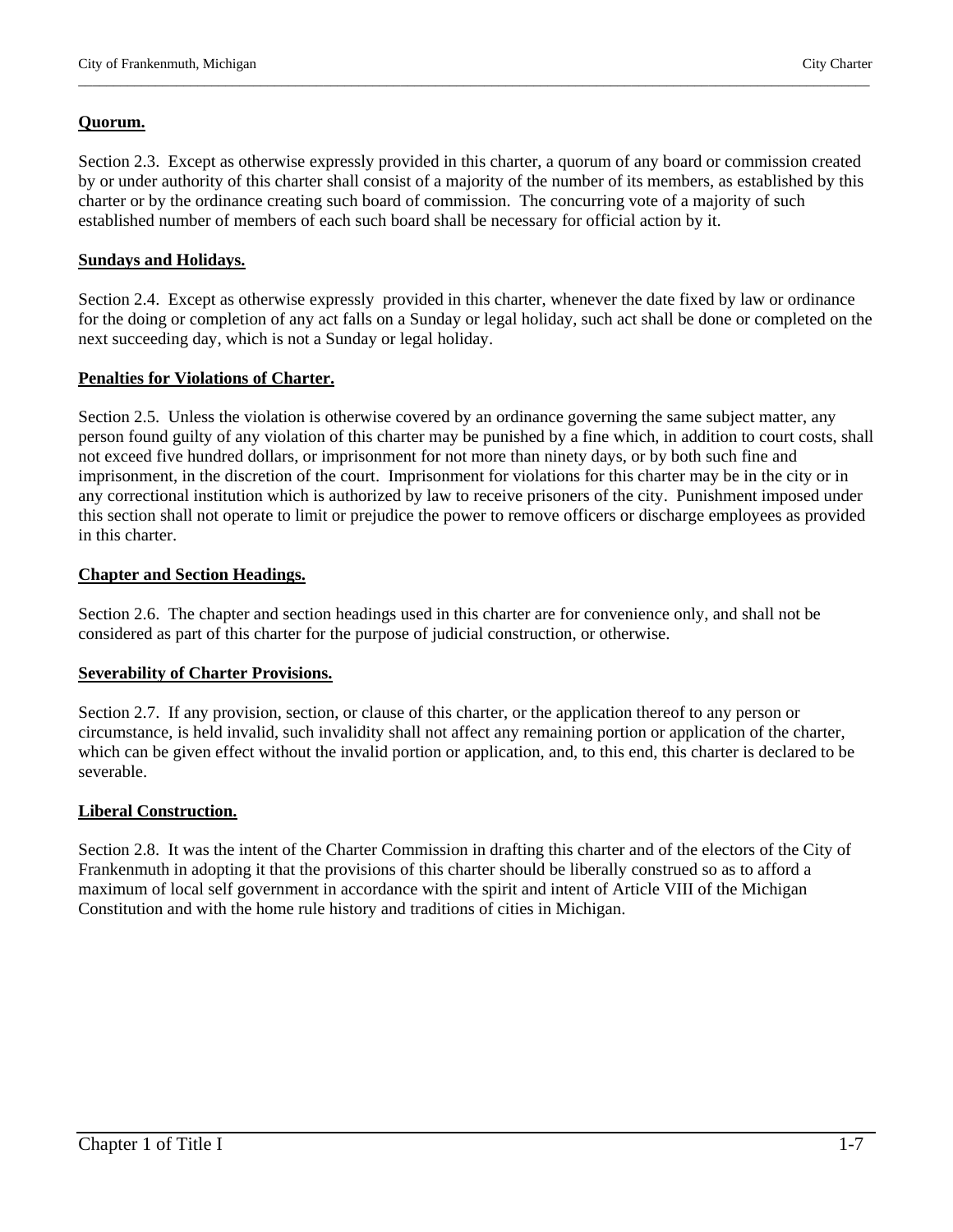#### **Quorum.**

Section 2.3. Except as otherwise expressly provided in this charter, a quorum of any board or commission created by or under authority of this charter shall consist of a majority of the number of its members, as established by this charter or by the ordinance creating such board of commission. The concurring vote of a majority of such established number of members of each such board shall be necessary for official action by it.

\_\_\_\_\_\_\_\_\_\_\_\_\_\_\_\_\_\_\_\_\_\_\_\_\_\_\_\_\_\_\_\_\_\_\_\_\_\_\_\_\_\_\_\_\_\_\_\_\_\_\_\_\_\_\_\_\_\_\_\_\_\_\_\_\_\_\_\_\_\_\_\_\_\_\_\_\_\_\_\_\_\_\_\_\_\_\_\_\_\_\_\_\_\_\_\_\_\_\_\_\_\_\_\_\_\_\_\_\_\_\_\_\_

#### **Sundays and Holidays.**

Section 2.4. Except as otherwise expressly provided in this charter, whenever the date fixed by law or ordinance for the doing or completion of any act falls on a Sunday or legal holiday, such act shall be done or completed on the next succeeding day, which is not a Sunday or legal holiday.

#### **Penalties for Violations of Charter.**

Section 2.5. Unless the violation is otherwise covered by an ordinance governing the same subject matter, any person found guilty of any violation of this charter may be punished by a fine which, in addition to court costs, shall not exceed five hundred dollars, or imprisonment for not more than ninety days, or by both such fine and imprisonment, in the discretion of the court. Imprisonment for violations for this charter may be in the city or in any correctional institution which is authorized by law to receive prisoners of the city. Punishment imposed under this section shall not operate to limit or prejudice the power to remove officers or discharge employees as provided in this charter.

#### **Chapter and Section Headings.**

Section 2.6. The chapter and section headings used in this charter are for convenience only, and shall not be considered as part of this charter for the purpose of judicial construction, or otherwise.

#### **Severability of Charter Provisions.**

Section 2.7. If any provision, section, or clause of this charter, or the application thereof to any person or circumstance, is held invalid, such invalidity shall not affect any remaining portion or application of the charter, which can be given effect without the invalid portion or application, and, to this end, this charter is declared to be severable.

#### **Liberal Construction.**

Section 2.8. It was the intent of the Charter Commission in drafting this charter and of the electors of the City of Frankenmuth in adopting it that the provisions of this charter should be liberally construed so as to afford a maximum of local self government in accordance with the spirit and intent of Article VIII of the Michigan Constitution and with the home rule history and traditions of cities in Michigan.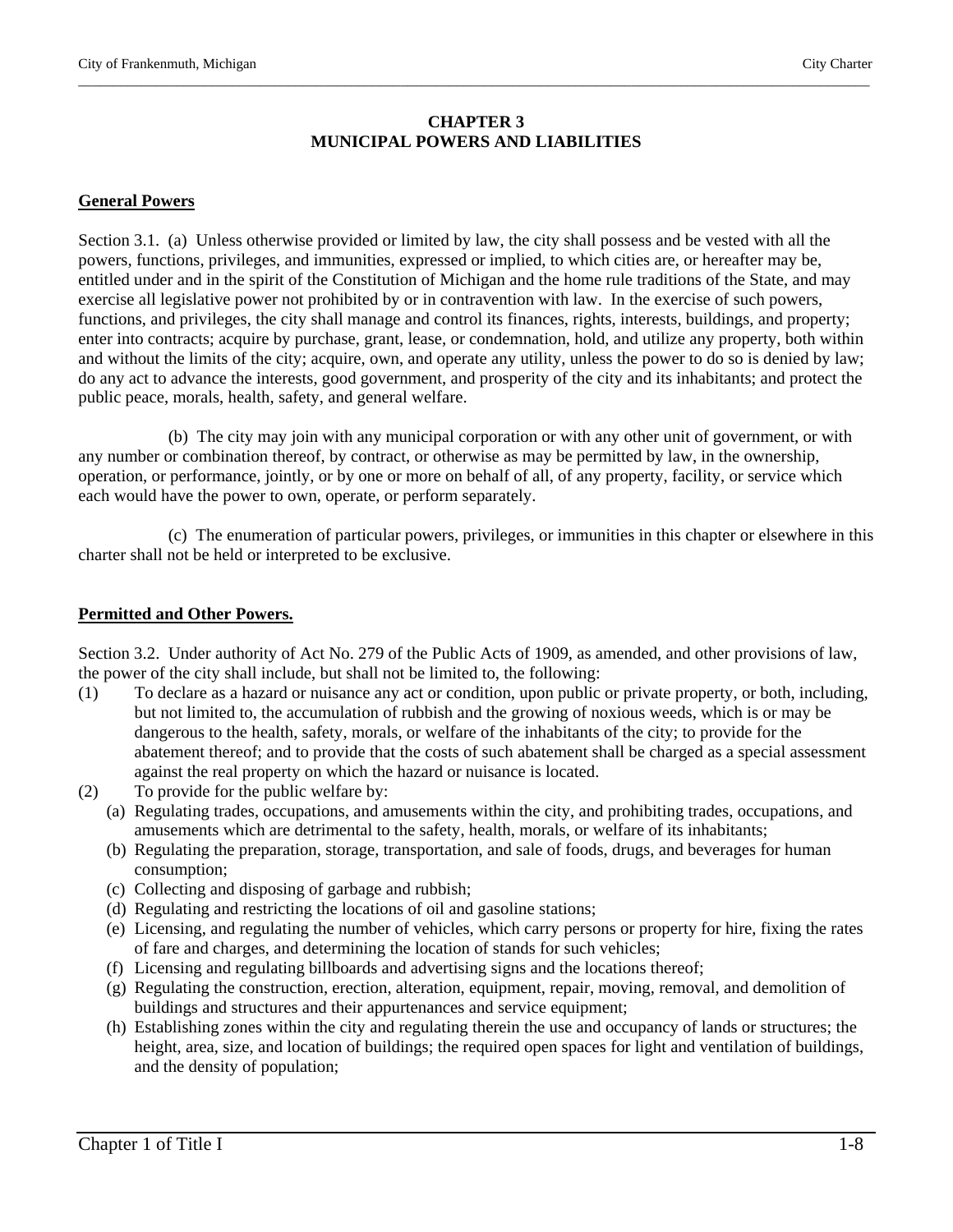#### **CHAPTER 3 MUNICIPAL POWERS AND LIABILITIES**

\_\_\_\_\_\_\_\_\_\_\_\_\_\_\_\_\_\_\_\_\_\_\_\_\_\_\_\_\_\_\_\_\_\_\_\_\_\_\_\_\_\_\_\_\_\_\_\_\_\_\_\_\_\_\_\_\_\_\_\_\_\_\_\_\_\_\_\_\_\_\_\_\_\_\_\_\_\_\_\_\_\_\_\_\_\_\_\_\_\_\_\_\_\_\_\_\_\_\_\_\_\_\_\_\_\_\_\_\_\_\_\_\_

#### **General Powers**

Section 3.1. (a) Unless otherwise provided or limited by law, the city shall possess and be vested with all the powers, functions, privileges, and immunities, expressed or implied, to which cities are, or hereafter may be, entitled under and in the spirit of the Constitution of Michigan and the home rule traditions of the State, and may exercise all legislative power not prohibited by or in contravention with law. In the exercise of such powers, functions, and privileges, the city shall manage and control its finances, rights, interests, buildings, and property; enter into contracts; acquire by purchase, grant, lease, or condemnation, hold, and utilize any property, both within and without the limits of the city; acquire, own, and operate any utility, unless the power to do so is denied by law; do any act to advance the interests, good government, and prosperity of the city and its inhabitants; and protect the public peace, morals, health, safety, and general welfare.

 (b) The city may join with any municipal corporation or with any other unit of government, or with any number or combination thereof, by contract, or otherwise as may be permitted by law, in the ownership, operation, or performance, jointly, or by one or more on behalf of all, of any property, facility, or service which each would have the power to own, operate, or perform separately.

 (c) The enumeration of particular powers, privileges, or immunities in this chapter or elsewhere in this charter shall not be held or interpreted to be exclusive.

#### **Permitted and Other Powers.**

Section 3.2. Under authority of Act No. 279 of the Public Acts of 1909, as amended, and other provisions of law, the power of the city shall include, but shall not be limited to, the following:

- (1) To declare as a hazard or nuisance any act or condition, upon public or private property, or both, including, but not limited to, the accumulation of rubbish and the growing of noxious weeds, which is or may be dangerous to the health, safety, morals, or welfare of the inhabitants of the city; to provide for the abatement thereof; and to provide that the costs of such abatement shall be charged as a special assessment against the real property on which the hazard or nuisance is located.
- (2) To provide for the public welfare by:
	- (a) Regulating trades, occupations, and amusements within the city, and prohibiting trades, occupations, and amusements which are detrimental to the safety, health, morals, or welfare of its inhabitants;
	- (b) Regulating the preparation, storage, transportation, and sale of foods, drugs, and beverages for human consumption;
	- (c) Collecting and disposing of garbage and rubbish;
	- (d) Regulating and restricting the locations of oil and gasoline stations;
	- (e) Licensing, and regulating the number of vehicles, which carry persons or property for hire, fixing the rates of fare and charges, and determining the location of stands for such vehicles;
	- (f) Licensing and regulating billboards and advertising signs and the locations thereof;
	- (g) Regulating the construction, erection, alteration, equipment, repair, moving, removal, and demolition of buildings and structures and their appurtenances and service equipment;
	- (h) Establishing zones within the city and regulating therein the use and occupancy of lands or structures; the height, area, size, and location of buildings; the required open spaces for light and ventilation of buildings, and the density of population;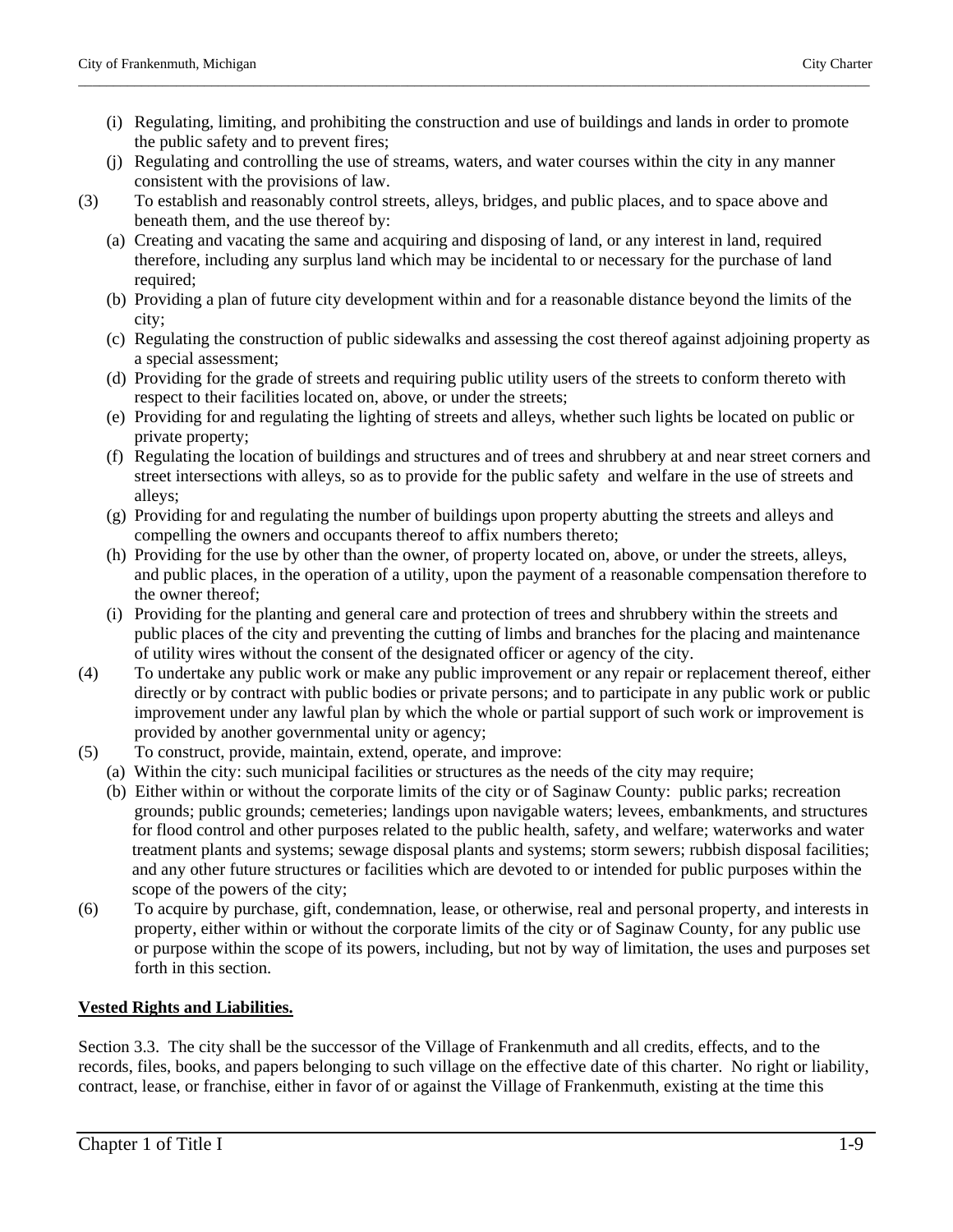(i) Regulating, limiting, and prohibiting the construction and use of buildings and lands in order to promote the public safety and to prevent fires;

\_\_\_\_\_\_\_\_\_\_\_\_\_\_\_\_\_\_\_\_\_\_\_\_\_\_\_\_\_\_\_\_\_\_\_\_\_\_\_\_\_\_\_\_\_\_\_\_\_\_\_\_\_\_\_\_\_\_\_\_\_\_\_\_\_\_\_\_\_\_\_\_\_\_\_\_\_\_\_\_\_\_\_\_\_\_\_\_\_\_\_\_\_\_\_\_\_\_\_\_\_\_\_\_\_\_\_\_\_\_\_\_\_

- (j) Regulating and controlling the use of streams, waters, and water courses within the city in any manner consistent with the provisions of law.
- (3) To establish and reasonably control streets, alleys, bridges, and public places, and to space above and beneath them, and the use thereof by:
	- (a) Creating and vacating the same and acquiring and disposing of land, or any interest in land, required therefore, including any surplus land which may be incidental to or necessary for the purchase of land required;
	- (b) Providing a plan of future city development within and for a reasonable distance beyond the limits of the city;
	- (c) Regulating the construction of public sidewalks and assessing the cost thereof against adjoining property as a special assessment;
	- (d) Providing for the grade of streets and requiring public utility users of the streets to conform thereto with respect to their facilities located on, above, or under the streets;
	- (e) Providing for and regulating the lighting of streets and alleys, whether such lights be located on public or private property;
	- (f) Regulating the location of buildings and structures and of trees and shrubbery at and near street corners and street intersections with alleys, so as to provide for the public safety and welfare in the use of streets and alleys;
	- (g) Providing for and regulating the number of buildings upon property abutting the streets and alleys and compelling the owners and occupants thereof to affix numbers thereto;
	- (h) Providing for the use by other than the owner, of property located on, above, or under the streets, alleys, and public places, in the operation of a utility, upon the payment of a reasonable compensation therefore to the owner thereof;
	- (i) Providing for the planting and general care and protection of trees and shrubbery within the streets and public places of the city and preventing the cutting of limbs and branches for the placing and maintenance of utility wires without the consent of the designated officer or agency of the city.
- (4) To undertake any public work or make any public improvement or any repair or replacement thereof, either directly or by contract with public bodies or private persons; and to participate in any public work or public improvement under any lawful plan by which the whole or partial support of such work or improvement is provided by another governmental unity or agency;
- (5) To construct, provide, maintain, extend, operate, and improve:
	- (a) Within the city: such municipal facilities or structures as the needs of the city may require;
	- (b) Either within or without the corporate limits of the city or of Saginaw County: public parks; recreation grounds; public grounds; cemeteries; landings upon navigable waters; levees, embankments, and structures for flood control and other purposes related to the public health, safety, and welfare; waterworks and water treatment plants and systems; sewage disposal plants and systems; storm sewers; rubbish disposal facilities; and any other future structures or facilities which are devoted to or intended for public purposes within the scope of the powers of the city;
- (6) To acquire by purchase, gift, condemnation, lease, or otherwise, real and personal property, and interests in property, either within or without the corporate limits of the city or of Saginaw County, for any public use or purpose within the scope of its powers, including, but not by way of limitation, the uses and purposes set forth in this section.

# **Vested Rights and Liabilities.**

Section 3.3. The city shall be the successor of the Village of Frankenmuth and all credits, effects, and to the records, files, books, and papers belonging to such village on the effective date of this charter. No right or liability, contract, lease, or franchise, either in favor of or against the Village of Frankenmuth, existing at the time this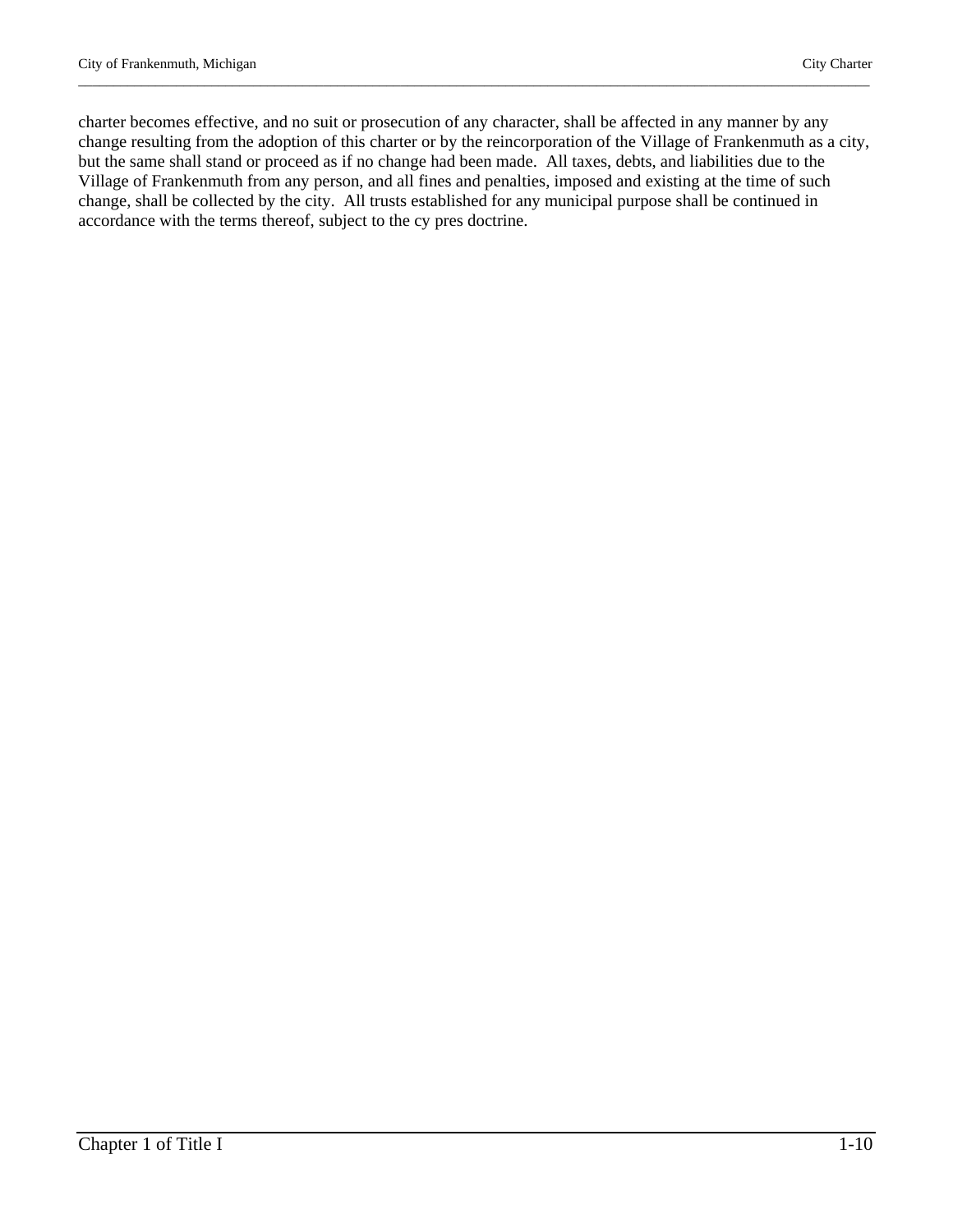charter becomes effective, and no suit or prosecution of any character, shall be affected in any manner by any change resulting from the adoption of this charter or by the reincorporation of the Village of Frankenmuth as a city, but the same shall stand or proceed as if no change had been made. All taxes, debts, and liabilities due to the Village of Frankenmuth from any person, and all fines and penalties, imposed and existing at the time of such change, shall be collected by the city. All trusts established for any municipal purpose shall be continued in accordance with the terms thereof, subject to the cy pres doctrine.

\_\_\_\_\_\_\_\_\_\_\_\_\_\_\_\_\_\_\_\_\_\_\_\_\_\_\_\_\_\_\_\_\_\_\_\_\_\_\_\_\_\_\_\_\_\_\_\_\_\_\_\_\_\_\_\_\_\_\_\_\_\_\_\_\_\_\_\_\_\_\_\_\_\_\_\_\_\_\_\_\_\_\_\_\_\_\_\_\_\_\_\_\_\_\_\_\_\_\_\_\_\_\_\_\_\_\_\_\_\_\_\_\_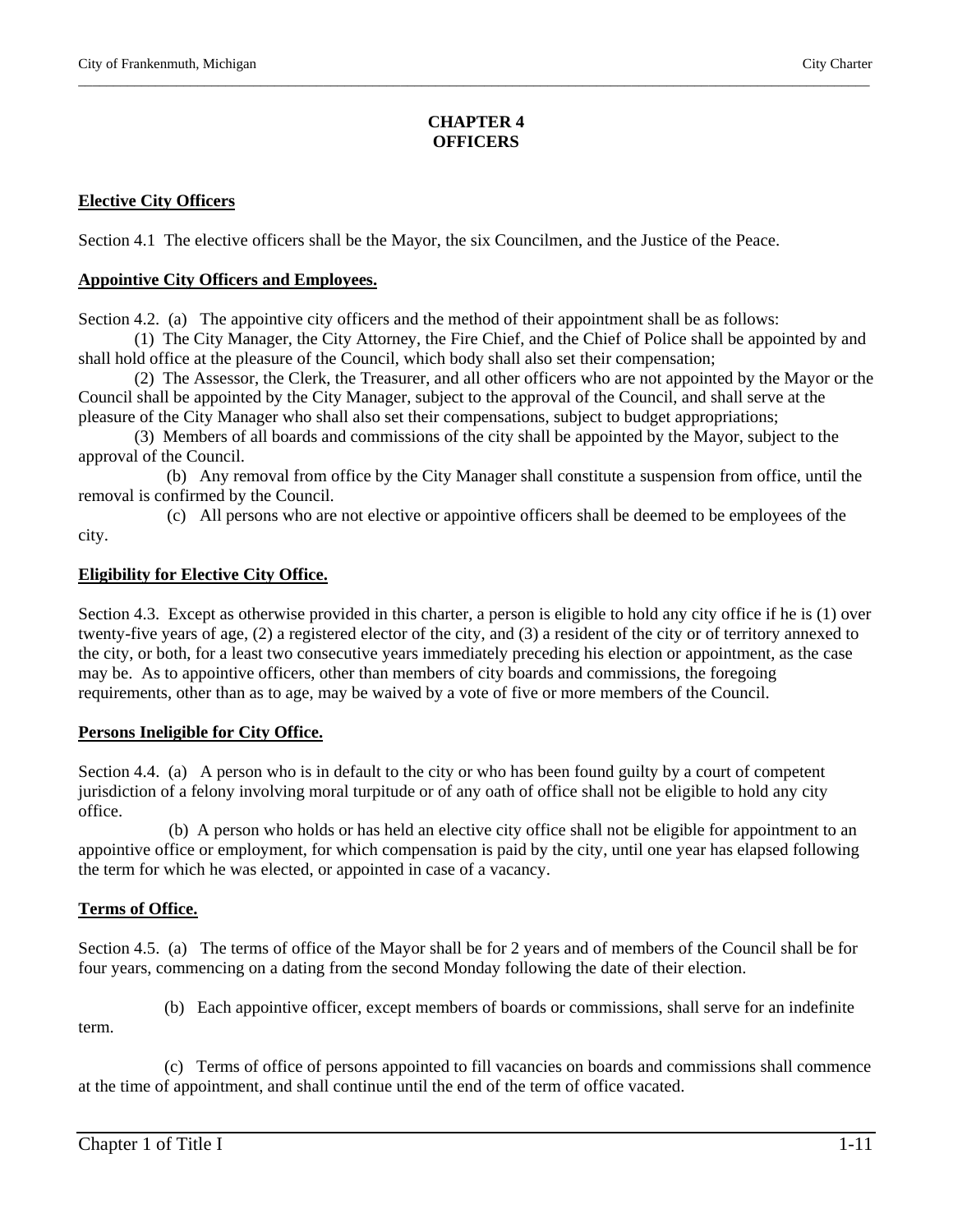# **CHAPTER 4 OFFICERS**

\_\_\_\_\_\_\_\_\_\_\_\_\_\_\_\_\_\_\_\_\_\_\_\_\_\_\_\_\_\_\_\_\_\_\_\_\_\_\_\_\_\_\_\_\_\_\_\_\_\_\_\_\_\_\_\_\_\_\_\_\_\_\_\_\_\_\_\_\_\_\_\_\_\_\_\_\_\_\_\_\_\_\_\_\_\_\_\_\_\_\_\_\_\_\_\_\_\_\_\_\_\_\_\_\_\_\_\_\_\_\_\_\_

# **Elective City Officers**

Section 4.1 The elective officers shall be the Mayor, the six Councilmen, and the Justice of the Peace.

#### **Appointive City Officers and Employees.**

Section 4.2. (a) The appointive city officers and the method of their appointment shall be as follows:

(1) The City Manager, the City Attorney, the Fire Chief, and the Chief of Police shall be appointed by and shall hold office at the pleasure of the Council, which body shall also set their compensation;

(2) The Assessor, the Clerk, the Treasurer, and all other officers who are not appointed by the Mayor or the Council shall be appointed by the City Manager, subject to the approval of the Council, and shall serve at the pleasure of the City Manager who shall also set their compensations, subject to budget appropriations;

(3) Members of all boards and commissions of the city shall be appointed by the Mayor, subject to the approval of the Council.

 (b) Any removal from office by the City Manager shall constitute a suspension from office, until the removal is confirmed by the Council.

(c) All persons who are not elective or appointive officers shall be deemed to be employees of the

#### **Eligibility for Elective City Office.**

Section 4.3. Except as otherwise provided in this charter, a person is eligible to hold any city office if he is (1) over twenty-five years of age, (2) a registered elector of the city, and (3) a resident of the city or of territory annexed to the city, or both, for a least two consecutive years immediately preceding his election or appointment, as the case may be. As to appointive officers, other than members of city boards and commissions, the foregoing requirements, other than as to age, may be waived by a vote of five or more members of the Council.

# **Persons Ineligible for City Office.**

Section 4.4. (a) A person who is in default to the city or who has been found guilty by a court of competent jurisdiction of a felony involving moral turpitude or of any oath of office shall not be eligible to hold any city office.

 (b) A person who holds or has held an elective city office shall not be eligible for appointment to an appointive office or employment, for which compensation is paid by the city, until one year has elapsed following the term for which he was elected, or appointed in case of a vacancy.

# **Terms of Office.**

Section 4.5. (a) The terms of office of the Mayor shall be for 2 years and of members of the Council shall be for four years, commencing on a dating from the second Monday following the date of their election.

(b) Each appointive officer, except members of boards or commissions, shall serve for an indefinite

term.

city.

 (c) Terms of office of persons appointed to fill vacancies on boards and commissions shall commence at the time of appointment, and shall continue until the end of the term of office vacated.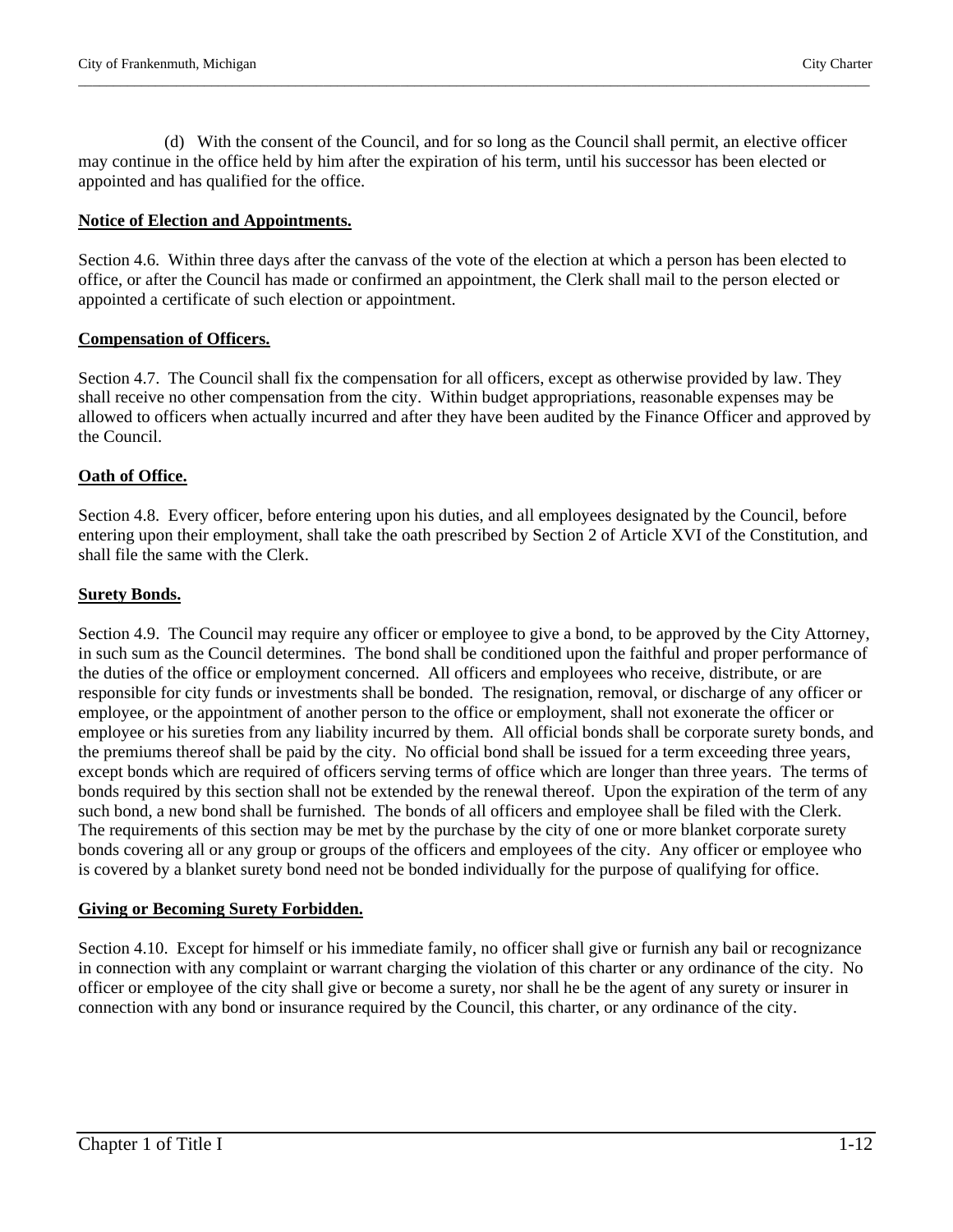(d) With the consent of the Council, and for so long as the Council shall permit, an elective officer may continue in the office held by him after the expiration of his term, until his successor has been elected or appointed and has qualified for the office.

\_\_\_\_\_\_\_\_\_\_\_\_\_\_\_\_\_\_\_\_\_\_\_\_\_\_\_\_\_\_\_\_\_\_\_\_\_\_\_\_\_\_\_\_\_\_\_\_\_\_\_\_\_\_\_\_\_\_\_\_\_\_\_\_\_\_\_\_\_\_\_\_\_\_\_\_\_\_\_\_\_\_\_\_\_\_\_\_\_\_\_\_\_\_\_\_\_\_\_\_\_\_\_\_\_\_\_\_\_\_\_\_\_

#### **Notice of Election and Appointments.**

Section 4.6. Within three days after the canvass of the vote of the election at which a person has been elected to office, or after the Council has made or confirmed an appointment, the Clerk shall mail to the person elected or appointed a certificate of such election or appointment.

#### **Compensation of Officers.**

Section 4.7. The Council shall fix the compensation for all officers, except as otherwise provided by law. They shall receive no other compensation from the city. Within budget appropriations, reasonable expenses may be allowed to officers when actually incurred and after they have been audited by the Finance Officer and approved by the Council.

# **Oath of Office.**

Section 4.8. Every officer, before entering upon his duties, and all employees designated by the Council, before entering upon their employment, shall take the oath prescribed by Section 2 of Article XVI of the Constitution, and shall file the same with the Clerk.

#### **Surety Bonds.**

Section 4.9. The Council may require any officer or employee to give a bond, to be approved by the City Attorney, in such sum as the Council determines. The bond shall be conditioned upon the faithful and proper performance of the duties of the office or employment concerned. All officers and employees who receive, distribute, or are responsible for city funds or investments shall be bonded. The resignation, removal, or discharge of any officer or employee, or the appointment of another person to the office or employment, shall not exonerate the officer or employee or his sureties from any liability incurred by them. All official bonds shall be corporate surety bonds, and the premiums thereof shall be paid by the city. No official bond shall be issued for a term exceeding three years, except bonds which are required of officers serving terms of office which are longer than three years. The terms of bonds required by this section shall not be extended by the renewal thereof. Upon the expiration of the term of any such bond, a new bond shall be furnished. The bonds of all officers and employee shall be filed with the Clerk. The requirements of this section may be met by the purchase by the city of one or more blanket corporate surety bonds covering all or any group or groups of the officers and employees of the city. Any officer or employee who is covered by a blanket surety bond need not be bonded individually for the purpose of qualifying for office.

#### **Giving or Becoming Surety Forbidden.**

Section 4.10. Except for himself or his immediate family, no officer shall give or furnish any bail or recognizance in connection with any complaint or warrant charging the violation of this charter or any ordinance of the city. No officer or employee of the city shall give or become a surety, nor shall he be the agent of any surety or insurer in connection with any bond or insurance required by the Council, this charter, or any ordinance of the city.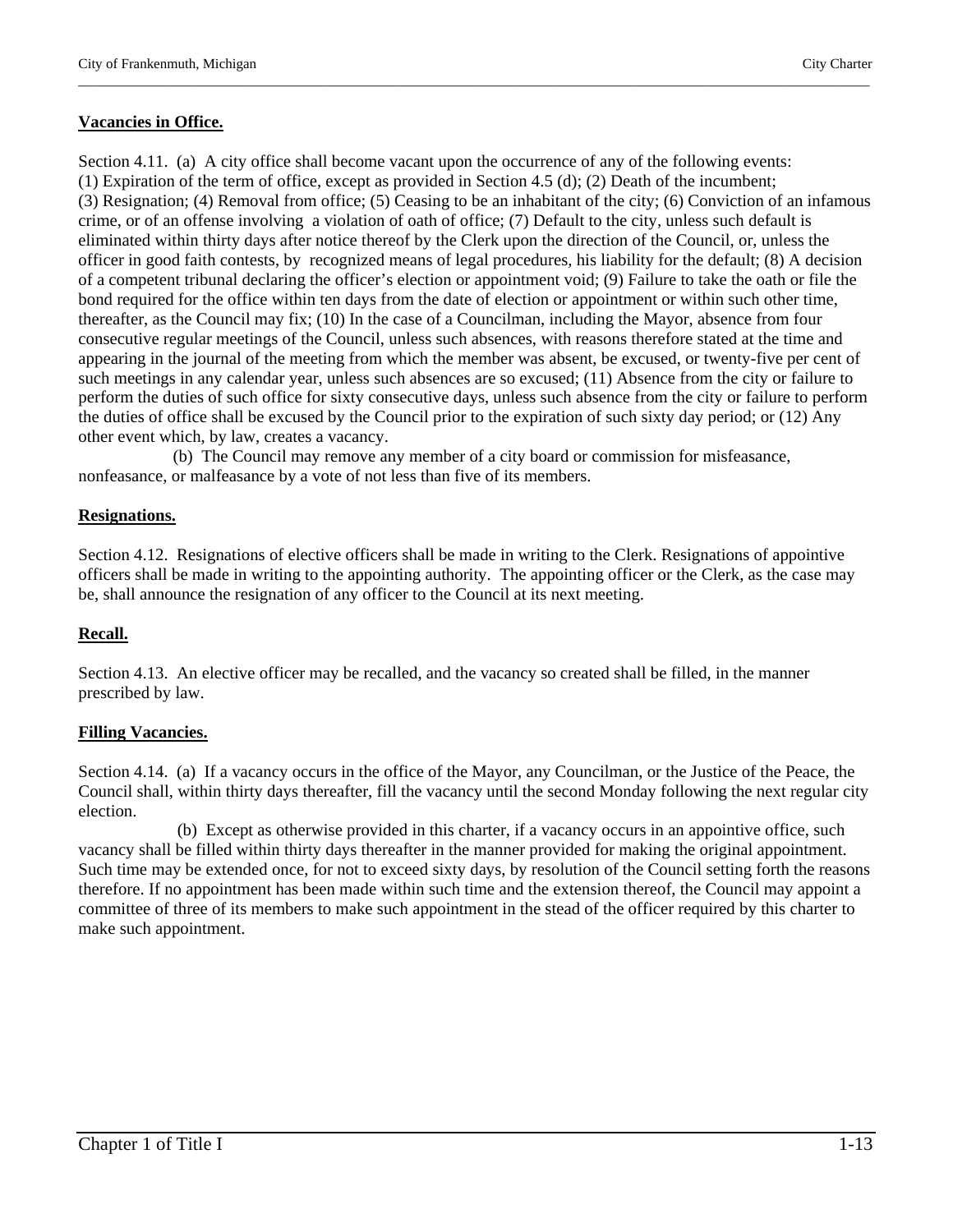# **Vacancies in Office.**

Section 4.11. (a) A city office shall become vacant upon the occurrence of any of the following events: (1) Expiration of the term of office, except as provided in Section 4.5 (d); (2) Death of the incumbent; (3) Resignation; (4) Removal from office; (5) Ceasing to be an inhabitant of the city; (6) Conviction of an infamous crime, or of an offense involving a violation of oath of office; (7) Default to the city, unless such default is eliminated within thirty days after notice thereof by the Clerk upon the direction of the Council, or, unless the officer in good faith contests, by recognized means of legal procedures, his liability for the default; (8) A decision of a competent tribunal declaring the officer's election or appointment void; (9) Failure to take the oath or file the bond required for the office within ten days from the date of election or appointment or within such other time, thereafter, as the Council may fix; (10) In the case of a Councilman, including the Mayor, absence from four consecutive regular meetings of the Council, unless such absences, with reasons therefore stated at the time and appearing in the journal of the meeting from which the member was absent, be excused, or twenty-five per cent of such meetings in any calendar year, unless such absences are so excused; (11) Absence from the city or failure to perform the duties of such office for sixty consecutive days, unless such absence from the city or failure to perform the duties of office shall be excused by the Council prior to the expiration of such sixty day period; or (12) Any other event which, by law, creates a vacancy.

\_\_\_\_\_\_\_\_\_\_\_\_\_\_\_\_\_\_\_\_\_\_\_\_\_\_\_\_\_\_\_\_\_\_\_\_\_\_\_\_\_\_\_\_\_\_\_\_\_\_\_\_\_\_\_\_\_\_\_\_\_\_\_\_\_\_\_\_\_\_\_\_\_\_\_\_\_\_\_\_\_\_\_\_\_\_\_\_\_\_\_\_\_\_\_\_\_\_\_\_\_\_\_\_\_\_\_\_\_\_\_\_\_

 (b) The Council may remove any member of a city board or commission for misfeasance, nonfeasance, or malfeasance by a vote of not less than five of its members.

# **Resignations.**

Section 4.12. Resignations of elective officers shall be made in writing to the Clerk. Resignations of appointive officers shall be made in writing to the appointing authority. The appointing officer or the Clerk, as the case may be, shall announce the resignation of any officer to the Council at its next meeting.

# **Recall.**

Section 4.13. An elective officer may be recalled, and the vacancy so created shall be filled, in the manner prescribed by law.

# **Filling Vacancies.**

Section 4.14. (a) If a vacancy occurs in the office of the Mayor, any Councilman, or the Justice of the Peace, the Council shall, within thirty days thereafter, fill the vacancy until the second Monday following the next regular city election.

 (b) Except as otherwise provided in this charter, if a vacancy occurs in an appointive office, such vacancy shall be filled within thirty days thereafter in the manner provided for making the original appointment. Such time may be extended once, for not to exceed sixty days, by resolution of the Council setting forth the reasons therefore. If no appointment has been made within such time and the extension thereof, the Council may appoint a committee of three of its members to make such appointment in the stead of the officer required by this charter to make such appointment.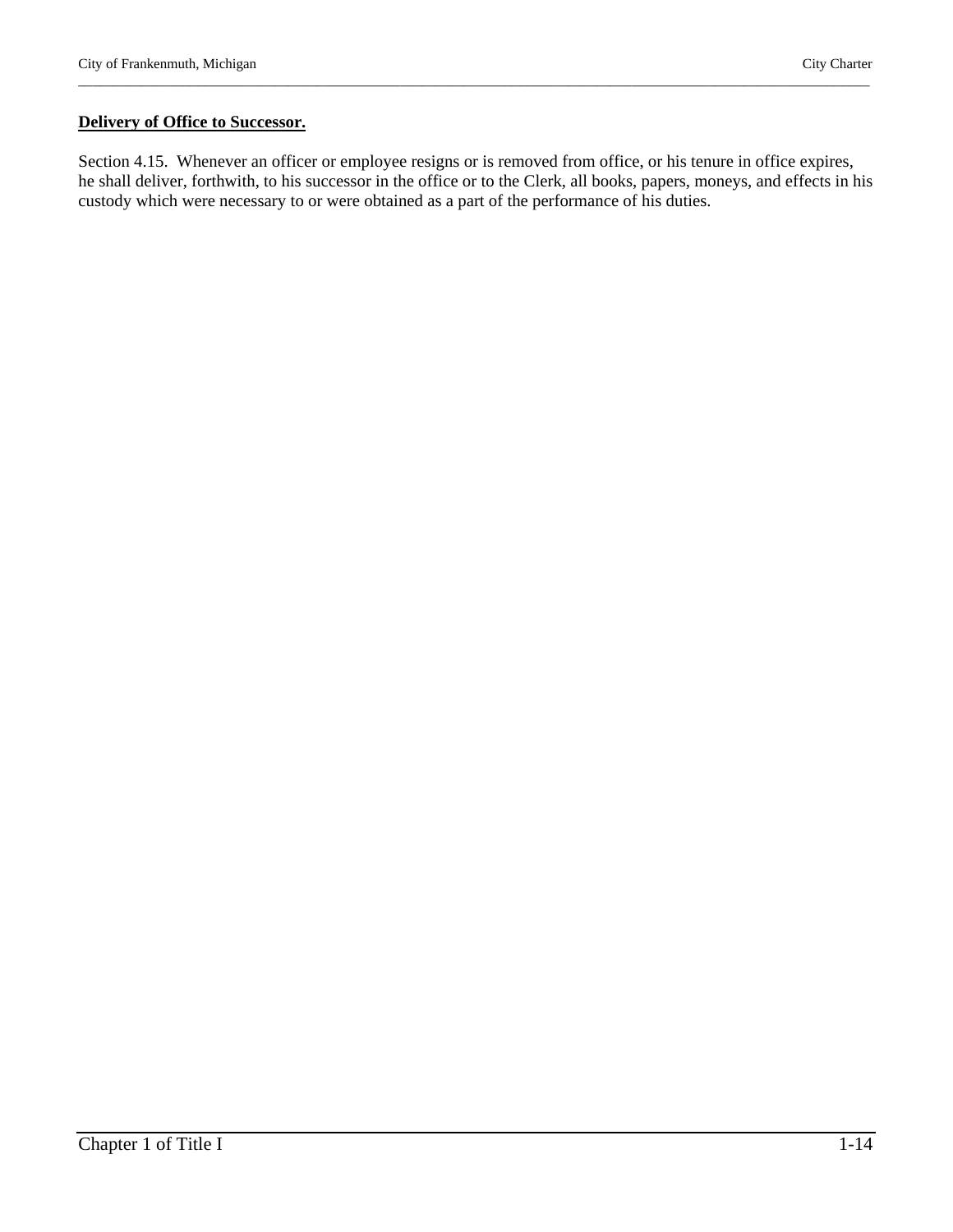#### **Delivery of Office to Successor.**

Section 4.15. Whenever an officer or employee resigns or is removed from office, or his tenure in office expires, he shall deliver, forthwith, to his successor in the office or to the Clerk, all books, papers, moneys, and effects in his custody which were necessary to or were obtained as a part of the performance of his duties.

\_\_\_\_\_\_\_\_\_\_\_\_\_\_\_\_\_\_\_\_\_\_\_\_\_\_\_\_\_\_\_\_\_\_\_\_\_\_\_\_\_\_\_\_\_\_\_\_\_\_\_\_\_\_\_\_\_\_\_\_\_\_\_\_\_\_\_\_\_\_\_\_\_\_\_\_\_\_\_\_\_\_\_\_\_\_\_\_\_\_\_\_\_\_\_\_\_\_\_\_\_\_\_\_\_\_\_\_\_\_\_\_\_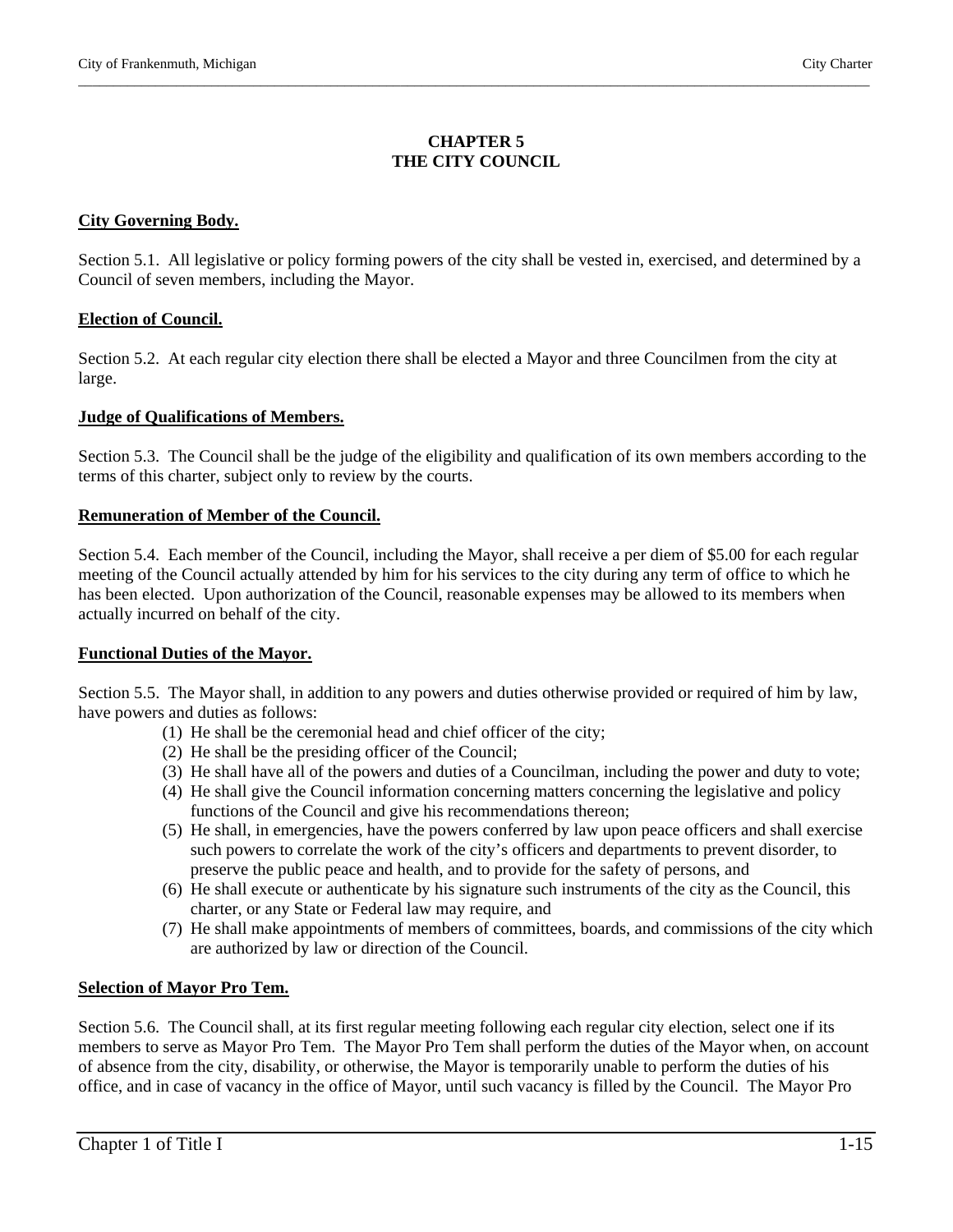# **CHAPTER 5 THE CITY COUNCIL**

\_\_\_\_\_\_\_\_\_\_\_\_\_\_\_\_\_\_\_\_\_\_\_\_\_\_\_\_\_\_\_\_\_\_\_\_\_\_\_\_\_\_\_\_\_\_\_\_\_\_\_\_\_\_\_\_\_\_\_\_\_\_\_\_\_\_\_\_\_\_\_\_\_\_\_\_\_\_\_\_\_\_\_\_\_\_\_\_\_\_\_\_\_\_\_\_\_\_\_\_\_\_\_\_\_\_\_\_\_\_\_\_\_

#### **City Governing Body.**

Section 5.1. All legislative or policy forming powers of the city shall be vested in, exercised, and determined by a Council of seven members, including the Mayor.

#### **Election of Council.**

Section 5.2. At each regular city election there shall be elected a Mayor and three Councilmen from the city at large.

#### **Judge of Qualifications of Members.**

Section 5.3. The Council shall be the judge of the eligibility and qualification of its own members according to the terms of this charter, subject only to review by the courts.

#### **Remuneration of Member of the Council.**

Section 5.4. Each member of the Council, including the Mayor, shall receive a per diem of \$5.00 for each regular meeting of the Council actually attended by him for his services to the city during any term of office to which he has been elected. Upon authorization of the Council, reasonable expenses may be allowed to its members when actually incurred on behalf of the city.

#### **Functional Duties of the Mayor.**

Section 5.5. The Mayor shall, in addition to any powers and duties otherwise provided or required of him by law, have powers and duties as follows:

- (1) He shall be the ceremonial head and chief officer of the city;
- (2) He shall be the presiding officer of the Council;
- (3) He shall have all of the powers and duties of a Councilman, including the power and duty to vote;
- (4) He shall give the Council information concerning matters concerning the legislative and policy functions of the Council and give his recommendations thereon;
- (5) He shall, in emergencies, have the powers conferred by law upon peace officers and shall exercise such powers to correlate the work of the city's officers and departments to prevent disorder, to preserve the public peace and health, and to provide for the safety of persons, and
- (6) He shall execute or authenticate by his signature such instruments of the city as the Council, this charter, or any State or Federal law may require, and
- (7) He shall make appointments of members of committees, boards, and commissions of the city which are authorized by law or direction of the Council.

# **Selection of Mayor Pro Tem.**

Section 5.6. The Council shall, at its first regular meeting following each regular city election, select one if its members to serve as Mayor Pro Tem. The Mayor Pro Tem shall perform the duties of the Mayor when, on account of absence from the city, disability, or otherwise, the Mayor is temporarily unable to perform the duties of his office, and in case of vacancy in the office of Mayor, until such vacancy is filled by the Council. The Mayor Pro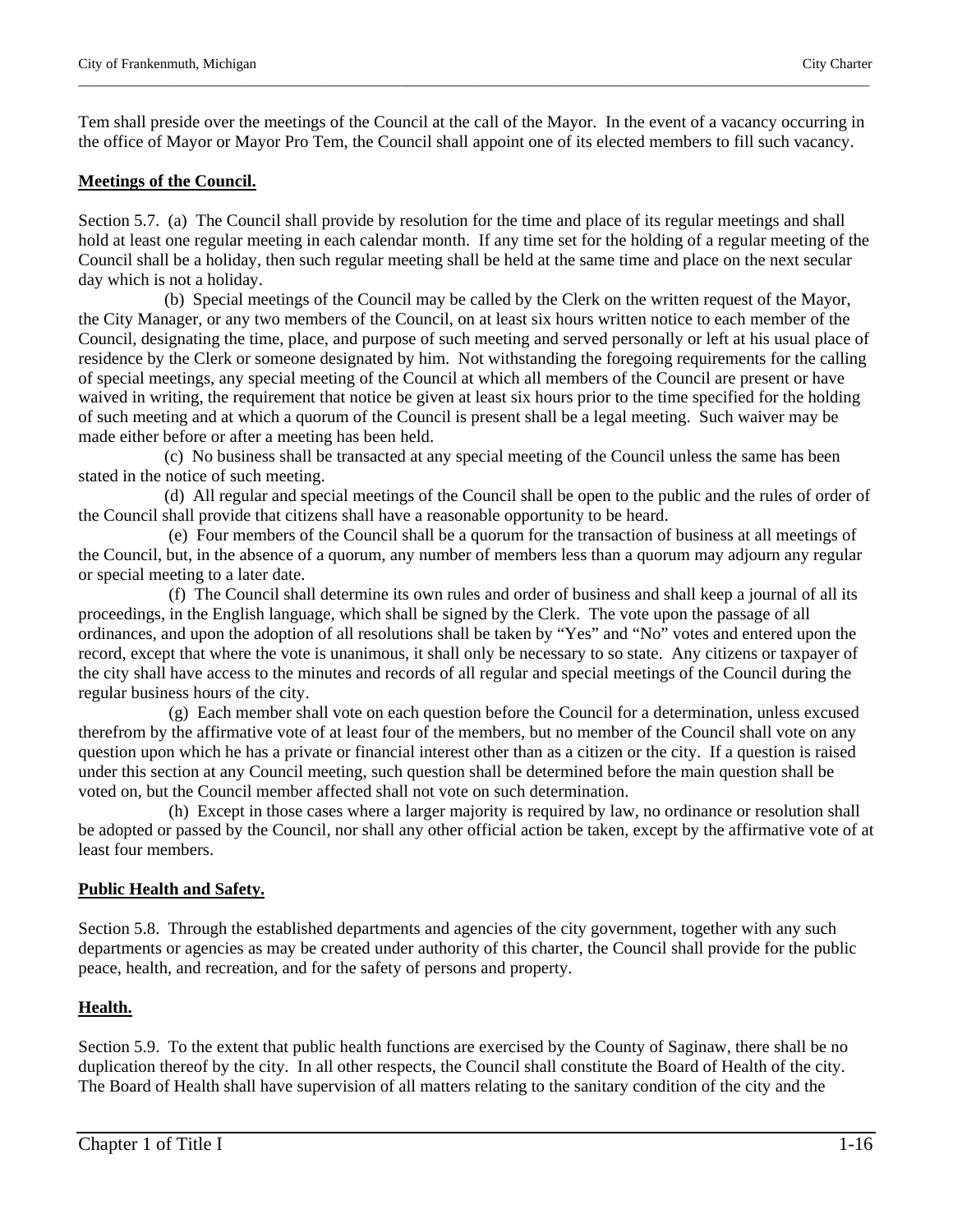Tem shall preside over the meetings of the Council at the call of the Mayor. In the event of a vacancy occurring in the office of Mayor or Mayor Pro Tem, the Council shall appoint one of its elected members to fill such vacancy.

\_\_\_\_\_\_\_\_\_\_\_\_\_\_\_\_\_\_\_\_\_\_\_\_\_\_\_\_\_\_\_\_\_\_\_\_\_\_\_\_\_\_\_\_\_\_\_\_\_\_\_\_\_\_\_\_\_\_\_\_\_\_\_\_\_\_\_\_\_\_\_\_\_\_\_\_\_\_\_\_\_\_\_\_\_\_\_\_\_\_\_\_\_\_\_\_\_\_\_\_\_\_\_\_\_\_\_\_\_\_\_\_\_

# **Meetings of the Council.**

Section 5.7. (a) The Council shall provide by resolution for the time and place of its regular meetings and shall hold at least one regular meeting in each calendar month. If any time set for the holding of a regular meeting of the Council shall be a holiday, then such regular meeting shall be held at the same time and place on the next secular day which is not a holiday.

 (b) Special meetings of the Council may be called by the Clerk on the written request of the Mayor, the City Manager, or any two members of the Council, on at least six hours written notice to each member of the Council, designating the time, place, and purpose of such meeting and served personally or left at his usual place of residence by the Clerk or someone designated by him. Not withstanding the foregoing requirements for the calling of special meetings, any special meeting of the Council at which all members of the Council are present or have waived in writing, the requirement that notice be given at least six hours prior to the time specified for the holding of such meeting and at which a quorum of the Council is present shall be a legal meeting. Such waiver may be made either before or after a meeting has been held.

 (c) No business shall be transacted at any special meeting of the Council unless the same has been stated in the notice of such meeting.

 (d) All regular and special meetings of the Council shall be open to the public and the rules of order of the Council shall provide that citizens shall have a reasonable opportunity to be heard.

 (e) Four members of the Council shall be a quorum for the transaction of business at all meetings of the Council, but, in the absence of a quorum, any number of members less than a quorum may adjourn any regular or special meeting to a later date.

 (f) The Council shall determine its own rules and order of business and shall keep a journal of all its proceedings, in the English language, which shall be signed by the Clerk. The vote upon the passage of all ordinances, and upon the adoption of all resolutions shall be taken by "Yes" and "No" votes and entered upon the record, except that where the vote is unanimous, it shall only be necessary to so state. Any citizens or taxpayer of the city shall have access to the minutes and records of all regular and special meetings of the Council during the regular business hours of the city.

 (g) Each member shall vote on each question before the Council for a determination, unless excused therefrom by the affirmative vote of at least four of the members, but no member of the Council shall vote on any question upon which he has a private or financial interest other than as a citizen or the city. If a question is raised under this section at any Council meeting, such question shall be determined before the main question shall be voted on, but the Council member affected shall not vote on such determination.

 (h) Except in those cases where a larger majority is required by law, no ordinance or resolution shall be adopted or passed by the Council, nor shall any other official action be taken, except by the affirmative vote of at least four members.

# **Public Health and Safety.**

Section 5.8. Through the established departments and agencies of the city government, together with any such departments or agencies as may be created under authority of this charter, the Council shall provide for the public peace, health, and recreation, and for the safety of persons and property.

# **Health.**

Section 5.9. To the extent that public health functions are exercised by the County of Saginaw, there shall be no duplication thereof by the city. In all other respects, the Council shall constitute the Board of Health of the city. The Board of Health shall have supervision of all matters relating to the sanitary condition of the city and the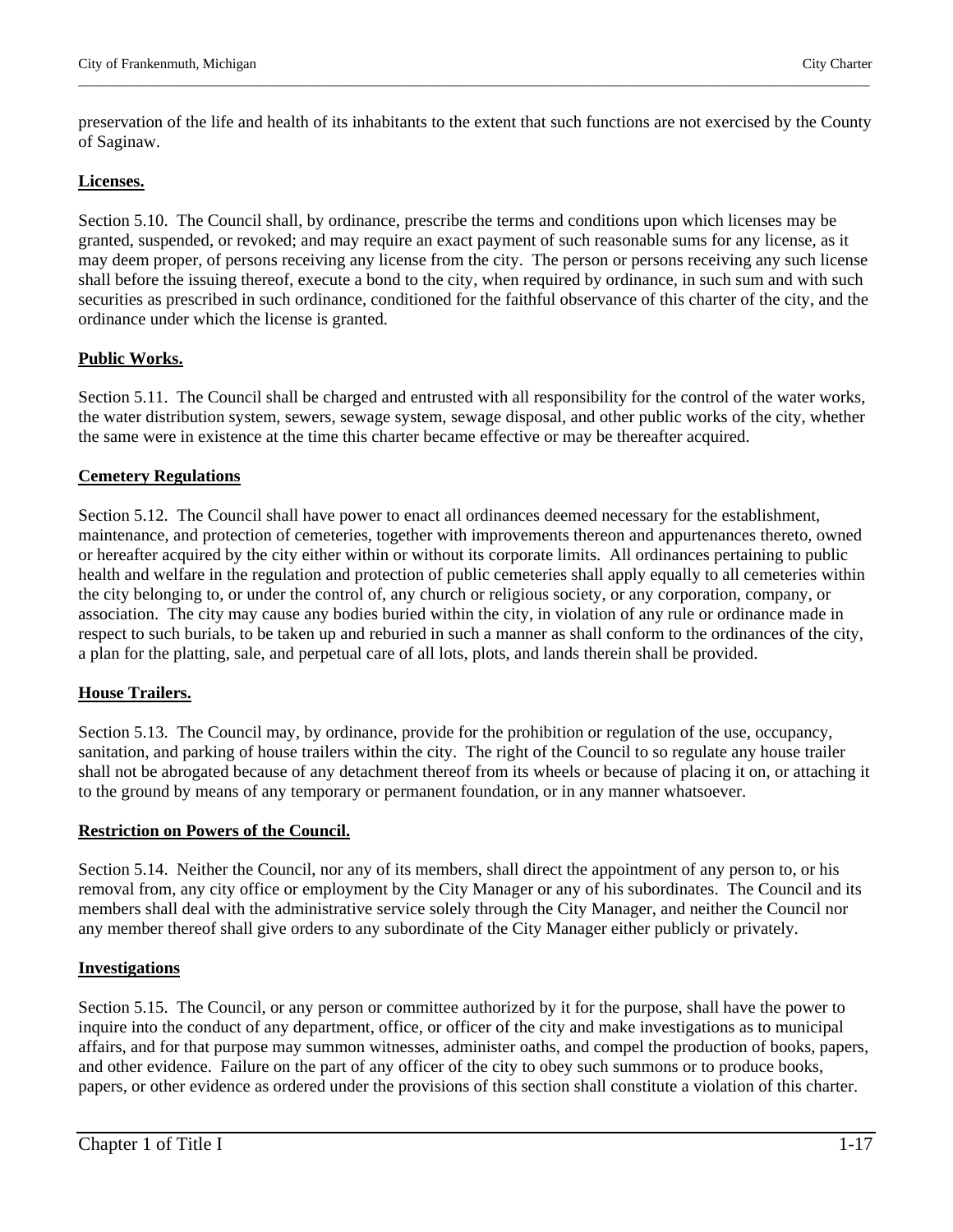preservation of the life and health of its inhabitants to the extent that such functions are not exercised by the County of Saginaw.

\_\_\_\_\_\_\_\_\_\_\_\_\_\_\_\_\_\_\_\_\_\_\_\_\_\_\_\_\_\_\_\_\_\_\_\_\_\_\_\_\_\_\_\_\_\_\_\_\_\_\_\_\_\_\_\_\_\_\_\_\_\_\_\_\_\_\_\_\_\_\_\_\_\_\_\_\_\_\_\_\_\_\_\_\_\_\_\_\_\_\_\_\_\_\_\_\_\_\_\_\_\_\_\_\_\_\_\_\_\_\_\_\_

# **Licenses.**

Section 5.10. The Council shall, by ordinance, prescribe the terms and conditions upon which licenses may be granted, suspended, or revoked; and may require an exact payment of such reasonable sums for any license, as it may deem proper, of persons receiving any license from the city. The person or persons receiving any such license shall before the issuing thereof, execute a bond to the city, when required by ordinance, in such sum and with such securities as prescribed in such ordinance, conditioned for the faithful observance of this charter of the city, and the ordinance under which the license is granted.

# **Public Works.**

Section 5.11. The Council shall be charged and entrusted with all responsibility for the control of the water works, the water distribution system, sewers, sewage system, sewage disposal, and other public works of the city, whether the same were in existence at the time this charter became effective or may be thereafter acquired.

# **Cemetery Regulations**

Section 5.12. The Council shall have power to enact all ordinances deemed necessary for the establishment, maintenance, and protection of cemeteries, together with improvements thereon and appurtenances thereto, owned or hereafter acquired by the city either within or without its corporate limits. All ordinances pertaining to public health and welfare in the regulation and protection of public cemeteries shall apply equally to all cemeteries within the city belonging to, or under the control of, any church or religious society, or any corporation, company, or association. The city may cause any bodies buried within the city, in violation of any rule or ordinance made in respect to such burials, to be taken up and reburied in such a manner as shall conform to the ordinances of the city, a plan for the platting, sale, and perpetual care of all lots, plots, and lands therein shall be provided.

# **House Trailers.**

Section 5.13. The Council may, by ordinance, provide for the prohibition or regulation of the use, occupancy, sanitation, and parking of house trailers within the city. The right of the Council to so regulate any house trailer shall not be abrogated because of any detachment thereof from its wheels or because of placing it on, or attaching it to the ground by means of any temporary or permanent foundation, or in any manner whatsoever.

# **Restriction on Powers of the Council.**

Section 5.14. Neither the Council, nor any of its members, shall direct the appointment of any person to, or his removal from, any city office or employment by the City Manager or any of his subordinates. The Council and its members shall deal with the administrative service solely through the City Manager, and neither the Council nor any member thereof shall give orders to any subordinate of the City Manager either publicly or privately.

# **Investigations**

Section 5.15. The Council, or any person or committee authorized by it for the purpose, shall have the power to inquire into the conduct of any department, office, or officer of the city and make investigations as to municipal affairs, and for that purpose may summon witnesses, administer oaths, and compel the production of books, papers, and other evidence. Failure on the part of any officer of the city to obey such summons or to produce books, papers, or other evidence as ordered under the provisions of this section shall constitute a violation of this charter.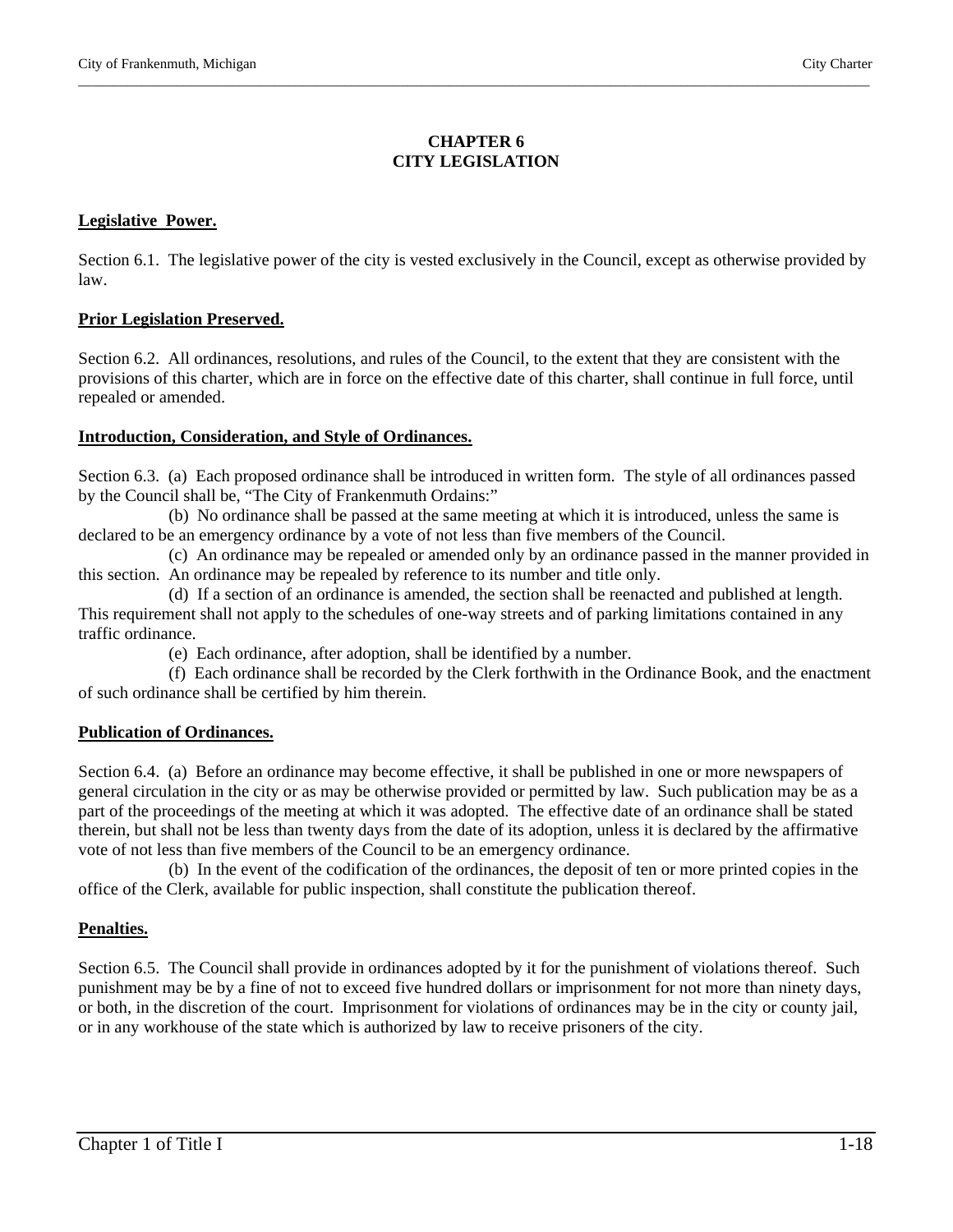# **CHAPTER 6 CITY LEGISLATION**

\_\_\_\_\_\_\_\_\_\_\_\_\_\_\_\_\_\_\_\_\_\_\_\_\_\_\_\_\_\_\_\_\_\_\_\_\_\_\_\_\_\_\_\_\_\_\_\_\_\_\_\_\_\_\_\_\_\_\_\_\_\_\_\_\_\_\_\_\_\_\_\_\_\_\_\_\_\_\_\_\_\_\_\_\_\_\_\_\_\_\_\_\_\_\_\_\_\_\_\_\_\_\_\_\_\_\_\_\_\_\_\_\_

# **Legislative Power.**

Section 6.1. The legislative power of the city is vested exclusively in the Council, except as otherwise provided by law.

# **Prior Legislation Preserved.**

Section 6.2. All ordinances, resolutions, and rules of the Council, to the extent that they are consistent with the provisions of this charter, which are in force on the effective date of this charter, shall continue in full force, until repealed or amended.

# **Introduction, Consideration, and Style of Ordinances.**

Section 6.3. (a) Each proposed ordinance shall be introduced in written form. The style of all ordinances passed by the Council shall be, "The City of Frankenmuth Ordains:"

 (b) No ordinance shall be passed at the same meeting at which it is introduced, unless the same is declared to be an emergency ordinance by a vote of not less than five members of the Council.

 (c) An ordinance may be repealed or amended only by an ordinance passed in the manner provided in this section. An ordinance may be repealed by reference to its number and title only.

 (d) If a section of an ordinance is amended, the section shall be reenacted and published at length. This requirement shall not apply to the schedules of one-way streets and of parking limitations contained in any traffic ordinance.

(e) Each ordinance, after adoption, shall be identified by a number.

 (f) Each ordinance shall be recorded by the Clerk forthwith in the Ordinance Book, and the enactment of such ordinance shall be certified by him therein.

# **Publication of Ordinances.**

Section 6.4. (a) Before an ordinance may become effective, it shall be published in one or more newspapers of general circulation in the city or as may be otherwise provided or permitted by law. Such publication may be as a part of the proceedings of the meeting at which it was adopted. The effective date of an ordinance shall be stated therein, but shall not be less than twenty days from the date of its adoption, unless it is declared by the affirmative vote of not less than five members of the Council to be an emergency ordinance.

 (b) In the event of the codification of the ordinances, the deposit of ten or more printed copies in the office of the Clerk, available for public inspection, shall constitute the publication thereof.

# **Penalties.**

Section 6.5. The Council shall provide in ordinances adopted by it for the punishment of violations thereof. Such punishment may be by a fine of not to exceed five hundred dollars or imprisonment for not more than ninety days, or both, in the discretion of the court. Imprisonment for violations of ordinances may be in the city or county jail, or in any workhouse of the state which is authorized by law to receive prisoners of the city.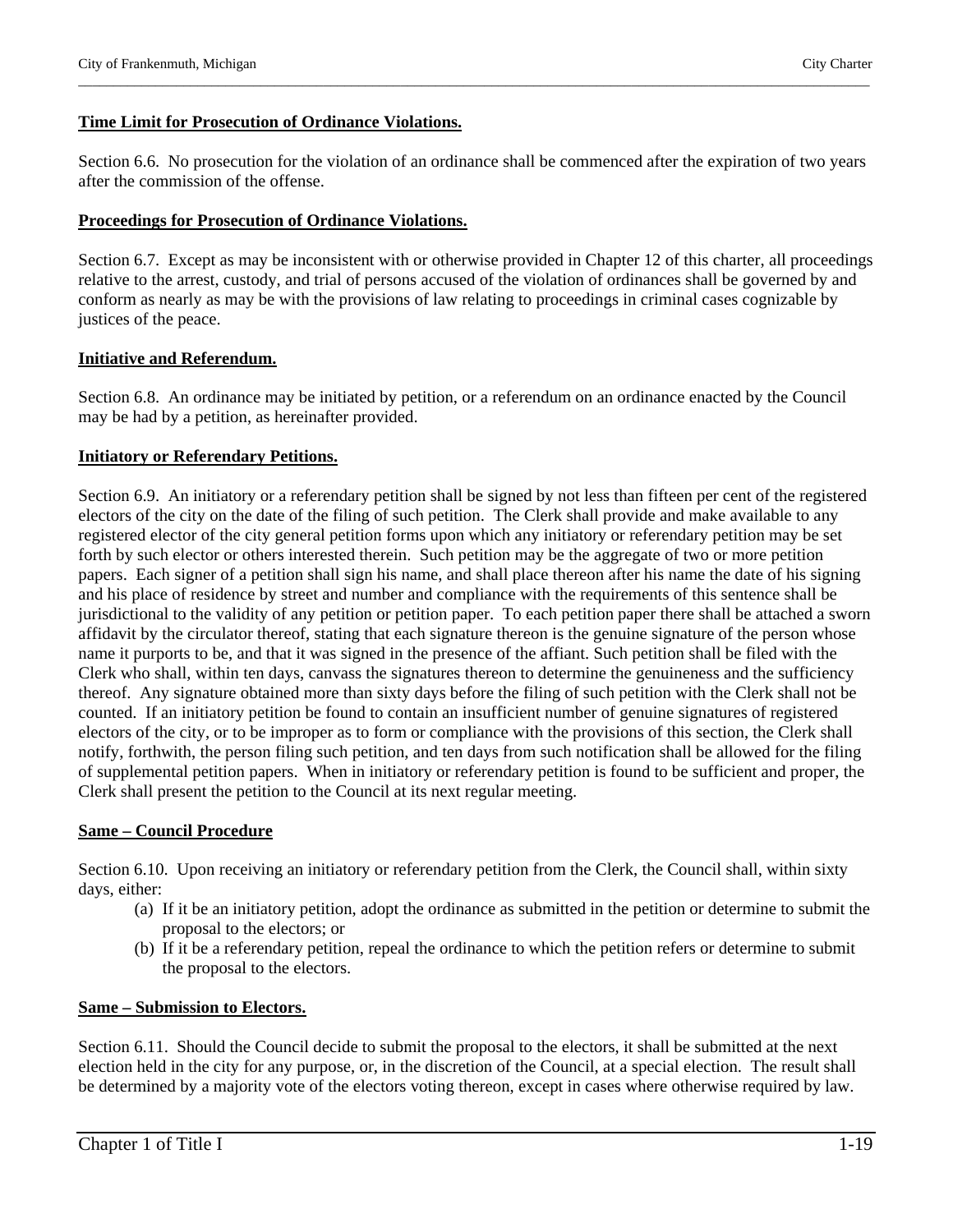#### **Time Limit for Prosecution of Ordinance Violations.**

Section 6.6. No prosecution for the violation of an ordinance shall be commenced after the expiration of two years after the commission of the offense.

\_\_\_\_\_\_\_\_\_\_\_\_\_\_\_\_\_\_\_\_\_\_\_\_\_\_\_\_\_\_\_\_\_\_\_\_\_\_\_\_\_\_\_\_\_\_\_\_\_\_\_\_\_\_\_\_\_\_\_\_\_\_\_\_\_\_\_\_\_\_\_\_\_\_\_\_\_\_\_\_\_\_\_\_\_\_\_\_\_\_\_\_\_\_\_\_\_\_\_\_\_\_\_\_\_\_\_\_\_\_\_\_\_

#### **Proceedings for Prosecution of Ordinance Violations.**

Section 6.7. Except as may be inconsistent with or otherwise provided in Chapter 12 of this charter, all proceedings relative to the arrest, custody, and trial of persons accused of the violation of ordinances shall be governed by and conform as nearly as may be with the provisions of law relating to proceedings in criminal cases cognizable by justices of the peace.

#### **Initiative and Referendum.**

Section 6.8. An ordinance may be initiated by petition, or a referendum on an ordinance enacted by the Council may be had by a petition, as hereinafter provided.

#### **Initiatory or Referendary Petitions.**

Section 6.9. An initiatory or a referendary petition shall be signed by not less than fifteen per cent of the registered electors of the city on the date of the filing of such petition. The Clerk shall provide and make available to any registered elector of the city general petition forms upon which any initiatory or referendary petition may be set forth by such elector or others interested therein. Such petition may be the aggregate of two or more petition papers. Each signer of a petition shall sign his name, and shall place thereon after his name the date of his signing and his place of residence by street and number and compliance with the requirements of this sentence shall be jurisdictional to the validity of any petition or petition paper. To each petition paper there shall be attached a sworn affidavit by the circulator thereof, stating that each signature thereon is the genuine signature of the person whose name it purports to be, and that it was signed in the presence of the affiant. Such petition shall be filed with the Clerk who shall, within ten days, canvass the signatures thereon to determine the genuineness and the sufficiency thereof. Any signature obtained more than sixty days before the filing of such petition with the Clerk shall not be counted. If an initiatory petition be found to contain an insufficient number of genuine signatures of registered electors of the city, or to be improper as to form or compliance with the provisions of this section, the Clerk shall notify, forthwith, the person filing such petition, and ten days from such notification shall be allowed for the filing of supplemental petition papers. When in initiatory or referendary petition is found to be sufficient and proper, the Clerk shall present the petition to the Council at its next regular meeting.

#### **Same – Council Procedure**

Section 6.10. Upon receiving an initiatory or referendary petition from the Clerk, the Council shall, within sixty days, either:

- (a) If it be an initiatory petition, adopt the ordinance as submitted in the petition or determine to submit the proposal to the electors; or
- (b) If it be a referendary petition, repeal the ordinance to which the petition refers or determine to submit the proposal to the electors.

#### **Same – Submission to Electors.**

Section 6.11. Should the Council decide to submit the proposal to the electors, it shall be submitted at the next election held in the city for any purpose, or, in the discretion of the Council, at a special election. The result shall be determined by a majority vote of the electors voting thereon, except in cases where otherwise required by law.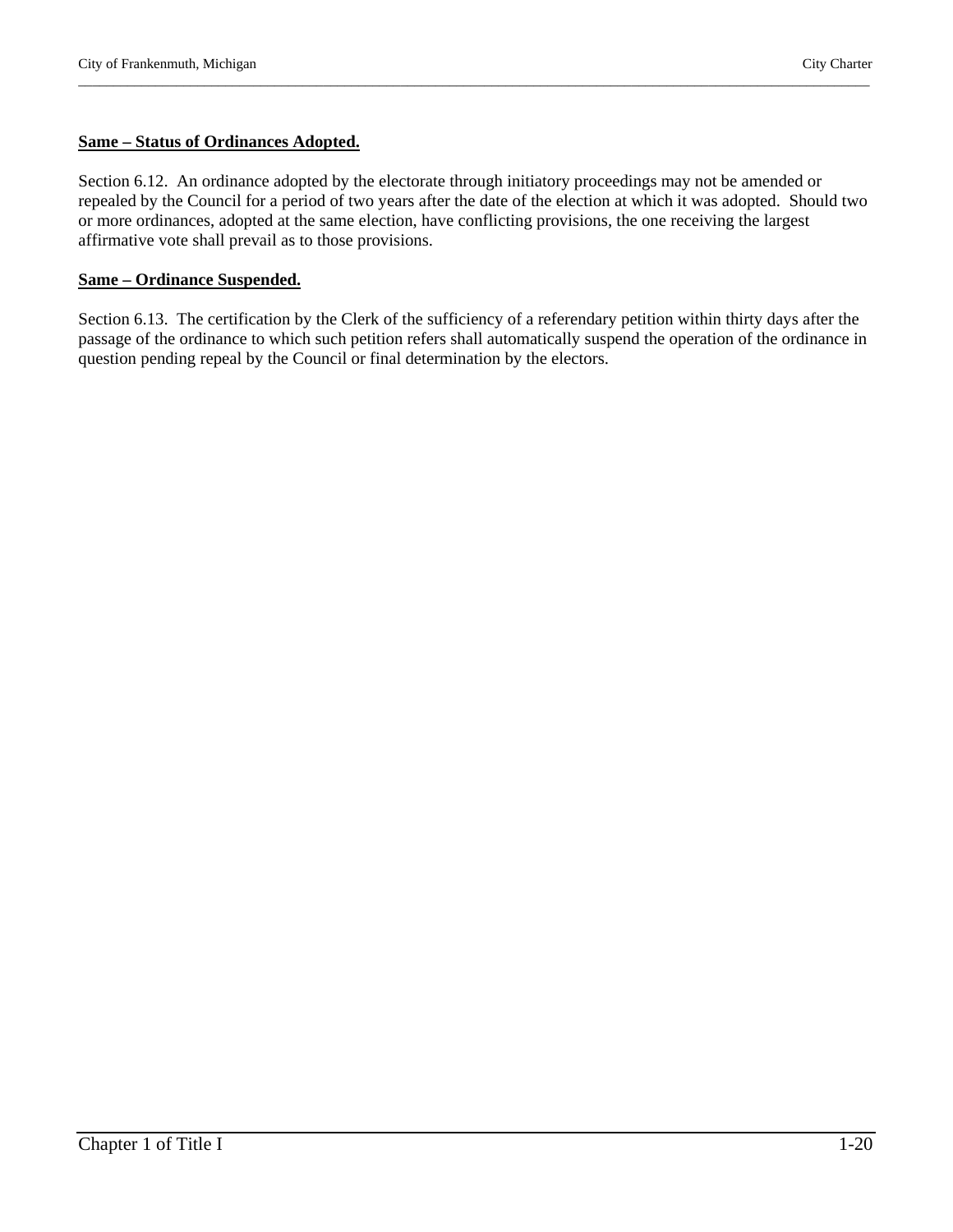# **Same – Status of Ordinances Adopted.**

Section 6.12. An ordinance adopted by the electorate through initiatory proceedings may not be amended or repealed by the Council for a period of two years after the date of the election at which it was adopted. Should two or more ordinances, adopted at the same election, have conflicting provisions, the one receiving the largest affirmative vote shall prevail as to those provisions.

\_\_\_\_\_\_\_\_\_\_\_\_\_\_\_\_\_\_\_\_\_\_\_\_\_\_\_\_\_\_\_\_\_\_\_\_\_\_\_\_\_\_\_\_\_\_\_\_\_\_\_\_\_\_\_\_\_\_\_\_\_\_\_\_\_\_\_\_\_\_\_\_\_\_\_\_\_\_\_\_\_\_\_\_\_\_\_\_\_\_\_\_\_\_\_\_\_\_\_\_\_\_\_\_\_\_\_\_\_\_\_\_\_

# **Same – Ordinance Suspended.**

Section 6.13. The certification by the Clerk of the sufficiency of a referendary petition within thirty days after the passage of the ordinance to which such petition refers shall automatically suspend the operation of the ordinance in question pending repeal by the Council or final determination by the electors.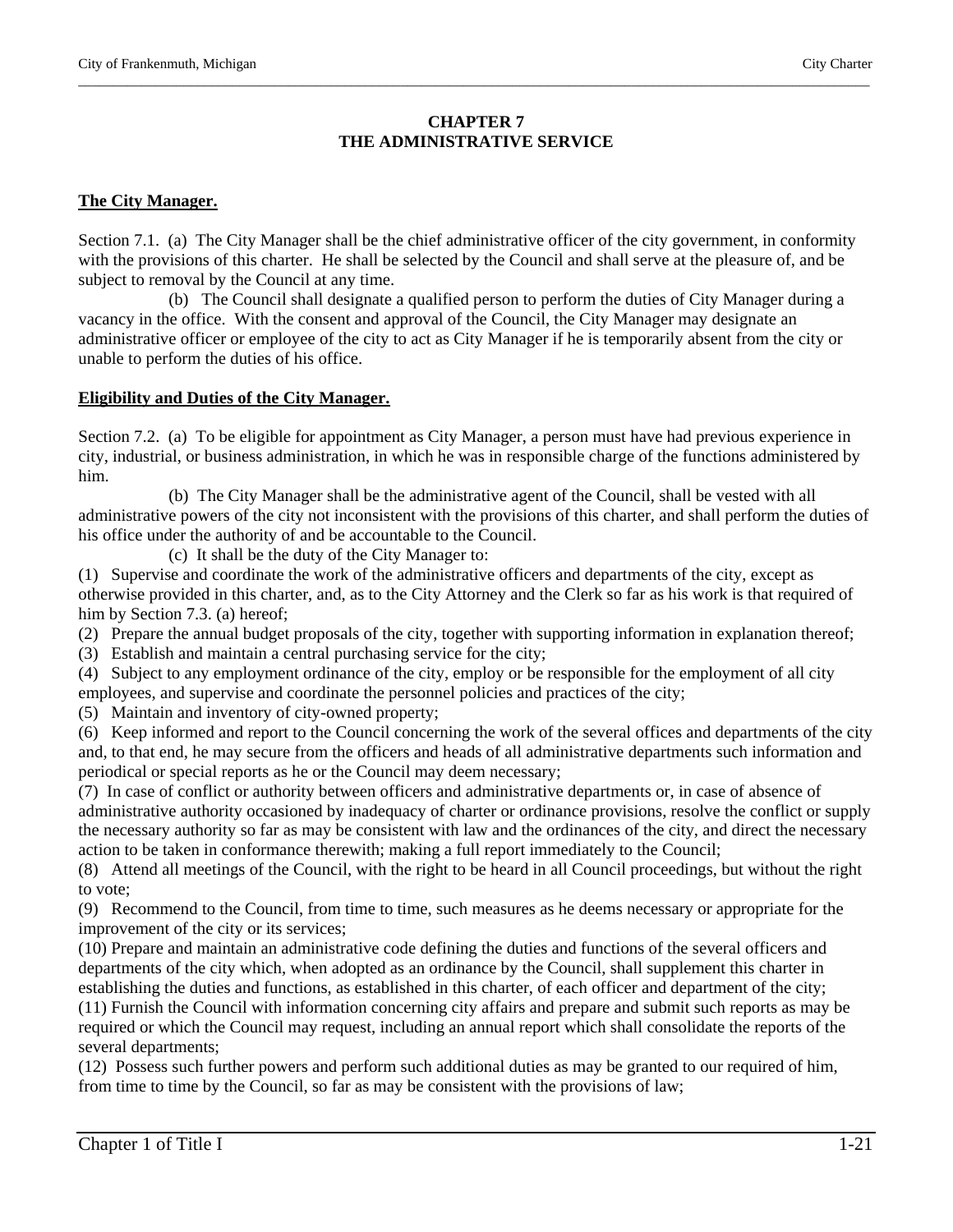# **CHAPTER 7 THE ADMINISTRATIVE SERVICE**

\_\_\_\_\_\_\_\_\_\_\_\_\_\_\_\_\_\_\_\_\_\_\_\_\_\_\_\_\_\_\_\_\_\_\_\_\_\_\_\_\_\_\_\_\_\_\_\_\_\_\_\_\_\_\_\_\_\_\_\_\_\_\_\_\_\_\_\_\_\_\_\_\_\_\_\_\_\_\_\_\_\_\_\_\_\_\_\_\_\_\_\_\_\_\_\_\_\_\_\_\_\_\_\_\_\_\_\_\_\_\_\_\_

# **The City Manager.**

Section 7.1. (a) The City Manager shall be the chief administrative officer of the city government, in conformity with the provisions of this charter. He shall be selected by the Council and shall serve at the pleasure of, and be subject to removal by the Council at any time.

 (b) The Council shall designate a qualified person to perform the duties of City Manager during a vacancy in the office. With the consent and approval of the Council, the City Manager may designate an administrative officer or employee of the city to act as City Manager if he is temporarily absent from the city or unable to perform the duties of his office.

# **Eligibility and Duties of the City Manager.**

Section 7.2. (a) To be eligible for appointment as City Manager, a person must have had previous experience in city, industrial, or business administration, in which he was in responsible charge of the functions administered by him.

 (b) The City Manager shall be the administrative agent of the Council, shall be vested with all administrative powers of the city not inconsistent with the provisions of this charter, and shall perform the duties of his office under the authority of and be accountable to the Council.

(c) It shall be the duty of the City Manager to:

(1) Supervise and coordinate the work of the administrative officers and departments of the city, except as otherwise provided in this charter, and, as to the City Attorney and the Clerk so far as his work is that required of him by Section 7.3. (a) hereof;

- (2) Prepare the annual budget proposals of the city, together with supporting information in explanation thereof;
- (3) Establish and maintain a central purchasing service for the city;
- (4) Subject to any employment ordinance of the city, employ or be responsible for the employment of all city employees, and supervise and coordinate the personnel policies and practices of the city;

(5) Maintain and inventory of city-owned property;

(6) Keep informed and report to the Council concerning the work of the several offices and departments of the city and, to that end, he may secure from the officers and heads of all administrative departments such information and periodical or special reports as he or the Council may deem necessary;

(7) In case of conflict or authority between officers and administrative departments or, in case of absence of administrative authority occasioned by inadequacy of charter or ordinance provisions, resolve the conflict or supply the necessary authority so far as may be consistent with law and the ordinances of the city, and direct the necessary action to be taken in conformance therewith; making a full report immediately to the Council;

(8) Attend all meetings of the Council, with the right to be heard in all Council proceedings, but without the right to vote;

(9) Recommend to the Council, from time to time, such measures as he deems necessary or appropriate for the improvement of the city or its services;

(10) Prepare and maintain an administrative code defining the duties and functions of the several officers and departments of the city which, when adopted as an ordinance by the Council, shall supplement this charter in establishing the duties and functions, as established in this charter, of each officer and department of the city;

(11) Furnish the Council with information concerning city affairs and prepare and submit such reports as may be required or which the Council may request, including an annual report which shall consolidate the reports of the several departments;

(12) Possess such further powers and perform such additional duties as may be granted to our required of him, from time to time by the Council, so far as may be consistent with the provisions of law;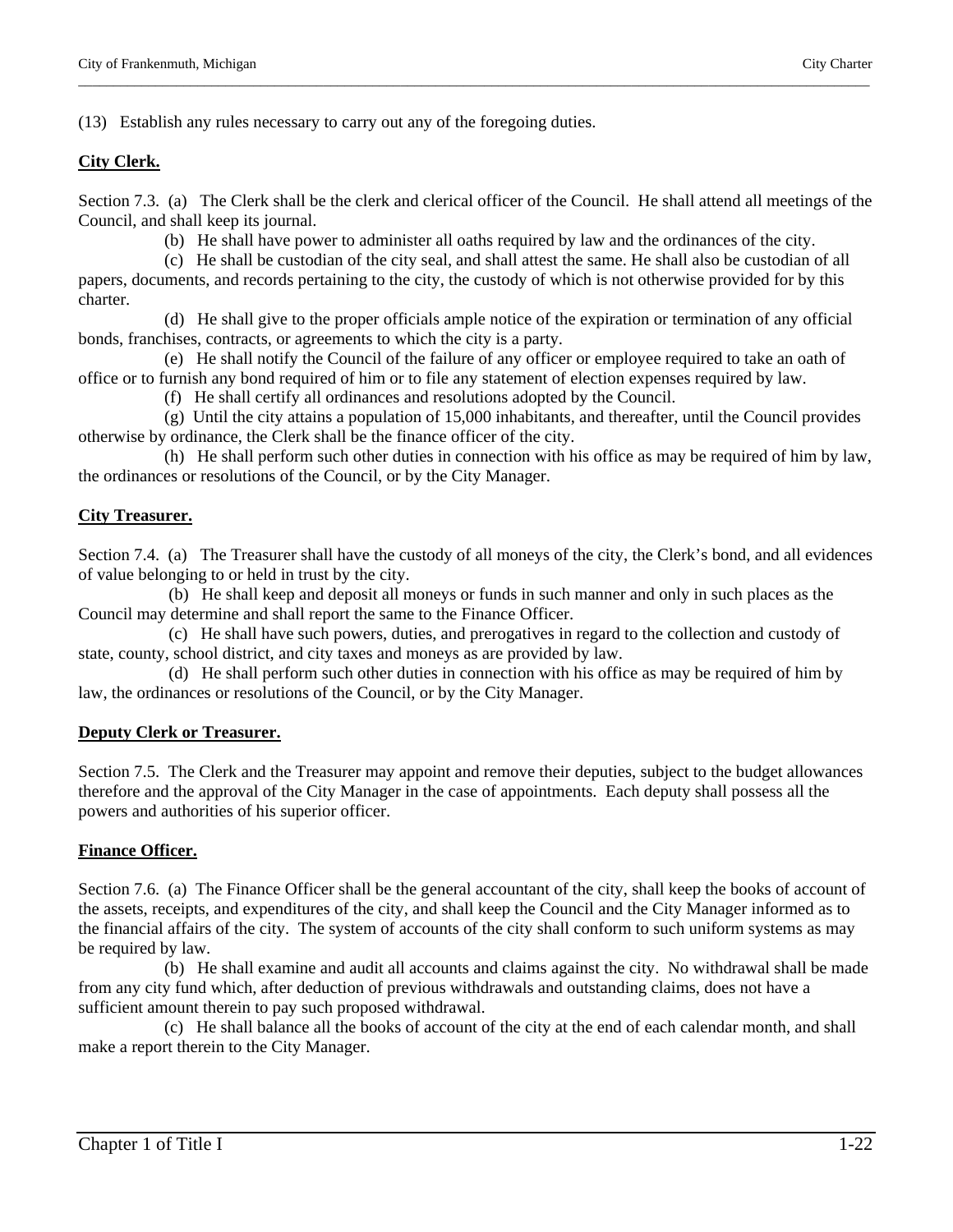(13) Establish any rules necessary to carry out any of the foregoing duties.

# **City Clerk.**

Section 7.3. (a) The Clerk shall be the clerk and clerical officer of the Council. He shall attend all meetings of the Council, and shall keep its journal.

\_\_\_\_\_\_\_\_\_\_\_\_\_\_\_\_\_\_\_\_\_\_\_\_\_\_\_\_\_\_\_\_\_\_\_\_\_\_\_\_\_\_\_\_\_\_\_\_\_\_\_\_\_\_\_\_\_\_\_\_\_\_\_\_\_\_\_\_\_\_\_\_\_\_\_\_\_\_\_\_\_\_\_\_\_\_\_\_\_\_\_\_\_\_\_\_\_\_\_\_\_\_\_\_\_\_\_\_\_\_\_\_\_

(b) He shall have power to administer all oaths required by law and the ordinances of the city.

 (c) He shall be custodian of the city seal, and shall attest the same. He shall also be custodian of all papers, documents, and records pertaining to the city, the custody of which is not otherwise provided for by this charter.

 (d) He shall give to the proper officials ample notice of the expiration or termination of any official bonds, franchises, contracts, or agreements to which the city is a party.

 (e) He shall notify the Council of the failure of any officer or employee required to take an oath of office or to furnish any bond required of him or to file any statement of election expenses required by law.

(f) He shall certify all ordinances and resolutions adopted by the Council.

 (g) Until the city attains a population of 15,000 inhabitants, and thereafter, until the Council provides otherwise by ordinance, the Clerk shall be the finance officer of the city.

 (h) He shall perform such other duties in connection with his office as may be required of him by law, the ordinances or resolutions of the Council, or by the City Manager.

# **City Treasurer.**

Section 7.4. (a) The Treasurer shall have the custody of all moneys of the city, the Clerk's bond, and all evidences of value belonging to or held in trust by the city.

 (b) He shall keep and deposit all moneys or funds in such manner and only in such places as the Council may determine and shall report the same to the Finance Officer.

 (c) He shall have such powers, duties, and prerogatives in regard to the collection and custody of state, county, school district, and city taxes and moneys as are provided by law.

 (d) He shall perform such other duties in connection with his office as may be required of him by law, the ordinances or resolutions of the Council, or by the City Manager.

# **Deputy Clerk or Treasurer.**

Section 7.5. The Clerk and the Treasurer may appoint and remove their deputies, subject to the budget allowances therefore and the approval of the City Manager in the case of appointments. Each deputy shall possess all the powers and authorities of his superior officer.

# **Finance Officer.**

Section 7.6. (a) The Finance Officer shall be the general accountant of the city, shall keep the books of account of the assets, receipts, and expenditures of the city, and shall keep the Council and the City Manager informed as to the financial affairs of the city. The system of accounts of the city shall conform to such uniform systems as may be required by law.

 (b) He shall examine and audit all accounts and claims against the city. No withdrawal shall be made from any city fund which, after deduction of previous withdrawals and outstanding claims, does not have a sufficient amount therein to pay such proposed withdrawal.

 (c) He shall balance all the books of account of the city at the end of each calendar month, and shall make a report therein to the City Manager.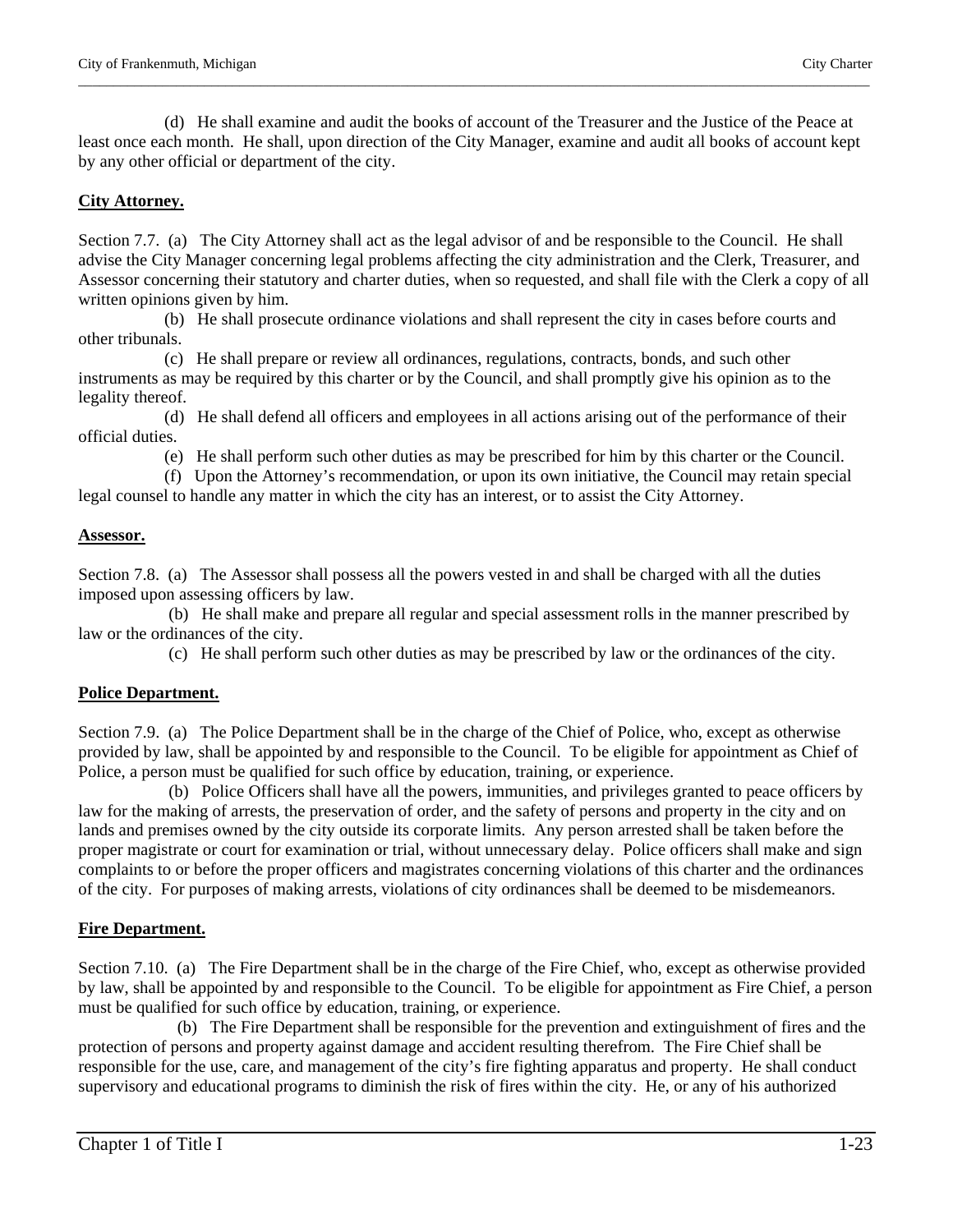(d) He shall examine and audit the books of account of the Treasurer and the Justice of the Peace at least once each month. He shall, upon direction of the City Manager, examine and audit all books of account kept by any other official or department of the city.

\_\_\_\_\_\_\_\_\_\_\_\_\_\_\_\_\_\_\_\_\_\_\_\_\_\_\_\_\_\_\_\_\_\_\_\_\_\_\_\_\_\_\_\_\_\_\_\_\_\_\_\_\_\_\_\_\_\_\_\_\_\_\_\_\_\_\_\_\_\_\_\_\_\_\_\_\_\_\_\_\_\_\_\_\_\_\_\_\_\_\_\_\_\_\_\_\_\_\_\_\_\_\_\_\_\_\_\_\_\_\_\_\_

#### **City Attorney.**

Section 7.7. (a) The City Attorney shall act as the legal advisor of and be responsible to the Council. He shall advise the City Manager concerning legal problems affecting the city administration and the Clerk, Treasurer, and Assessor concerning their statutory and charter duties, when so requested, and shall file with the Clerk a copy of all written opinions given by him.

 (b) He shall prosecute ordinance violations and shall represent the city in cases before courts and other tribunals.

 (c) He shall prepare or review all ordinances, regulations, contracts, bonds, and such other instruments as may be required by this charter or by the Council, and shall promptly give his opinion as to the legality thereof.

 (d) He shall defend all officers and employees in all actions arising out of the performance of their official duties.

(e) He shall perform such other duties as may be prescribed for him by this charter or the Council.

 (f) Upon the Attorney's recommendation, or upon its own initiative, the Council may retain special legal counsel to handle any matter in which the city has an interest, or to assist the City Attorney.

#### **Assessor.**

Section 7.8. (a) The Assessor shall possess all the powers vested in and shall be charged with all the duties imposed upon assessing officers by law.

 (b) He shall make and prepare all regular and special assessment rolls in the manner prescribed by law or the ordinances of the city.

(c) He shall perform such other duties as may be prescribed by law or the ordinances of the city.

#### **Police Department.**

Section 7.9. (a) The Police Department shall be in the charge of the Chief of Police, who, except as otherwise provided by law, shall be appointed by and responsible to the Council. To be eligible for appointment as Chief of Police, a person must be qualified for such office by education, training, or experience.

 (b) Police Officers shall have all the powers, immunities, and privileges granted to peace officers by law for the making of arrests, the preservation of order, and the safety of persons and property in the city and on lands and premises owned by the city outside its corporate limits. Any person arrested shall be taken before the proper magistrate or court for examination or trial, without unnecessary delay. Police officers shall make and sign complaints to or before the proper officers and magistrates concerning violations of this charter and the ordinances of the city. For purposes of making arrests, violations of city ordinances shall be deemed to be misdemeanors.

#### **Fire Department.**

Section 7.10. (a) The Fire Department shall be in the charge of the Fire Chief, who, except as otherwise provided by law, shall be appointed by and responsible to the Council. To be eligible for appointment as Fire Chief, a person must be qualified for such office by education, training, or experience.

 (b) The Fire Department shall be responsible for the prevention and extinguishment of fires and the protection of persons and property against damage and accident resulting therefrom. The Fire Chief shall be responsible for the use, care, and management of the city's fire fighting apparatus and property. He shall conduct supervisory and educational programs to diminish the risk of fires within the city. He, or any of his authorized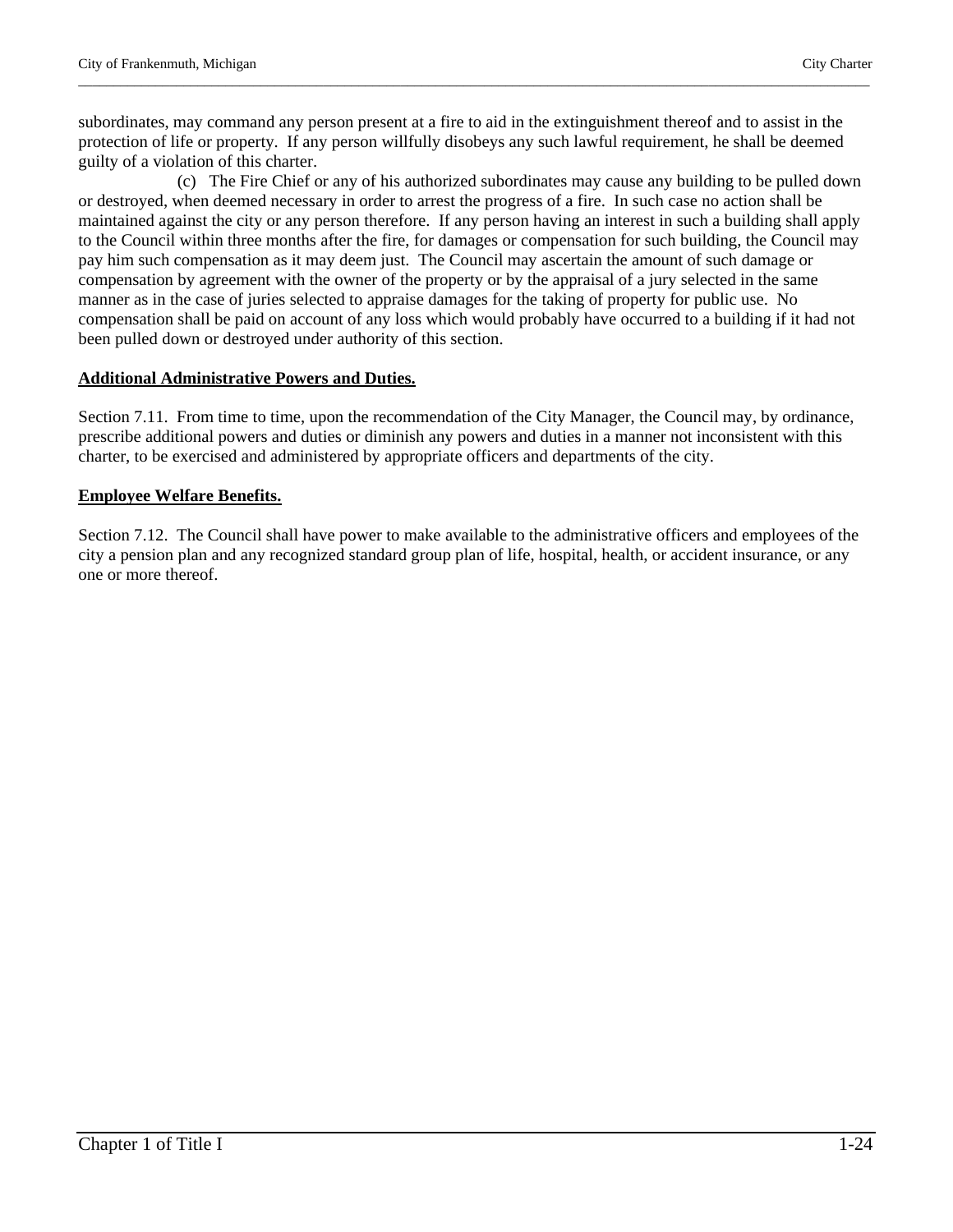subordinates, may command any person present at a fire to aid in the extinguishment thereof and to assist in the protection of life or property. If any person willfully disobeys any such lawful requirement, he shall be deemed guilty of a violation of this charter.

\_\_\_\_\_\_\_\_\_\_\_\_\_\_\_\_\_\_\_\_\_\_\_\_\_\_\_\_\_\_\_\_\_\_\_\_\_\_\_\_\_\_\_\_\_\_\_\_\_\_\_\_\_\_\_\_\_\_\_\_\_\_\_\_\_\_\_\_\_\_\_\_\_\_\_\_\_\_\_\_\_\_\_\_\_\_\_\_\_\_\_\_\_\_\_\_\_\_\_\_\_\_\_\_\_\_\_\_\_\_\_\_\_

 (c) The Fire Chief or any of his authorized subordinates may cause any building to be pulled down or destroyed, when deemed necessary in order to arrest the progress of a fire. In such case no action shall be maintained against the city or any person therefore. If any person having an interest in such a building shall apply to the Council within three months after the fire, for damages or compensation for such building, the Council may pay him such compensation as it may deem just. The Council may ascertain the amount of such damage or compensation by agreement with the owner of the property or by the appraisal of a jury selected in the same manner as in the case of juries selected to appraise damages for the taking of property for public use. No compensation shall be paid on account of any loss which would probably have occurred to a building if it had not been pulled down or destroyed under authority of this section.

# **Additional Administrative Powers and Duties.**

Section 7.11. From time to time, upon the recommendation of the City Manager, the Council may, by ordinance, prescribe additional powers and duties or diminish any powers and duties in a manner not inconsistent with this charter, to be exercised and administered by appropriate officers and departments of the city.

# **Employee Welfare Benefits.**

Section 7.12. The Council shall have power to make available to the administrative officers and employees of the city a pension plan and any recognized standard group plan of life, hospital, health, or accident insurance, or any one or more thereof.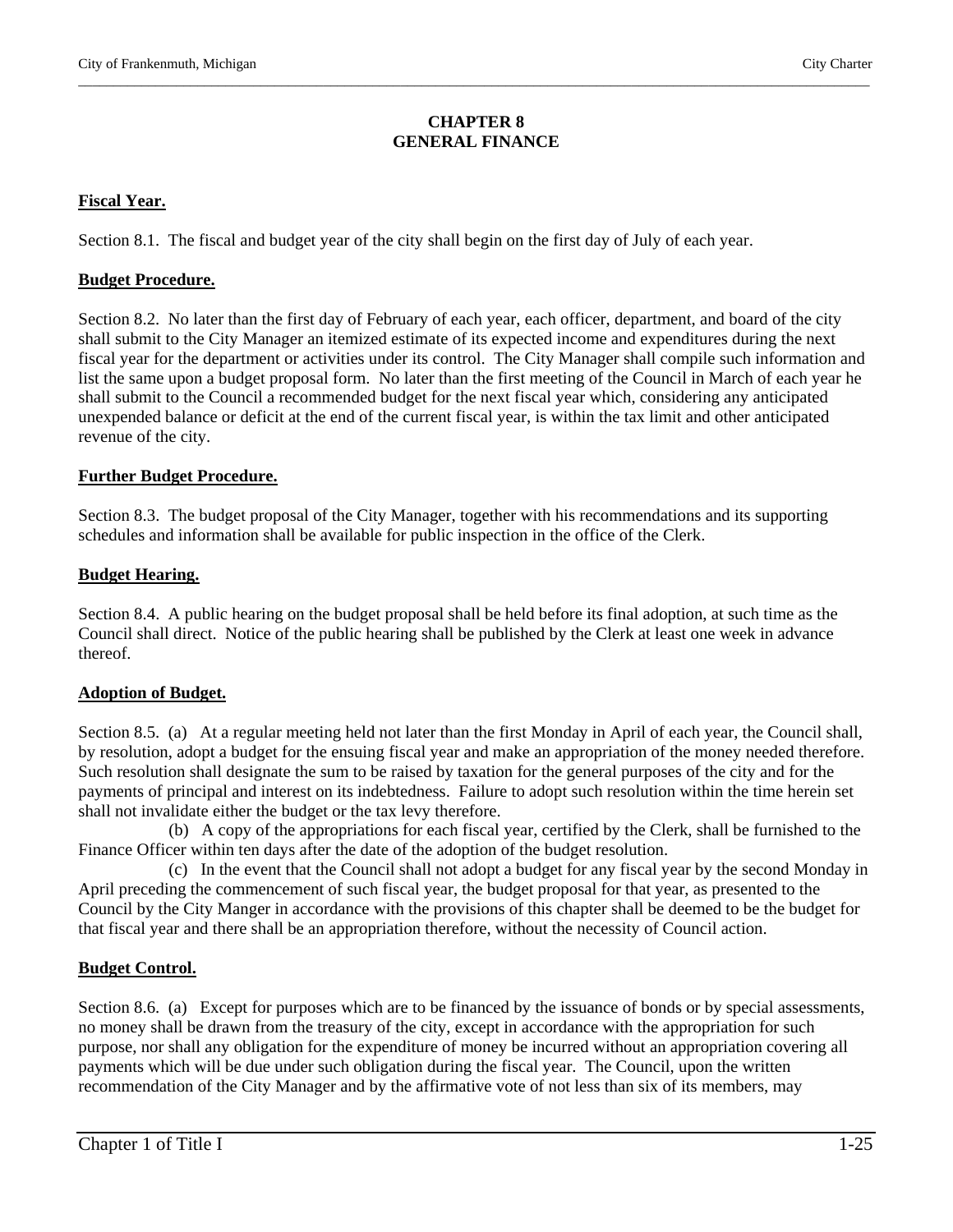#### **CHAPTER 8 GENERAL FINANCE**

\_\_\_\_\_\_\_\_\_\_\_\_\_\_\_\_\_\_\_\_\_\_\_\_\_\_\_\_\_\_\_\_\_\_\_\_\_\_\_\_\_\_\_\_\_\_\_\_\_\_\_\_\_\_\_\_\_\_\_\_\_\_\_\_\_\_\_\_\_\_\_\_\_\_\_\_\_\_\_\_\_\_\_\_\_\_\_\_\_\_\_\_\_\_\_\_\_\_\_\_\_\_\_\_\_\_\_\_\_\_\_\_\_

# **Fiscal Year.**

Section 8.1. The fiscal and budget year of the city shall begin on the first day of July of each year.

#### **Budget Procedure.**

Section 8.2. No later than the first day of February of each year, each officer, department, and board of the city shall submit to the City Manager an itemized estimate of its expected income and expenditures during the next fiscal year for the department or activities under its control. The City Manager shall compile such information and list the same upon a budget proposal form. No later than the first meeting of the Council in March of each year he shall submit to the Council a recommended budget for the next fiscal year which, considering any anticipated unexpended balance or deficit at the end of the current fiscal year, is within the tax limit and other anticipated revenue of the city.

#### **Further Budget Procedure.**

Section 8.3. The budget proposal of the City Manager, together with his recommendations and its supporting schedules and information shall be available for public inspection in the office of the Clerk.

#### **Budget Hearing.**

Section 8.4. A public hearing on the budget proposal shall be held before its final adoption, at such time as the Council shall direct. Notice of the public hearing shall be published by the Clerk at least one week in advance thereof.

# **Adoption of Budget.**

Section 8.5. (a) At a regular meeting held not later than the first Monday in April of each year, the Council shall, by resolution, adopt a budget for the ensuing fiscal year and make an appropriation of the money needed therefore. Such resolution shall designate the sum to be raised by taxation for the general purposes of the city and for the payments of principal and interest on its indebtedness. Failure to adopt such resolution within the time herein set shall not invalidate either the budget or the tax levy therefore.

 (b) A copy of the appropriations for each fiscal year, certified by the Clerk, shall be furnished to the Finance Officer within ten days after the date of the adoption of the budget resolution.

 (c) In the event that the Council shall not adopt a budget for any fiscal year by the second Monday in April preceding the commencement of such fiscal year, the budget proposal for that year, as presented to the Council by the City Manger in accordance with the provisions of this chapter shall be deemed to be the budget for that fiscal year and there shall be an appropriation therefore, without the necessity of Council action.

# **Budget Control.**

Section 8.6. (a) Except for purposes which are to be financed by the issuance of bonds or by special assessments, no money shall be drawn from the treasury of the city, except in accordance with the appropriation for such purpose, nor shall any obligation for the expenditure of money be incurred without an appropriation covering all payments which will be due under such obligation during the fiscal year. The Council, upon the written recommendation of the City Manager and by the affirmative vote of not less than six of its members, may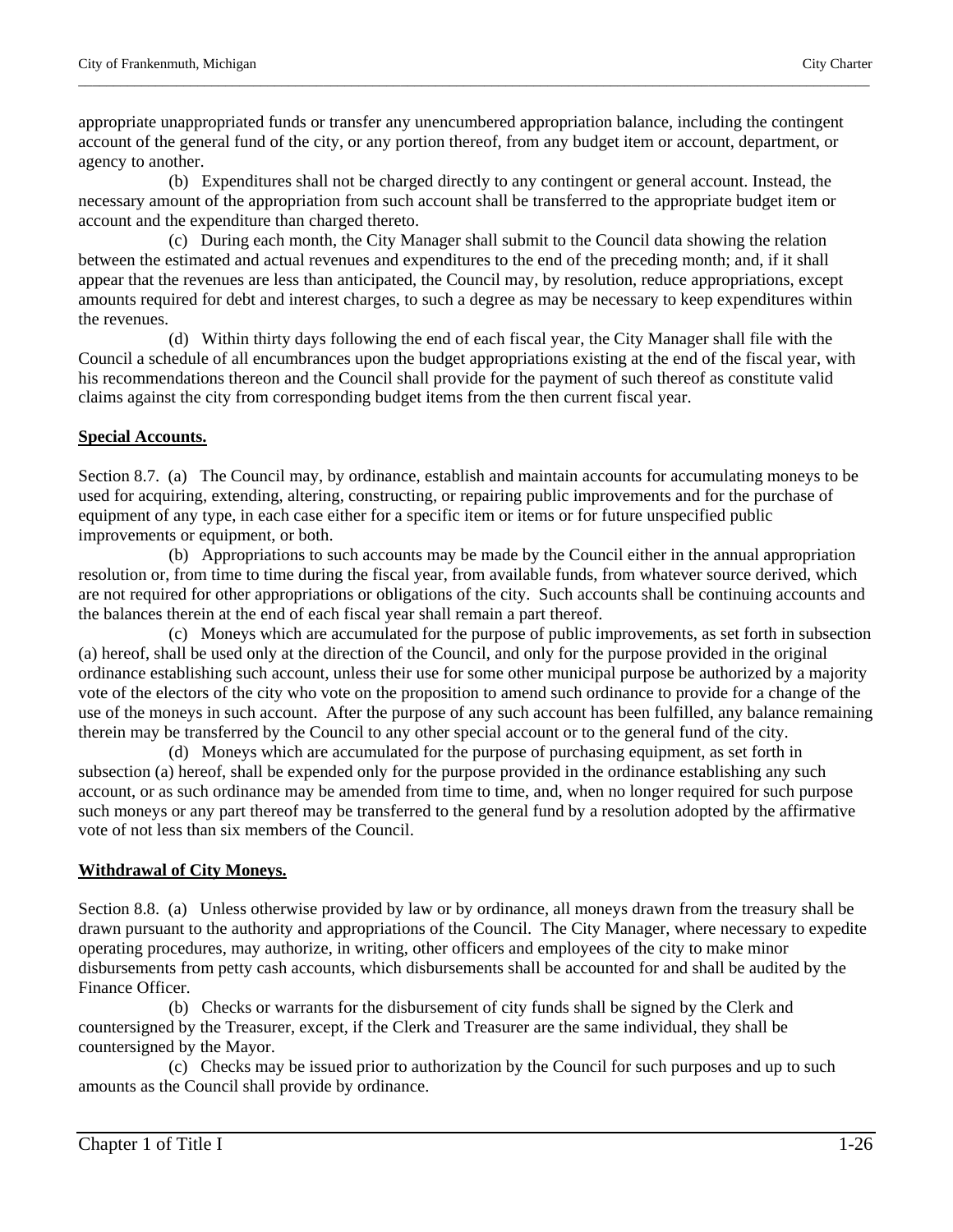appropriate unappropriated funds or transfer any unencumbered appropriation balance, including the contingent account of the general fund of the city, or any portion thereof, from any budget item or account, department, or agency to another.

\_\_\_\_\_\_\_\_\_\_\_\_\_\_\_\_\_\_\_\_\_\_\_\_\_\_\_\_\_\_\_\_\_\_\_\_\_\_\_\_\_\_\_\_\_\_\_\_\_\_\_\_\_\_\_\_\_\_\_\_\_\_\_\_\_\_\_\_\_\_\_\_\_\_\_\_\_\_\_\_\_\_\_\_\_\_\_\_\_\_\_\_\_\_\_\_\_\_\_\_\_\_\_\_\_\_\_\_\_\_\_\_\_

 (b) Expenditures shall not be charged directly to any contingent or general account. Instead, the necessary amount of the appropriation from such account shall be transferred to the appropriate budget item or account and the expenditure than charged thereto.

 (c) During each month, the City Manager shall submit to the Council data showing the relation between the estimated and actual revenues and expenditures to the end of the preceding month; and, if it shall appear that the revenues are less than anticipated, the Council may, by resolution, reduce appropriations, except amounts required for debt and interest charges, to such a degree as may be necessary to keep expenditures within the revenues.

 (d) Within thirty days following the end of each fiscal year, the City Manager shall file with the Council a schedule of all encumbrances upon the budget appropriations existing at the end of the fiscal year, with his recommendations thereon and the Council shall provide for the payment of such thereof as constitute valid claims against the city from corresponding budget items from the then current fiscal year.

# **Special Accounts.**

Section 8.7. (a) The Council may, by ordinance, establish and maintain accounts for accumulating moneys to be used for acquiring, extending, altering, constructing, or repairing public improvements and for the purchase of equipment of any type, in each case either for a specific item or items or for future unspecified public improvements or equipment, or both.

 (b) Appropriations to such accounts may be made by the Council either in the annual appropriation resolution or, from time to time during the fiscal year, from available funds, from whatever source derived, which are not required for other appropriations or obligations of the city. Such accounts shall be continuing accounts and the balances therein at the end of each fiscal year shall remain a part thereof.

 (c) Moneys which are accumulated for the purpose of public improvements, as set forth in subsection (a) hereof, shall be used only at the direction of the Council, and only for the purpose provided in the original ordinance establishing such account, unless their use for some other municipal purpose be authorized by a majority vote of the electors of the city who vote on the proposition to amend such ordinance to provide for a change of the use of the moneys in such account. After the purpose of any such account has been fulfilled, any balance remaining therein may be transferred by the Council to any other special account or to the general fund of the city.

 (d) Moneys which are accumulated for the purpose of purchasing equipment, as set forth in subsection (a) hereof, shall be expended only for the purpose provided in the ordinance establishing any such account, or as such ordinance may be amended from time to time, and, when no longer required for such purpose such moneys or any part thereof may be transferred to the general fund by a resolution adopted by the affirmative vote of not less than six members of the Council.

# **Withdrawal of City Moneys.**

Section 8.8. (a) Unless otherwise provided by law or by ordinance, all moneys drawn from the treasury shall be drawn pursuant to the authority and appropriations of the Council. The City Manager, where necessary to expedite operating procedures, may authorize, in writing, other officers and employees of the city to make minor disbursements from petty cash accounts, which disbursements shall be accounted for and shall be audited by the Finance Officer.

 (b) Checks or warrants for the disbursement of city funds shall be signed by the Clerk and countersigned by the Treasurer, except, if the Clerk and Treasurer are the same individual, they shall be countersigned by the Mayor.

 (c) Checks may be issued prior to authorization by the Council for such purposes and up to such amounts as the Council shall provide by ordinance.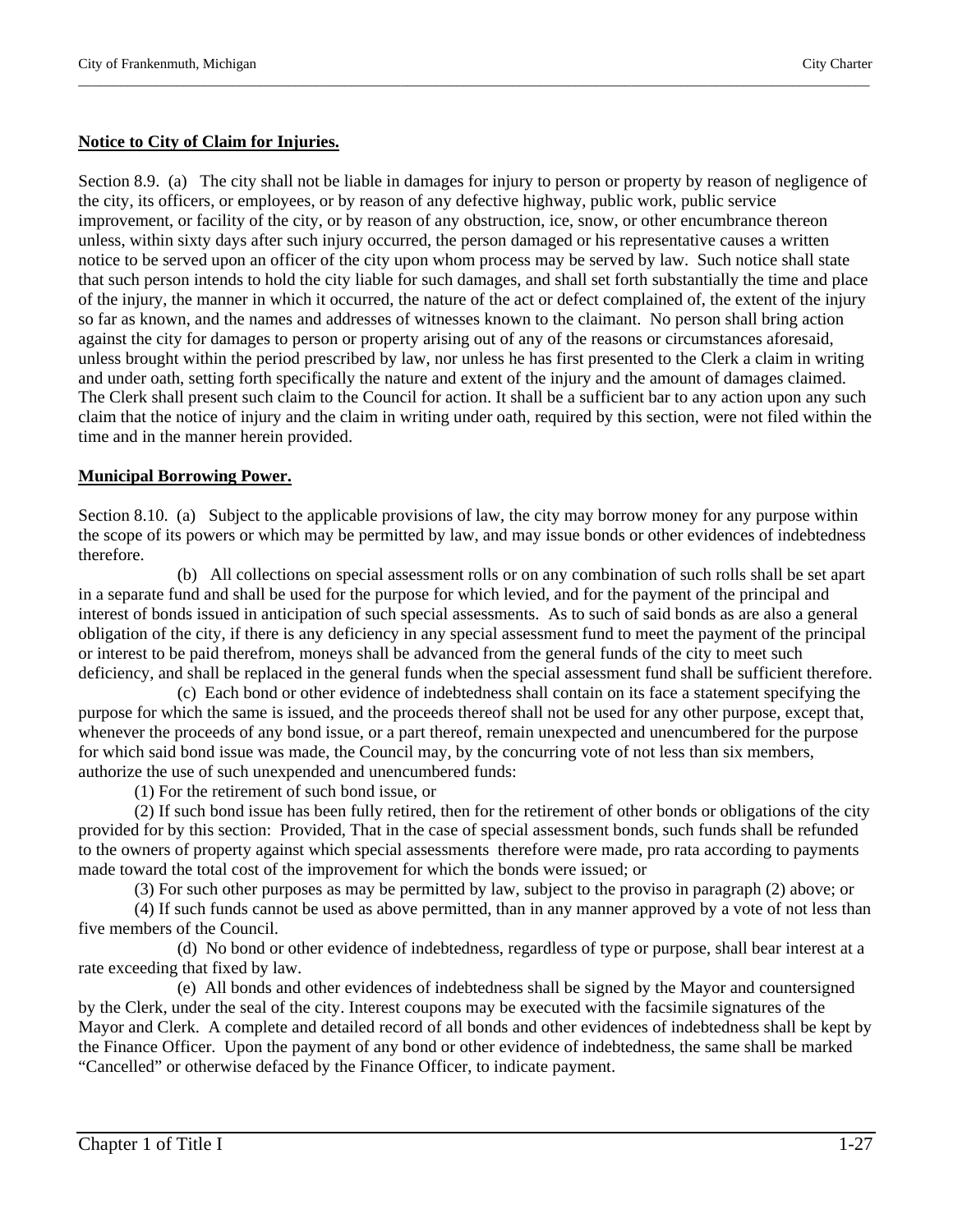#### **Notice to City of Claim for Injuries.**

Section 8.9. (a) The city shall not be liable in damages for injury to person or property by reason of negligence of the city, its officers, or employees, or by reason of any defective highway, public work, public service improvement, or facility of the city, or by reason of any obstruction, ice, snow, or other encumbrance thereon unless, within sixty days after such injury occurred, the person damaged or his representative causes a written notice to be served upon an officer of the city upon whom process may be served by law. Such notice shall state that such person intends to hold the city liable for such damages, and shall set forth substantially the time and place of the injury, the manner in which it occurred, the nature of the act or defect complained of, the extent of the injury so far as known, and the names and addresses of witnesses known to the claimant. No person shall bring action against the city for damages to person or property arising out of any of the reasons or circumstances aforesaid, unless brought within the period prescribed by law, nor unless he has first presented to the Clerk a claim in writing and under oath, setting forth specifically the nature and extent of the injury and the amount of damages claimed. The Clerk shall present such claim to the Council for action. It shall be a sufficient bar to any action upon any such claim that the notice of injury and the claim in writing under oath, required by this section, were not filed within the time and in the manner herein provided.

\_\_\_\_\_\_\_\_\_\_\_\_\_\_\_\_\_\_\_\_\_\_\_\_\_\_\_\_\_\_\_\_\_\_\_\_\_\_\_\_\_\_\_\_\_\_\_\_\_\_\_\_\_\_\_\_\_\_\_\_\_\_\_\_\_\_\_\_\_\_\_\_\_\_\_\_\_\_\_\_\_\_\_\_\_\_\_\_\_\_\_\_\_\_\_\_\_\_\_\_\_\_\_\_\_\_\_\_\_\_\_\_\_

#### **Municipal Borrowing Power.**

Section 8.10. (a) Subject to the applicable provisions of law, the city may borrow money for any purpose within the scope of its powers or which may be permitted by law, and may issue bonds or other evidences of indebtedness therefore.

 (b) All collections on special assessment rolls or on any combination of such rolls shall be set apart in a separate fund and shall be used for the purpose for which levied, and for the payment of the principal and interest of bonds issued in anticipation of such special assessments. As to such of said bonds as are also a general obligation of the city, if there is any deficiency in any special assessment fund to meet the payment of the principal or interest to be paid therefrom, moneys shall be advanced from the general funds of the city to meet such deficiency, and shall be replaced in the general funds when the special assessment fund shall be sufficient therefore.

 (c) Each bond or other evidence of indebtedness shall contain on its face a statement specifying the purpose for which the same is issued, and the proceeds thereof shall not be used for any other purpose, except that, whenever the proceeds of any bond issue, or a part thereof, remain unexpected and unencumbered for the purpose for which said bond issue was made, the Council may, by the concurring vote of not less than six members, authorize the use of such unexpended and unencumbered funds:

(1) For the retirement of such bond issue, or

(2) If such bond issue has been fully retired, then for the retirement of other bonds or obligations of the city provided for by this section: Provided, That in the case of special assessment bonds, such funds shall be refunded to the owners of property against which special assessments therefore were made, pro rata according to payments made toward the total cost of the improvement for which the bonds were issued; or

(3) For such other purposes as may be permitted by law, subject to the proviso in paragraph (2) above; or

(4) If such funds cannot be used as above permitted, than in any manner approved by a vote of not less than five members of the Council.

 (d) No bond or other evidence of indebtedness, regardless of type or purpose, shall bear interest at a rate exceeding that fixed by law.

 (e) All bonds and other evidences of indebtedness shall be signed by the Mayor and countersigned by the Clerk, under the seal of the city. Interest coupons may be executed with the facsimile signatures of the Mayor and Clerk. A complete and detailed record of all bonds and other evidences of indebtedness shall be kept by the Finance Officer. Upon the payment of any bond or other evidence of indebtedness, the same shall be marked "Cancelled" or otherwise defaced by the Finance Officer, to indicate payment.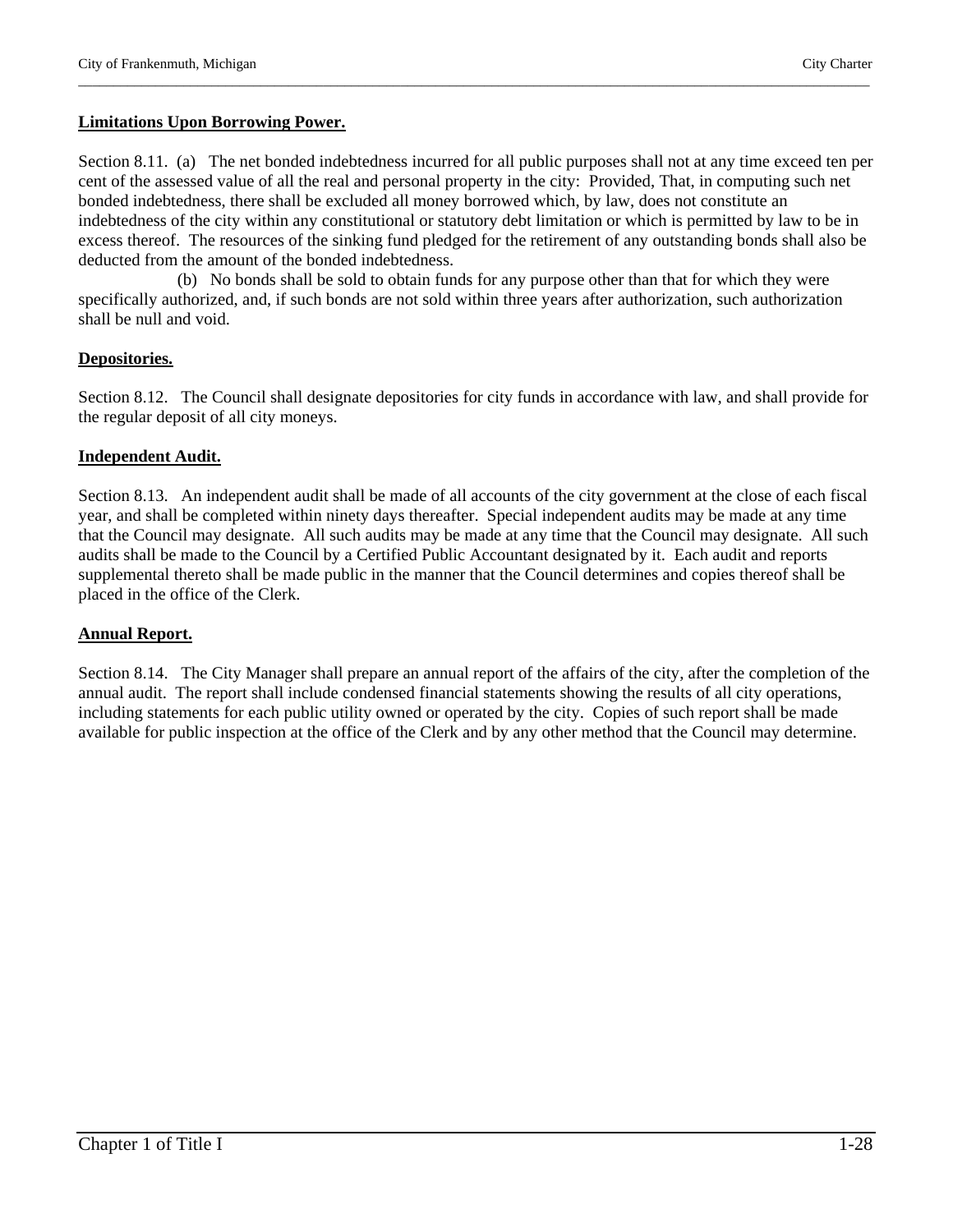#### **Limitations Upon Borrowing Power.**

Section 8.11. (a) The net bonded indebtedness incurred for all public purposes shall not at any time exceed ten per cent of the assessed value of all the real and personal property in the city: Provided, That, in computing such net bonded indebtedness, there shall be excluded all money borrowed which, by law, does not constitute an indebtedness of the city within any constitutional or statutory debt limitation or which is permitted by law to be in excess thereof. The resources of the sinking fund pledged for the retirement of any outstanding bonds shall also be deducted from the amount of the bonded indebtedness.

\_\_\_\_\_\_\_\_\_\_\_\_\_\_\_\_\_\_\_\_\_\_\_\_\_\_\_\_\_\_\_\_\_\_\_\_\_\_\_\_\_\_\_\_\_\_\_\_\_\_\_\_\_\_\_\_\_\_\_\_\_\_\_\_\_\_\_\_\_\_\_\_\_\_\_\_\_\_\_\_\_\_\_\_\_\_\_\_\_\_\_\_\_\_\_\_\_\_\_\_\_\_\_\_\_\_\_\_\_\_\_\_\_

 (b) No bonds shall be sold to obtain funds for any purpose other than that for which they were specifically authorized, and, if such bonds are not sold within three years after authorization, such authorization shall be null and void.

#### **Depositories.**

Section 8.12. The Council shall designate depositories for city funds in accordance with law, and shall provide for the regular deposit of all city moneys.

#### **Independent Audit.**

Section 8.13. An independent audit shall be made of all accounts of the city government at the close of each fiscal year, and shall be completed within ninety days thereafter. Special independent audits may be made at any time that the Council may designate. All such audits may be made at any time that the Council may designate. All such audits shall be made to the Council by a Certified Public Accountant designated by it. Each audit and reports supplemental thereto shall be made public in the manner that the Council determines and copies thereof shall be placed in the office of the Clerk.

# **Annual Report.**

Section 8.14. The City Manager shall prepare an annual report of the affairs of the city, after the completion of the annual audit. The report shall include condensed financial statements showing the results of all city operations, including statements for each public utility owned or operated by the city. Copies of such report shall be made available for public inspection at the office of the Clerk and by any other method that the Council may determine.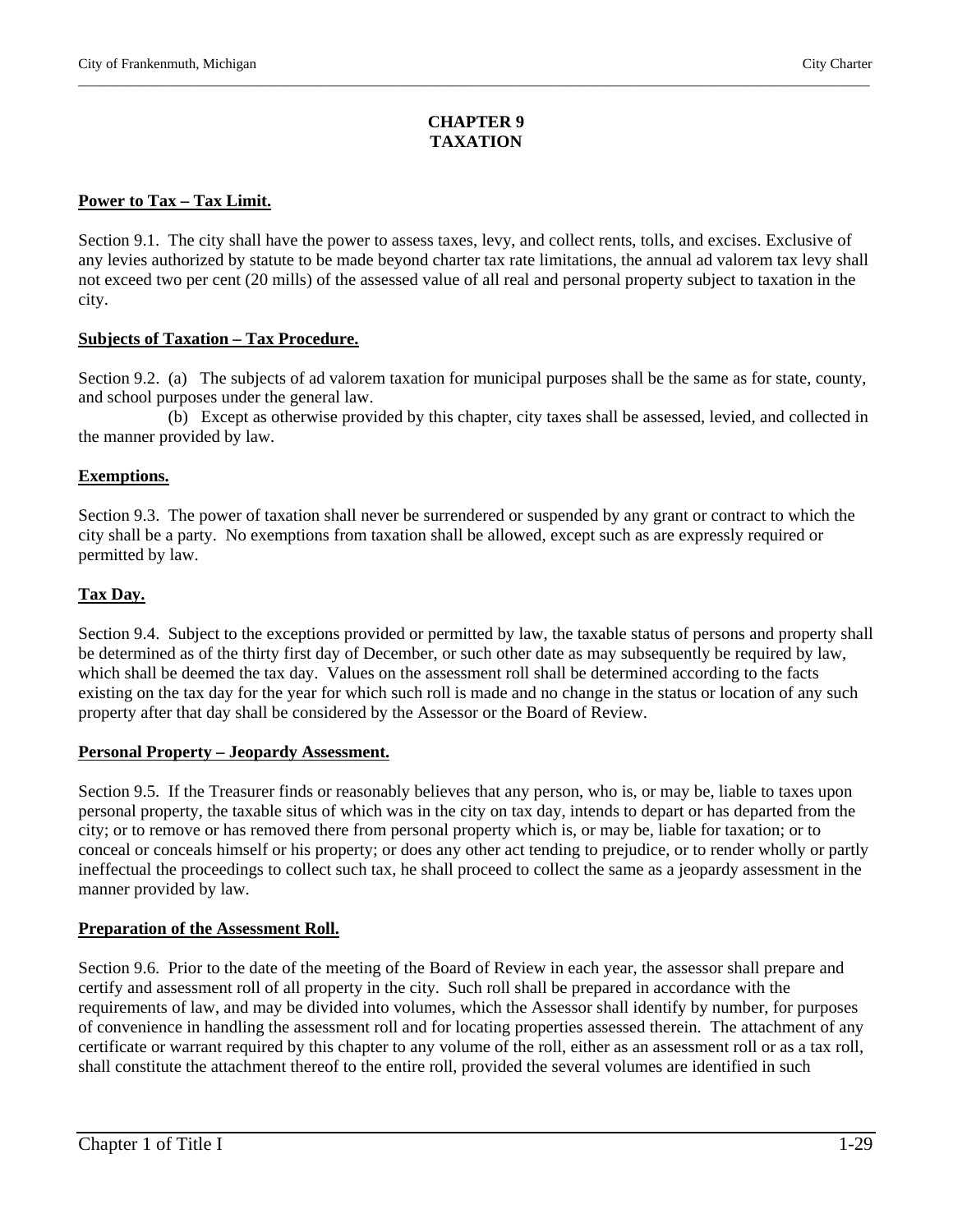# **CHAPTER 9 TAXATION**

\_\_\_\_\_\_\_\_\_\_\_\_\_\_\_\_\_\_\_\_\_\_\_\_\_\_\_\_\_\_\_\_\_\_\_\_\_\_\_\_\_\_\_\_\_\_\_\_\_\_\_\_\_\_\_\_\_\_\_\_\_\_\_\_\_\_\_\_\_\_\_\_\_\_\_\_\_\_\_\_\_\_\_\_\_\_\_\_\_\_\_\_\_\_\_\_\_\_\_\_\_\_\_\_\_\_\_\_\_\_\_\_\_

# **Power to Tax – Tax Limit.**

Section 9.1. The city shall have the power to assess taxes, levy, and collect rents, tolls, and excises. Exclusive of any levies authorized by statute to be made beyond charter tax rate limitations, the annual ad valorem tax levy shall not exceed two per cent (20 mills) of the assessed value of all real and personal property subject to taxation in the city.

# **Subjects of Taxation – Tax Procedure.**

Section 9.2. (a) The subjects of ad valorem taxation for municipal purposes shall be the same as for state, county, and school purposes under the general law.

 (b) Except as otherwise provided by this chapter, city taxes shall be assessed, levied, and collected in the manner provided by law.

# **Exemptions.**

Section 9.3. The power of taxation shall never be surrendered or suspended by any grant or contract to which the city shall be a party. No exemptions from taxation shall be allowed, except such as are expressly required or permitted by law.

# **Tax Day.**

Section 9.4. Subject to the exceptions provided or permitted by law, the taxable status of persons and property shall be determined as of the thirty first day of December, or such other date as may subsequently be required by law, which shall be deemed the tax day. Values on the assessment roll shall be determined according to the facts existing on the tax day for the year for which such roll is made and no change in the status or location of any such property after that day shall be considered by the Assessor or the Board of Review.

# **Personal Property – Jeopardy Assessment.**

Section 9.5. If the Treasurer finds or reasonably believes that any person, who is, or may be, liable to taxes upon personal property, the taxable situs of which was in the city on tax day, intends to depart or has departed from the city; or to remove or has removed there from personal property which is, or may be, liable for taxation; or to conceal or conceals himself or his property; or does any other act tending to prejudice, or to render wholly or partly ineffectual the proceedings to collect such tax, he shall proceed to collect the same as a jeopardy assessment in the manner provided by law.

# **Preparation of the Assessment Roll.**

Section 9.6. Prior to the date of the meeting of the Board of Review in each year, the assessor shall prepare and certify and assessment roll of all property in the city. Such roll shall be prepared in accordance with the requirements of law, and may be divided into volumes, which the Assessor shall identify by number, for purposes of convenience in handling the assessment roll and for locating properties assessed therein. The attachment of any certificate or warrant required by this chapter to any volume of the roll, either as an assessment roll or as a tax roll, shall constitute the attachment thereof to the entire roll, provided the several volumes are identified in such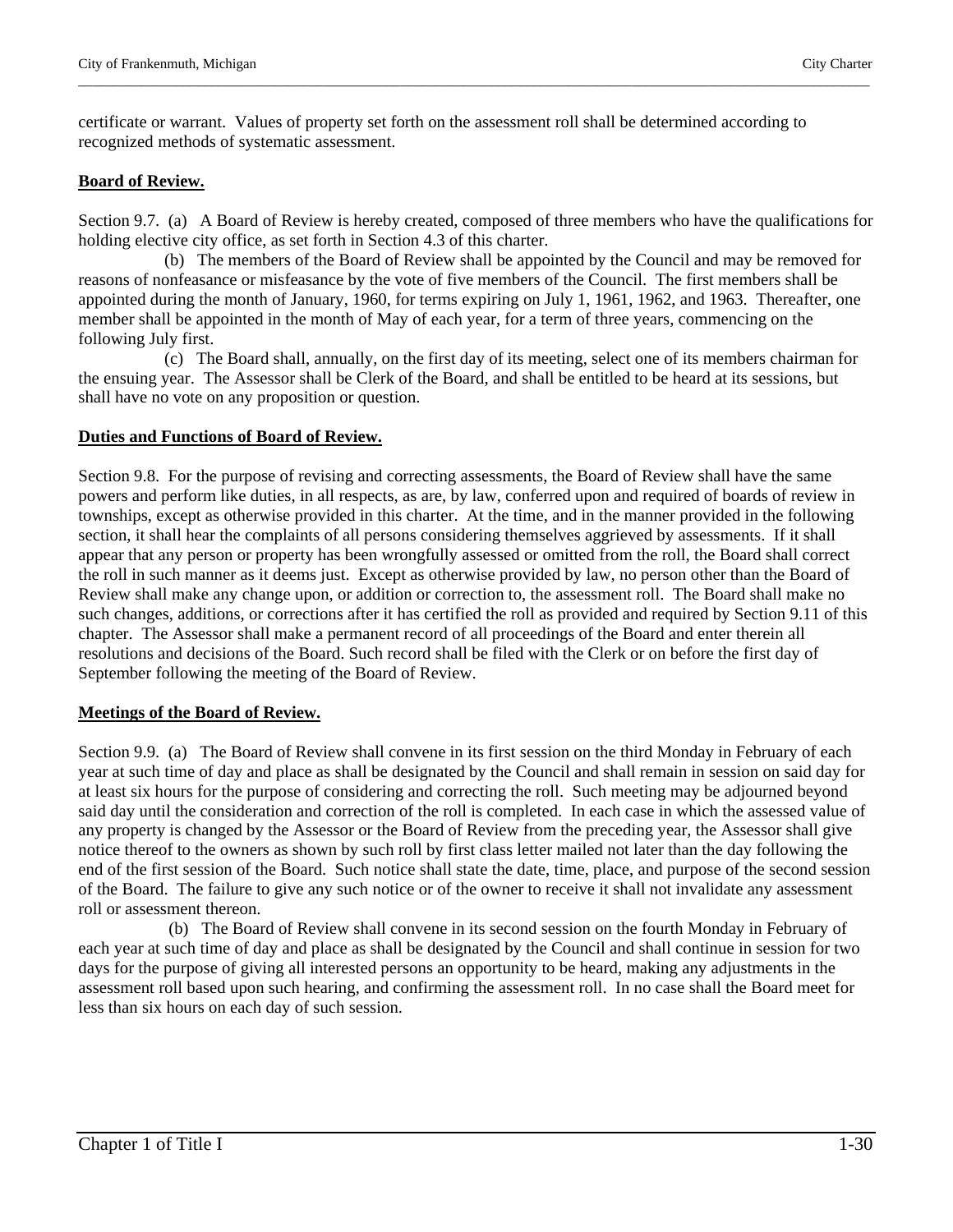certificate or warrant. Values of property set forth on the assessment roll shall be determined according to recognized methods of systematic assessment.

# **Board of Review.**

Section 9.7. (a) A Board of Review is hereby created, composed of three members who have the qualifications for holding elective city office, as set forth in Section 4.3 of this charter.

\_\_\_\_\_\_\_\_\_\_\_\_\_\_\_\_\_\_\_\_\_\_\_\_\_\_\_\_\_\_\_\_\_\_\_\_\_\_\_\_\_\_\_\_\_\_\_\_\_\_\_\_\_\_\_\_\_\_\_\_\_\_\_\_\_\_\_\_\_\_\_\_\_\_\_\_\_\_\_\_\_\_\_\_\_\_\_\_\_\_\_\_\_\_\_\_\_\_\_\_\_\_\_\_\_\_\_\_\_\_\_\_\_

 (b) The members of the Board of Review shall be appointed by the Council and may be removed for reasons of nonfeasance or misfeasance by the vote of five members of the Council. The first members shall be appointed during the month of January, 1960, for terms expiring on July 1, 1961, 1962, and 1963. Thereafter, one member shall be appointed in the month of May of each year, for a term of three years, commencing on the following July first.

 (c) The Board shall, annually, on the first day of its meeting, select one of its members chairman for the ensuing year. The Assessor shall be Clerk of the Board, and shall be entitled to be heard at its sessions, but shall have no vote on any proposition or question.

# **Duties and Functions of Board of Review.**

Section 9.8. For the purpose of revising and correcting assessments, the Board of Review shall have the same powers and perform like duties, in all respects, as are, by law, conferred upon and required of boards of review in townships, except as otherwise provided in this charter. At the time, and in the manner provided in the following section, it shall hear the complaints of all persons considering themselves aggrieved by assessments. If it shall appear that any person or property has been wrongfully assessed or omitted from the roll, the Board shall correct the roll in such manner as it deems just. Except as otherwise provided by law, no person other than the Board of Review shall make any change upon, or addition or correction to, the assessment roll. The Board shall make no such changes, additions, or corrections after it has certified the roll as provided and required by Section 9.11 of this chapter. The Assessor shall make a permanent record of all proceedings of the Board and enter therein all resolutions and decisions of the Board. Such record shall be filed with the Clerk or on before the first day of September following the meeting of the Board of Review.

# **Meetings of the Board of Review.**

Section 9.9. (a) The Board of Review shall convene in its first session on the third Monday in February of each year at such time of day and place as shall be designated by the Council and shall remain in session on said day for at least six hours for the purpose of considering and correcting the roll. Such meeting may be adjourned beyond said day until the consideration and correction of the roll is completed. In each case in which the assessed value of any property is changed by the Assessor or the Board of Review from the preceding year, the Assessor shall give notice thereof to the owners as shown by such roll by first class letter mailed not later than the day following the end of the first session of the Board. Such notice shall state the date, time, place, and purpose of the second session of the Board. The failure to give any such notice or of the owner to receive it shall not invalidate any assessment roll or assessment thereon.

 (b) The Board of Review shall convene in its second session on the fourth Monday in February of each year at such time of day and place as shall be designated by the Council and shall continue in session for two days for the purpose of giving all interested persons an opportunity to be heard, making any adjustments in the assessment roll based upon such hearing, and confirming the assessment roll. In no case shall the Board meet for less than six hours on each day of such session.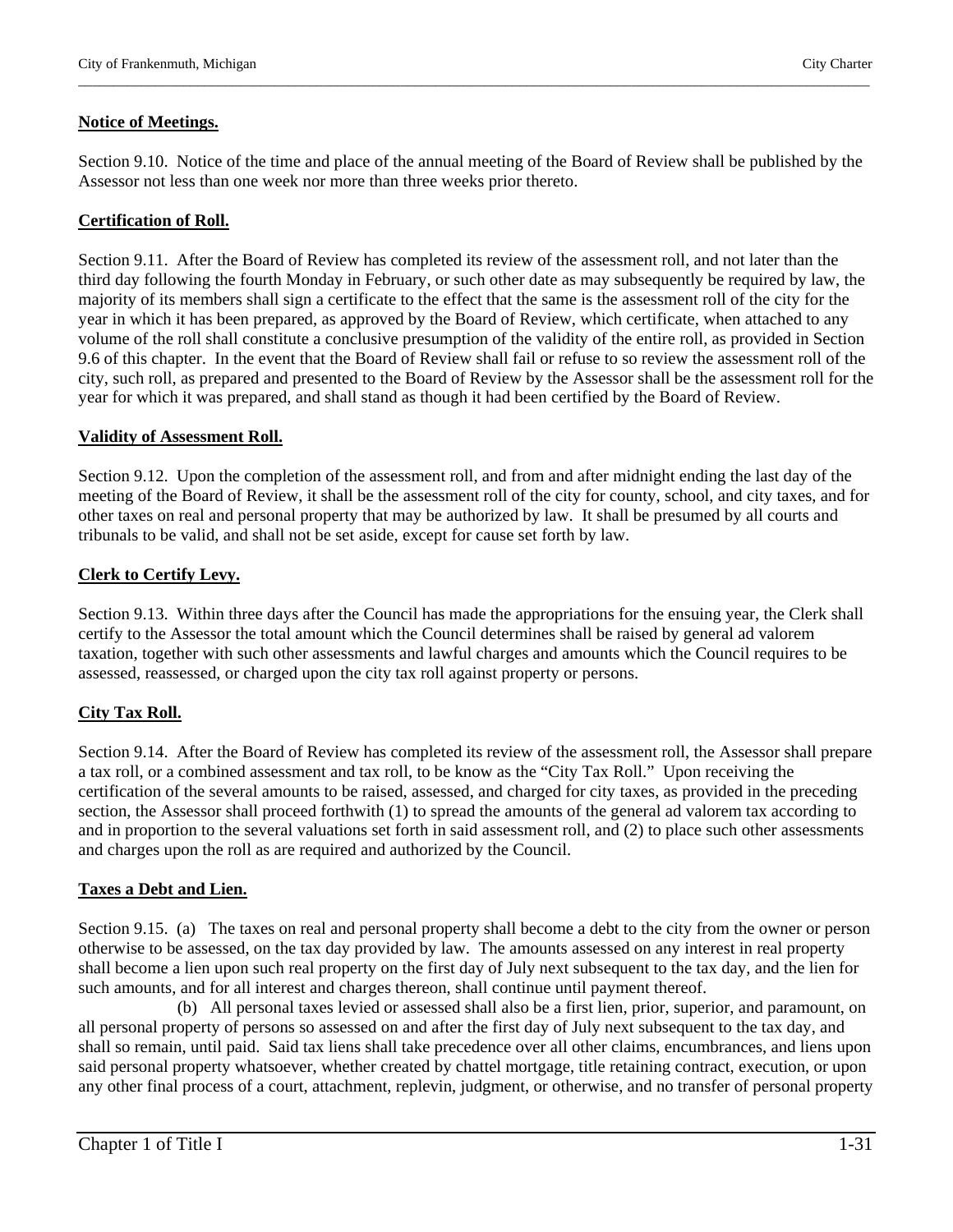#### **Notice of Meetings.**

Section 9.10. Notice of the time and place of the annual meeting of the Board of Review shall be published by the Assessor not less than one week nor more than three weeks prior thereto.

\_\_\_\_\_\_\_\_\_\_\_\_\_\_\_\_\_\_\_\_\_\_\_\_\_\_\_\_\_\_\_\_\_\_\_\_\_\_\_\_\_\_\_\_\_\_\_\_\_\_\_\_\_\_\_\_\_\_\_\_\_\_\_\_\_\_\_\_\_\_\_\_\_\_\_\_\_\_\_\_\_\_\_\_\_\_\_\_\_\_\_\_\_\_\_\_\_\_\_\_\_\_\_\_\_\_\_\_\_\_\_\_\_

#### **Certification of Roll.**

Section 9.11. After the Board of Review has completed its review of the assessment roll, and not later than the third day following the fourth Monday in February, or such other date as may subsequently be required by law, the majority of its members shall sign a certificate to the effect that the same is the assessment roll of the city for the year in which it has been prepared, as approved by the Board of Review, which certificate, when attached to any volume of the roll shall constitute a conclusive presumption of the validity of the entire roll, as provided in Section 9.6 of this chapter. In the event that the Board of Review shall fail or refuse to so review the assessment roll of the city, such roll, as prepared and presented to the Board of Review by the Assessor shall be the assessment roll for the year for which it was prepared, and shall stand as though it had been certified by the Board of Review.

#### **Validity of Assessment Roll.**

Section 9.12. Upon the completion of the assessment roll, and from and after midnight ending the last day of the meeting of the Board of Review, it shall be the assessment roll of the city for county, school, and city taxes, and for other taxes on real and personal property that may be authorized by law. It shall be presumed by all courts and tribunals to be valid, and shall not be set aside, except for cause set forth by law.

#### **Clerk to Certify Levy.**

Section 9.13. Within three days after the Council has made the appropriations for the ensuing year, the Clerk shall certify to the Assessor the total amount which the Council determines shall be raised by general ad valorem taxation, together with such other assessments and lawful charges and amounts which the Council requires to be assessed, reassessed, or charged upon the city tax roll against property or persons.

# **City Tax Roll.**

Section 9.14. After the Board of Review has completed its review of the assessment roll, the Assessor shall prepare a tax roll, or a combined assessment and tax roll, to be know as the "City Tax Roll." Upon receiving the certification of the several amounts to be raised, assessed, and charged for city taxes, as provided in the preceding section, the Assessor shall proceed forthwith (1) to spread the amounts of the general ad valorem tax according to and in proportion to the several valuations set forth in said assessment roll, and (2) to place such other assessments and charges upon the roll as are required and authorized by the Council.

# **Taxes a Debt and Lien.**

Section 9.15. (a) The taxes on real and personal property shall become a debt to the city from the owner or person otherwise to be assessed, on the tax day provided by law. The amounts assessed on any interest in real property shall become a lien upon such real property on the first day of July next subsequent to the tax day, and the lien for such amounts, and for all interest and charges thereon, shall continue until payment thereof.

 (b) All personal taxes levied or assessed shall also be a first lien, prior, superior, and paramount, on all personal property of persons so assessed on and after the first day of July next subsequent to the tax day, and shall so remain, until paid. Said tax liens shall take precedence over all other claims, encumbrances, and liens upon said personal property whatsoever, whether created by chattel mortgage, title retaining contract, execution, or upon any other final process of a court, attachment, replevin, judgment, or otherwise, and no transfer of personal property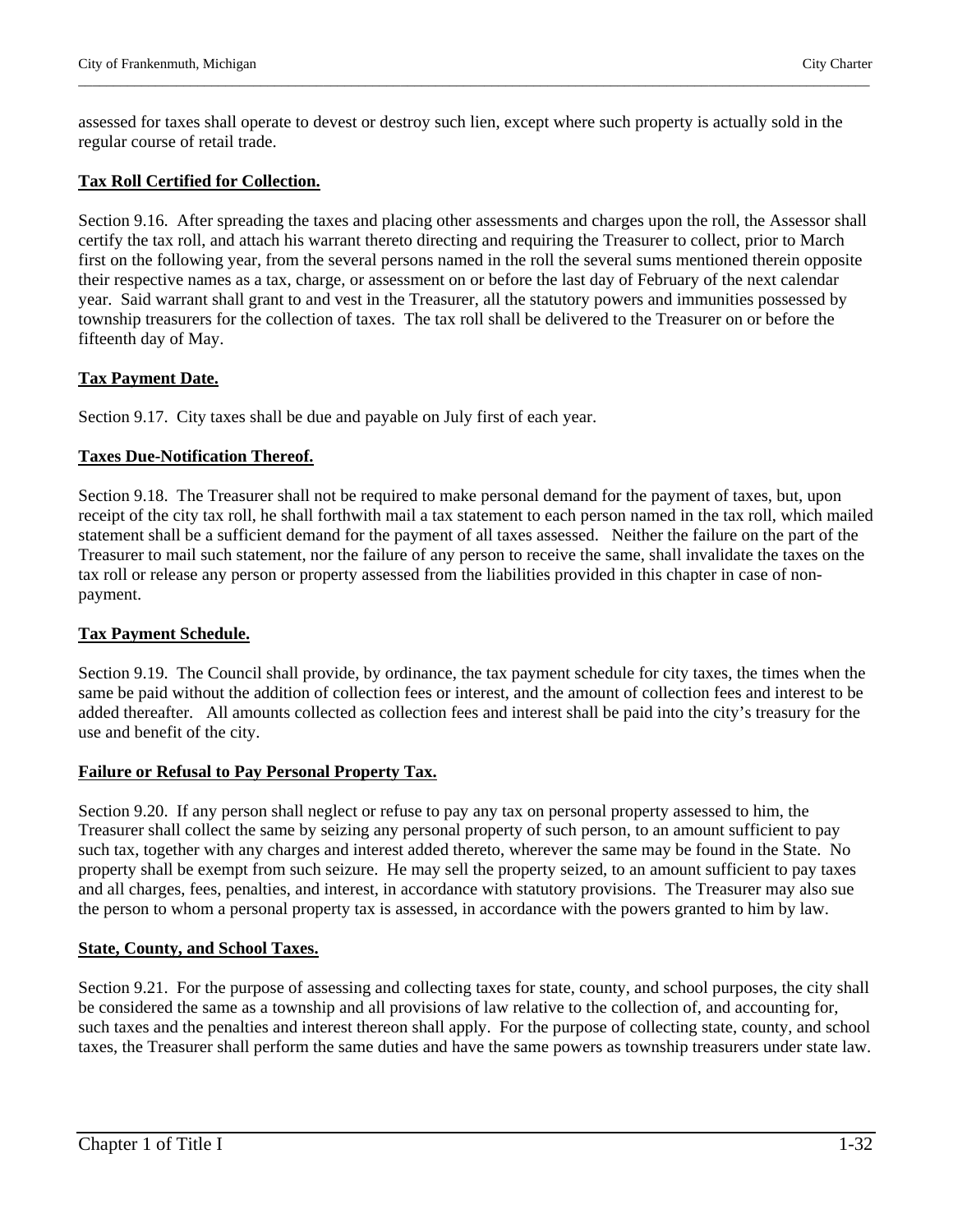assessed for taxes shall operate to devest or destroy such lien, except where such property is actually sold in the regular course of retail trade.

\_\_\_\_\_\_\_\_\_\_\_\_\_\_\_\_\_\_\_\_\_\_\_\_\_\_\_\_\_\_\_\_\_\_\_\_\_\_\_\_\_\_\_\_\_\_\_\_\_\_\_\_\_\_\_\_\_\_\_\_\_\_\_\_\_\_\_\_\_\_\_\_\_\_\_\_\_\_\_\_\_\_\_\_\_\_\_\_\_\_\_\_\_\_\_\_\_\_\_\_\_\_\_\_\_\_\_\_\_\_\_\_\_

#### **Tax Roll Certified for Collection.**

Section 9.16. After spreading the taxes and placing other assessments and charges upon the roll, the Assessor shall certify the tax roll, and attach his warrant thereto directing and requiring the Treasurer to collect, prior to March first on the following year, from the several persons named in the roll the several sums mentioned therein opposite their respective names as a tax, charge, or assessment on or before the last day of February of the next calendar year. Said warrant shall grant to and vest in the Treasurer, all the statutory powers and immunities possessed by township treasurers for the collection of taxes. The tax roll shall be delivered to the Treasurer on or before the fifteenth day of May.

#### **Tax Payment Date.**

Section 9.17. City taxes shall be due and payable on July first of each year.

# **Taxes Due-Notification Thereof.**

Section 9.18. The Treasurer shall not be required to make personal demand for the payment of taxes, but, upon receipt of the city tax roll, he shall forthwith mail a tax statement to each person named in the tax roll, which mailed statement shall be a sufficient demand for the payment of all taxes assessed. Neither the failure on the part of the Treasurer to mail such statement, nor the failure of any person to receive the same, shall invalidate the taxes on the tax roll or release any person or property assessed from the liabilities provided in this chapter in case of nonpayment.

# **Tax Payment Schedule.**

Section 9.19. The Council shall provide, by ordinance, the tax payment schedule for city taxes, the times when the same be paid without the addition of collection fees or interest, and the amount of collection fees and interest to be added thereafter. All amounts collected as collection fees and interest shall be paid into the city's treasury for the use and benefit of the city.

#### **Failure or Refusal to Pay Personal Property Tax.**

Section 9.20. If any person shall neglect or refuse to pay any tax on personal property assessed to him, the Treasurer shall collect the same by seizing any personal property of such person, to an amount sufficient to pay such tax, together with any charges and interest added thereto, wherever the same may be found in the State. No property shall be exempt from such seizure. He may sell the property seized, to an amount sufficient to pay taxes and all charges, fees, penalties, and interest, in accordance with statutory provisions. The Treasurer may also sue the person to whom a personal property tax is assessed, in accordance with the powers granted to him by law.

# **State, County, and School Taxes.**

Section 9.21. For the purpose of assessing and collecting taxes for state, county, and school purposes, the city shall be considered the same as a township and all provisions of law relative to the collection of, and accounting for, such taxes and the penalties and interest thereon shall apply. For the purpose of collecting state, county, and school taxes, the Treasurer shall perform the same duties and have the same powers as township treasurers under state law.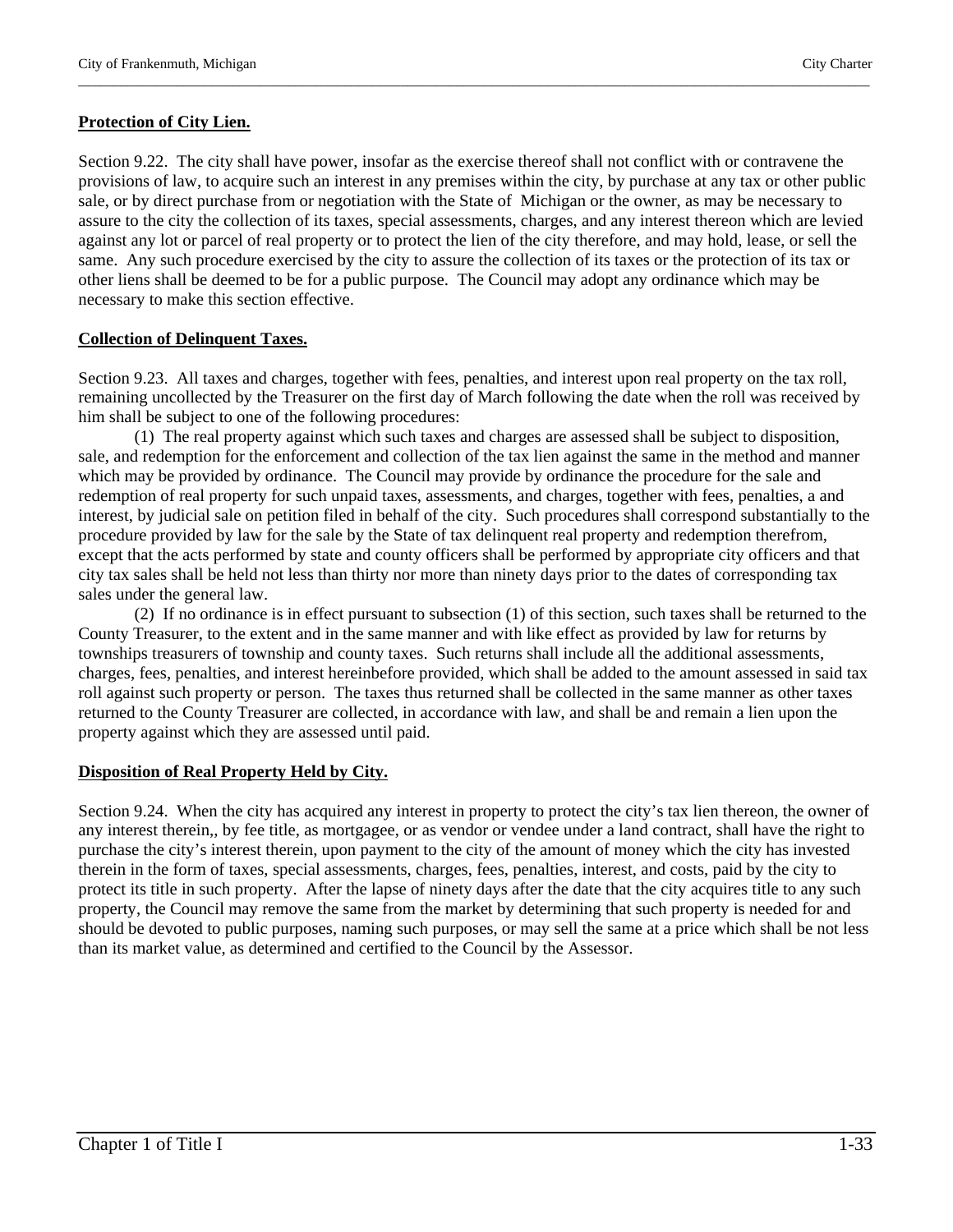#### **Protection of City Lien.**

Section 9.22. The city shall have power, insofar as the exercise thereof shall not conflict with or contravene the provisions of law, to acquire such an interest in any premises within the city, by purchase at any tax or other public sale, or by direct purchase from or negotiation with the State of Michigan or the owner, as may be necessary to assure to the city the collection of its taxes, special assessments, charges, and any interest thereon which are levied against any lot or parcel of real property or to protect the lien of the city therefore, and may hold, lease, or sell the same. Any such procedure exercised by the city to assure the collection of its taxes or the protection of its tax or other liens shall be deemed to be for a public purpose. The Council may adopt any ordinance which may be necessary to make this section effective.

\_\_\_\_\_\_\_\_\_\_\_\_\_\_\_\_\_\_\_\_\_\_\_\_\_\_\_\_\_\_\_\_\_\_\_\_\_\_\_\_\_\_\_\_\_\_\_\_\_\_\_\_\_\_\_\_\_\_\_\_\_\_\_\_\_\_\_\_\_\_\_\_\_\_\_\_\_\_\_\_\_\_\_\_\_\_\_\_\_\_\_\_\_\_\_\_\_\_\_\_\_\_\_\_\_\_\_\_\_\_\_\_\_

#### **Collection of Delinquent Taxes.**

Section 9.23. All taxes and charges, together with fees, penalties, and interest upon real property on the tax roll, remaining uncollected by the Treasurer on the first day of March following the date when the roll was received by him shall be subject to one of the following procedures:

(1) The real property against which such taxes and charges are assessed shall be subject to disposition, sale, and redemption for the enforcement and collection of the tax lien against the same in the method and manner which may be provided by ordinance. The Council may provide by ordinance the procedure for the sale and redemption of real property for such unpaid taxes, assessments, and charges, together with fees, penalties, a and interest, by judicial sale on petition filed in behalf of the city. Such procedures shall correspond substantially to the procedure provided by law for the sale by the State of tax delinquent real property and redemption therefrom, except that the acts performed by state and county officers shall be performed by appropriate city officers and that city tax sales shall be held not less than thirty nor more than ninety days prior to the dates of corresponding tax sales under the general law.

(2) If no ordinance is in effect pursuant to subsection (1) of this section, such taxes shall be returned to the County Treasurer, to the extent and in the same manner and with like effect as provided by law for returns by townships treasurers of township and county taxes. Such returns shall include all the additional assessments, charges, fees, penalties, and interest hereinbefore provided, which shall be added to the amount assessed in said tax roll against such property or person. The taxes thus returned shall be collected in the same manner as other taxes returned to the County Treasurer are collected, in accordance with law, and shall be and remain a lien upon the property against which they are assessed until paid.

#### **Disposition of Real Property Held by City.**

Section 9.24. When the city has acquired any interest in property to protect the city's tax lien thereon, the owner of any interest therein,, by fee title, as mortgagee, or as vendor or vendee under a land contract, shall have the right to purchase the city's interest therein, upon payment to the city of the amount of money which the city has invested therein in the form of taxes, special assessments, charges, fees, penalties, interest, and costs, paid by the city to protect its title in such property. After the lapse of ninety days after the date that the city acquires title to any such property, the Council may remove the same from the market by determining that such property is needed for and should be devoted to public purposes, naming such purposes, or may sell the same at a price which shall be not less than its market value, as determined and certified to the Council by the Assessor.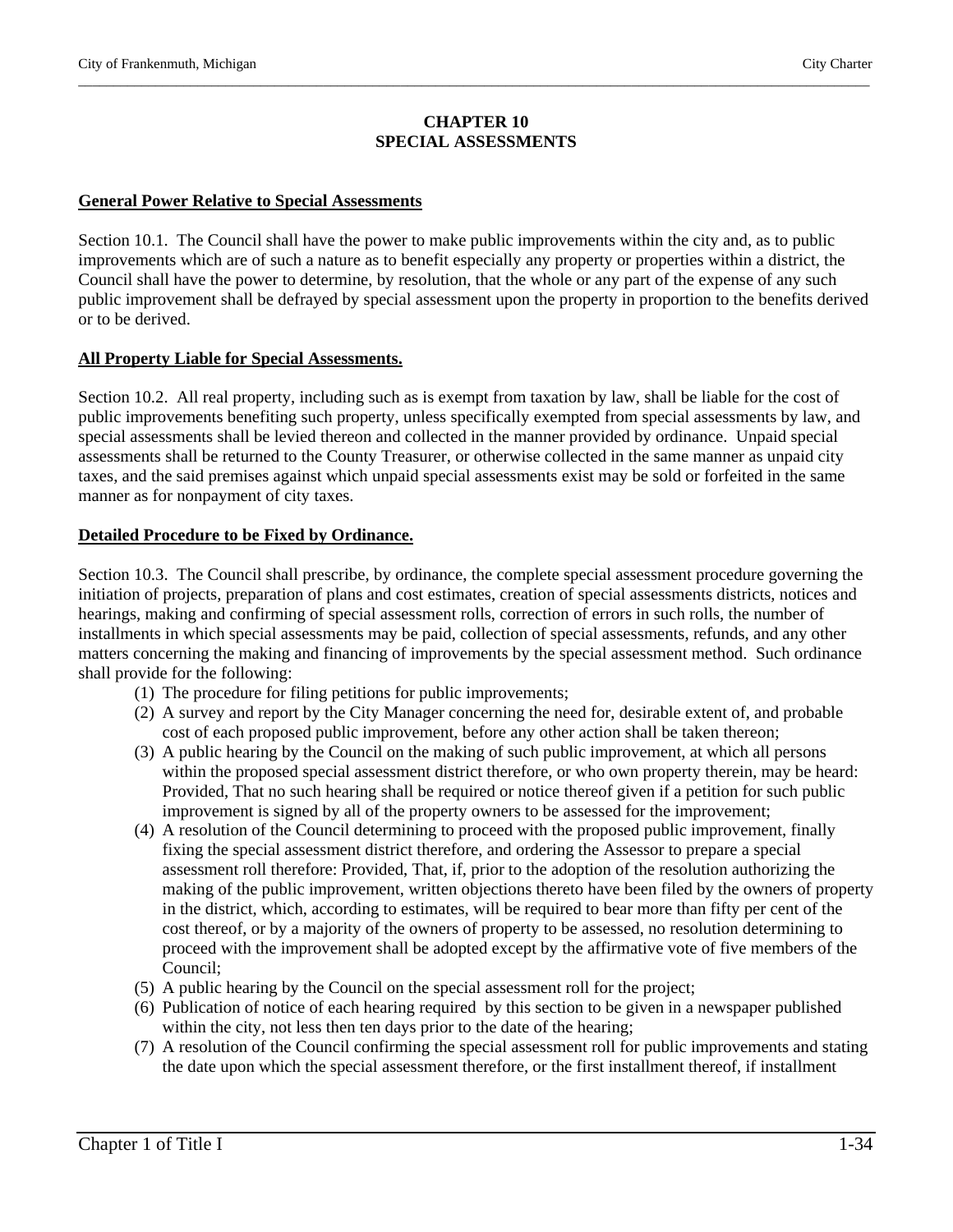#### **CHAPTER 10 SPECIAL ASSESSMENTS**

\_\_\_\_\_\_\_\_\_\_\_\_\_\_\_\_\_\_\_\_\_\_\_\_\_\_\_\_\_\_\_\_\_\_\_\_\_\_\_\_\_\_\_\_\_\_\_\_\_\_\_\_\_\_\_\_\_\_\_\_\_\_\_\_\_\_\_\_\_\_\_\_\_\_\_\_\_\_\_\_\_\_\_\_\_\_\_\_\_\_\_\_\_\_\_\_\_\_\_\_\_\_\_\_\_\_\_\_\_\_\_\_\_

#### **General Power Relative to Special Assessments**

Section 10.1. The Council shall have the power to make public improvements within the city and, as to public improvements which are of such a nature as to benefit especially any property or properties within a district, the Council shall have the power to determine, by resolution, that the whole or any part of the expense of any such public improvement shall be defrayed by special assessment upon the property in proportion to the benefits derived or to be derived.

#### **All Property Liable for Special Assessments.**

Section 10.2. All real property, including such as is exempt from taxation by law, shall be liable for the cost of public improvements benefiting such property, unless specifically exempted from special assessments by law, and special assessments shall be levied thereon and collected in the manner provided by ordinance. Unpaid special assessments shall be returned to the County Treasurer, or otherwise collected in the same manner as unpaid city taxes, and the said premises against which unpaid special assessments exist may be sold or forfeited in the same manner as for nonpayment of city taxes.

#### **Detailed Procedure to be Fixed by Ordinance.**

Section 10.3. The Council shall prescribe, by ordinance, the complete special assessment procedure governing the initiation of projects, preparation of plans and cost estimates, creation of special assessments districts, notices and hearings, making and confirming of special assessment rolls, correction of errors in such rolls, the number of installments in which special assessments may be paid, collection of special assessments, refunds, and any other matters concerning the making and financing of improvements by the special assessment method. Such ordinance shall provide for the following:

- (1) The procedure for filing petitions for public improvements;
- (2) A survey and report by the City Manager concerning the need for, desirable extent of, and probable cost of each proposed public improvement, before any other action shall be taken thereon;
- (3) A public hearing by the Council on the making of such public improvement, at which all persons within the proposed special assessment district therefore, or who own property therein, may be heard: Provided, That no such hearing shall be required or notice thereof given if a petition for such public improvement is signed by all of the property owners to be assessed for the improvement;
- (4) A resolution of the Council determining to proceed with the proposed public improvement, finally fixing the special assessment district therefore, and ordering the Assessor to prepare a special assessment roll therefore: Provided, That, if, prior to the adoption of the resolution authorizing the making of the public improvement, written objections thereto have been filed by the owners of property in the district, which, according to estimates, will be required to bear more than fifty per cent of the cost thereof, or by a majority of the owners of property to be assessed, no resolution determining to proceed with the improvement shall be adopted except by the affirmative vote of five members of the Council;
- (5) A public hearing by the Council on the special assessment roll for the project;
- (6) Publication of notice of each hearing required by this section to be given in a newspaper published within the city, not less then ten days prior to the date of the hearing;
- (7) A resolution of the Council confirming the special assessment roll for public improvements and stating the date upon which the special assessment therefore, or the first installment thereof, if installment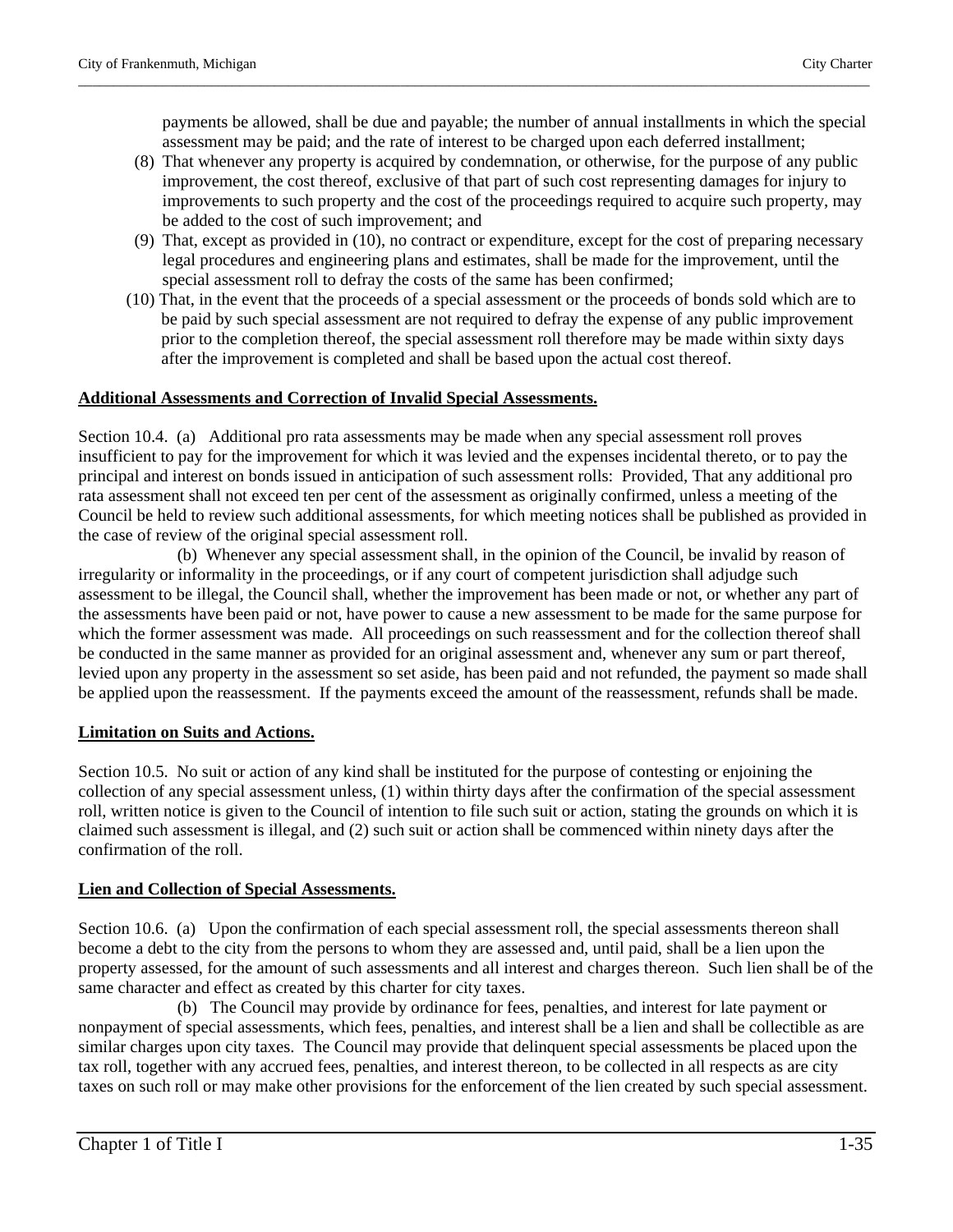payments be allowed, shall be due and payable; the number of annual installments in which the special assessment may be paid; and the rate of interest to be charged upon each deferred installment;

(8) That whenever any property is acquired by condemnation, or otherwise, for the purpose of any public improvement, the cost thereof, exclusive of that part of such cost representing damages for injury to improvements to such property and the cost of the proceedings required to acquire such property, may be added to the cost of such improvement; and

\_\_\_\_\_\_\_\_\_\_\_\_\_\_\_\_\_\_\_\_\_\_\_\_\_\_\_\_\_\_\_\_\_\_\_\_\_\_\_\_\_\_\_\_\_\_\_\_\_\_\_\_\_\_\_\_\_\_\_\_\_\_\_\_\_\_\_\_\_\_\_\_\_\_\_\_\_\_\_\_\_\_\_\_\_\_\_\_\_\_\_\_\_\_\_\_\_\_\_\_\_\_\_\_\_\_\_\_\_\_\_\_\_

- (9) That, except as provided in (10), no contract or expenditure, except for the cost of preparing necessary legal procedures and engineering plans and estimates, shall be made for the improvement, until the special assessment roll to defray the costs of the same has been confirmed;
- (10) That, in the event that the proceeds of a special assessment or the proceeds of bonds sold which are to be paid by such special assessment are not required to defray the expense of any public improvement prior to the completion thereof, the special assessment roll therefore may be made within sixty days after the improvement is completed and shall be based upon the actual cost thereof.

# **Additional Assessments and Correction of Invalid Special Assessments.**

Section 10.4. (a) Additional pro rata assessments may be made when any special assessment roll proves insufficient to pay for the improvement for which it was levied and the expenses incidental thereto, or to pay the principal and interest on bonds issued in anticipation of such assessment rolls: Provided, That any additional pro rata assessment shall not exceed ten per cent of the assessment as originally confirmed, unless a meeting of the Council be held to review such additional assessments, for which meeting notices shall be published as provided in the case of review of the original special assessment roll.

 (b) Whenever any special assessment shall, in the opinion of the Council, be invalid by reason of irregularity or informality in the proceedings, or if any court of competent jurisdiction shall adjudge such assessment to be illegal, the Council shall, whether the improvement has been made or not, or whether any part of the assessments have been paid or not, have power to cause a new assessment to be made for the same purpose for which the former assessment was made. All proceedings on such reassessment and for the collection thereof shall be conducted in the same manner as provided for an original assessment and, whenever any sum or part thereof, levied upon any property in the assessment so set aside, has been paid and not refunded, the payment so made shall be applied upon the reassessment. If the payments exceed the amount of the reassessment, refunds shall be made.

# **Limitation on Suits and Actions.**

Section 10.5. No suit or action of any kind shall be instituted for the purpose of contesting or enjoining the collection of any special assessment unless, (1) within thirty days after the confirmation of the special assessment roll, written notice is given to the Council of intention to file such suit or action, stating the grounds on which it is claimed such assessment is illegal, and (2) such suit or action shall be commenced within ninety days after the confirmation of the roll.

# **Lien and Collection of Special Assessments.**

Section 10.6. (a) Upon the confirmation of each special assessment roll, the special assessments thereon shall become a debt to the city from the persons to whom they are assessed and, until paid, shall be a lien upon the property assessed, for the amount of such assessments and all interest and charges thereon. Such lien shall be of the same character and effect as created by this charter for city taxes.

 (b) The Council may provide by ordinance for fees, penalties, and interest for late payment or nonpayment of special assessments, which fees, penalties, and interest shall be a lien and shall be collectible as are similar charges upon city taxes. The Council may provide that delinquent special assessments be placed upon the tax roll, together with any accrued fees, penalties, and interest thereon, to be collected in all respects as are city taxes on such roll or may make other provisions for the enforcement of the lien created by such special assessment.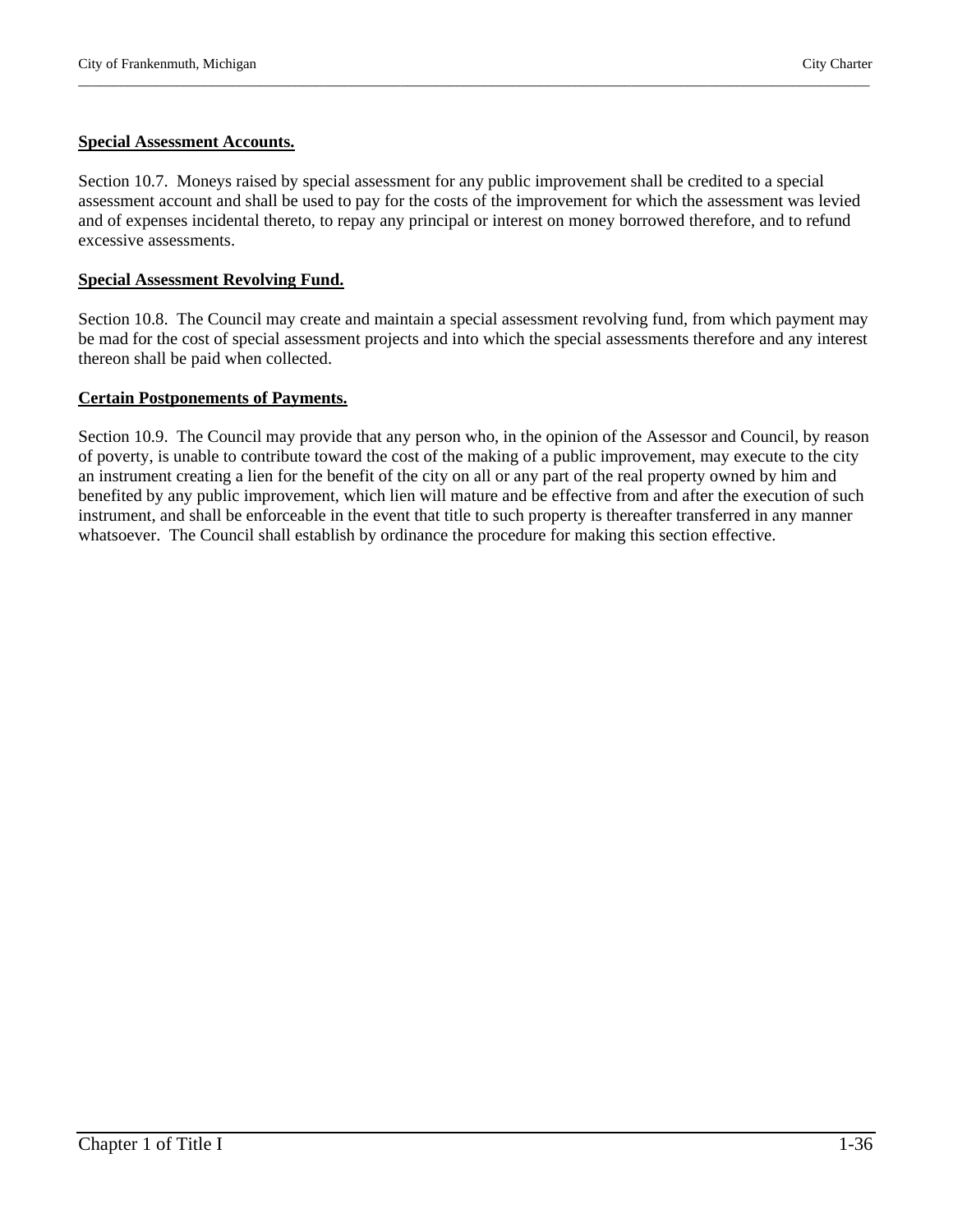# **Special Assessment Accounts.**

Section 10.7. Moneys raised by special assessment for any public improvement shall be credited to a special assessment account and shall be used to pay for the costs of the improvement for which the assessment was levied and of expenses incidental thereto, to repay any principal or interest on money borrowed therefore, and to refund excessive assessments.

\_\_\_\_\_\_\_\_\_\_\_\_\_\_\_\_\_\_\_\_\_\_\_\_\_\_\_\_\_\_\_\_\_\_\_\_\_\_\_\_\_\_\_\_\_\_\_\_\_\_\_\_\_\_\_\_\_\_\_\_\_\_\_\_\_\_\_\_\_\_\_\_\_\_\_\_\_\_\_\_\_\_\_\_\_\_\_\_\_\_\_\_\_\_\_\_\_\_\_\_\_\_\_\_\_\_\_\_\_\_\_\_\_

#### **Special Assessment Revolving Fund.**

Section 10.8. The Council may create and maintain a special assessment revolving fund, from which payment may be mad for the cost of special assessment projects and into which the special assessments therefore and any interest thereon shall be paid when collected.

#### **Certain Postponements of Payments.**

Section 10.9. The Council may provide that any person who, in the opinion of the Assessor and Council, by reason of poverty, is unable to contribute toward the cost of the making of a public improvement, may execute to the city an instrument creating a lien for the benefit of the city on all or any part of the real property owned by him and benefited by any public improvement, which lien will mature and be effective from and after the execution of such instrument, and shall be enforceable in the event that title to such property is thereafter transferred in any manner whatsoever. The Council shall establish by ordinance the procedure for making this section effective.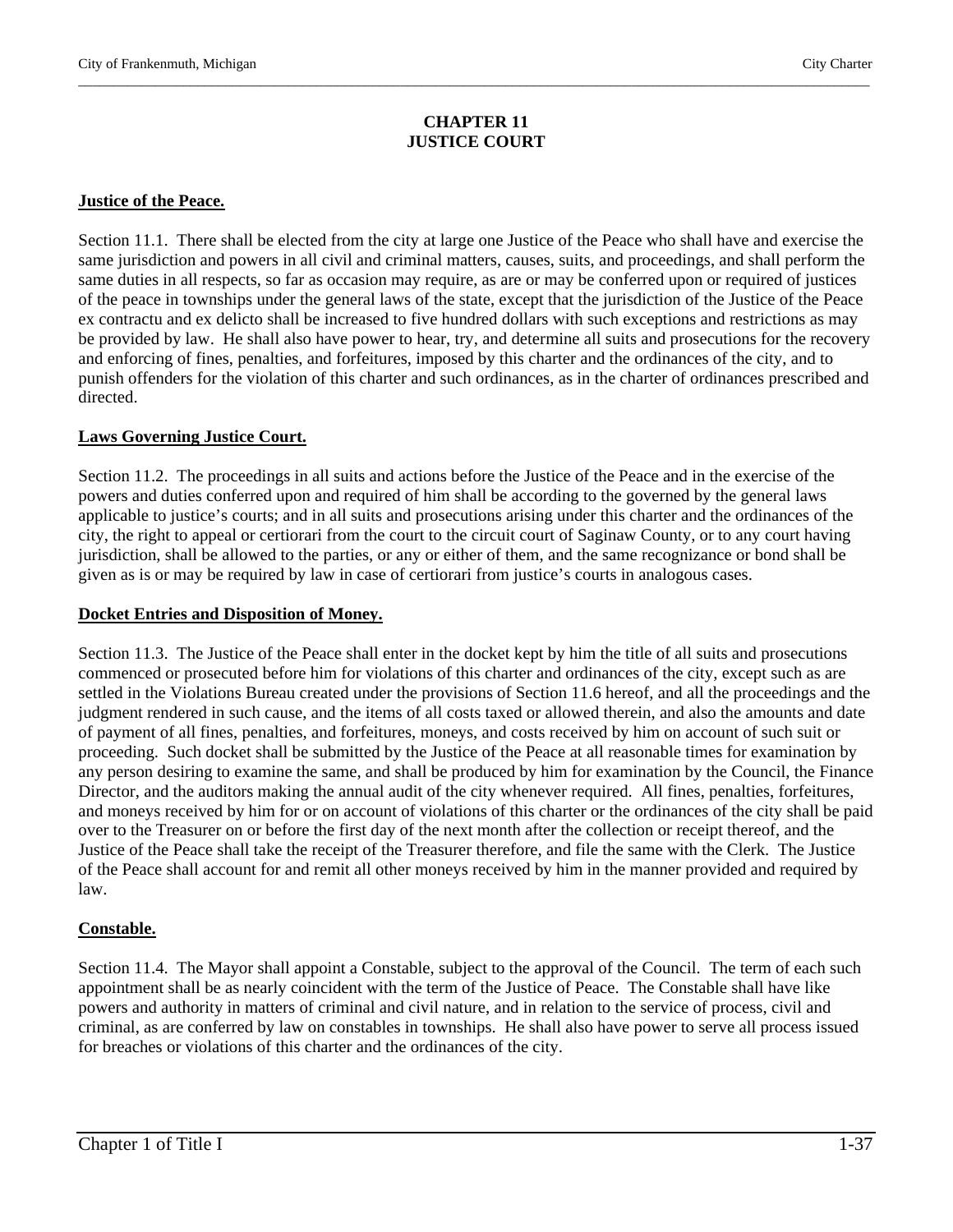#### **CHAPTER 11 JUSTICE COURT**

\_\_\_\_\_\_\_\_\_\_\_\_\_\_\_\_\_\_\_\_\_\_\_\_\_\_\_\_\_\_\_\_\_\_\_\_\_\_\_\_\_\_\_\_\_\_\_\_\_\_\_\_\_\_\_\_\_\_\_\_\_\_\_\_\_\_\_\_\_\_\_\_\_\_\_\_\_\_\_\_\_\_\_\_\_\_\_\_\_\_\_\_\_\_\_\_\_\_\_\_\_\_\_\_\_\_\_\_\_\_\_\_\_

#### **Justice of the Peace.**

Section 11.1. There shall be elected from the city at large one Justice of the Peace who shall have and exercise the same jurisdiction and powers in all civil and criminal matters, causes, suits, and proceedings, and shall perform the same duties in all respects, so far as occasion may require, as are or may be conferred upon or required of justices of the peace in townships under the general laws of the state, except that the jurisdiction of the Justice of the Peace ex contractu and ex delicto shall be increased to five hundred dollars with such exceptions and restrictions as may be provided by law. He shall also have power to hear, try, and determine all suits and prosecutions for the recovery and enforcing of fines, penalties, and forfeitures, imposed by this charter and the ordinances of the city, and to punish offenders for the violation of this charter and such ordinances, as in the charter of ordinances prescribed and directed.

#### **Laws Governing Justice Court.**

Section 11.2. The proceedings in all suits and actions before the Justice of the Peace and in the exercise of the powers and duties conferred upon and required of him shall be according to the governed by the general laws applicable to justice's courts; and in all suits and prosecutions arising under this charter and the ordinances of the city, the right to appeal or certiorari from the court to the circuit court of Saginaw County, or to any court having jurisdiction, shall be allowed to the parties, or any or either of them, and the same recognizance or bond shall be given as is or may be required by law in case of certiorari from justice's courts in analogous cases.

#### **Docket Entries and Disposition of Money.**

Section 11.3. The Justice of the Peace shall enter in the docket kept by him the title of all suits and prosecutions commenced or prosecuted before him for violations of this charter and ordinances of the city, except such as are settled in the Violations Bureau created under the provisions of Section 11.6 hereof, and all the proceedings and the judgment rendered in such cause, and the items of all costs taxed or allowed therein, and also the amounts and date of payment of all fines, penalties, and forfeitures, moneys, and costs received by him on account of such suit or proceeding. Such docket shall be submitted by the Justice of the Peace at all reasonable times for examination by any person desiring to examine the same, and shall be produced by him for examination by the Council, the Finance Director, and the auditors making the annual audit of the city whenever required. All fines, penalties, forfeitures, and moneys received by him for or on account of violations of this charter or the ordinances of the city shall be paid over to the Treasurer on or before the first day of the next month after the collection or receipt thereof, and the Justice of the Peace shall take the receipt of the Treasurer therefore, and file the same with the Clerk. The Justice of the Peace shall account for and remit all other moneys received by him in the manner provided and required by law.

# **Constable.**

Section 11.4. The Mayor shall appoint a Constable, subject to the approval of the Council. The term of each such appointment shall be as nearly coincident with the term of the Justice of Peace. The Constable shall have like powers and authority in matters of criminal and civil nature, and in relation to the service of process, civil and criminal, as are conferred by law on constables in townships. He shall also have power to serve all process issued for breaches or violations of this charter and the ordinances of the city.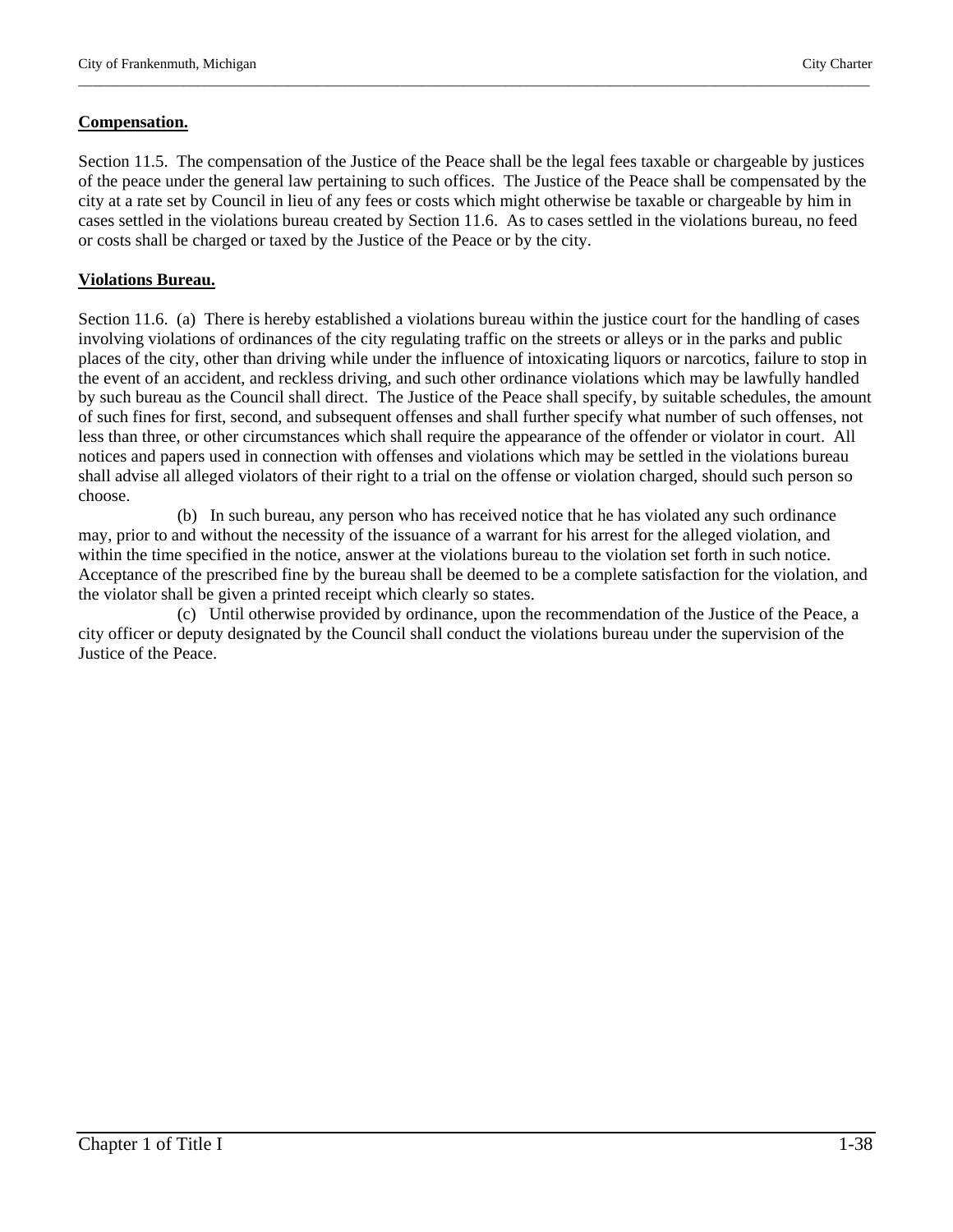#### **Compensation.**

Section 11.5. The compensation of the Justice of the Peace shall be the legal fees taxable or chargeable by justices of the peace under the general law pertaining to such offices. The Justice of the Peace shall be compensated by the city at a rate set by Council in lieu of any fees or costs which might otherwise be taxable or chargeable by him in cases settled in the violations bureau created by Section 11.6. As to cases settled in the violations bureau, no feed or costs shall be charged or taxed by the Justice of the Peace or by the city.

\_\_\_\_\_\_\_\_\_\_\_\_\_\_\_\_\_\_\_\_\_\_\_\_\_\_\_\_\_\_\_\_\_\_\_\_\_\_\_\_\_\_\_\_\_\_\_\_\_\_\_\_\_\_\_\_\_\_\_\_\_\_\_\_\_\_\_\_\_\_\_\_\_\_\_\_\_\_\_\_\_\_\_\_\_\_\_\_\_\_\_\_\_\_\_\_\_\_\_\_\_\_\_\_\_\_\_\_\_\_\_\_\_

#### **Violations Bureau.**

Section 11.6. (a) There is hereby established a violations bureau within the justice court for the handling of cases involving violations of ordinances of the city regulating traffic on the streets or alleys or in the parks and public places of the city, other than driving while under the influence of intoxicating liquors or narcotics, failure to stop in the event of an accident, and reckless driving, and such other ordinance violations which may be lawfully handled by such bureau as the Council shall direct. The Justice of the Peace shall specify, by suitable schedules, the amount of such fines for first, second, and subsequent offenses and shall further specify what number of such offenses, not less than three, or other circumstances which shall require the appearance of the offender or violator in court. All notices and papers used in connection with offenses and violations which may be settled in the violations bureau shall advise all alleged violators of their right to a trial on the offense or violation charged, should such person so choose.

 (b) In such bureau, any person who has received notice that he has violated any such ordinance may, prior to and without the necessity of the issuance of a warrant for his arrest for the alleged violation, and within the time specified in the notice, answer at the violations bureau to the violation set forth in such notice. Acceptance of the prescribed fine by the bureau shall be deemed to be a complete satisfaction for the violation, and the violator shall be given a printed receipt which clearly so states.

 (c) Until otherwise provided by ordinance, upon the recommendation of the Justice of the Peace, a city officer or deputy designated by the Council shall conduct the violations bureau under the supervision of the Justice of the Peace.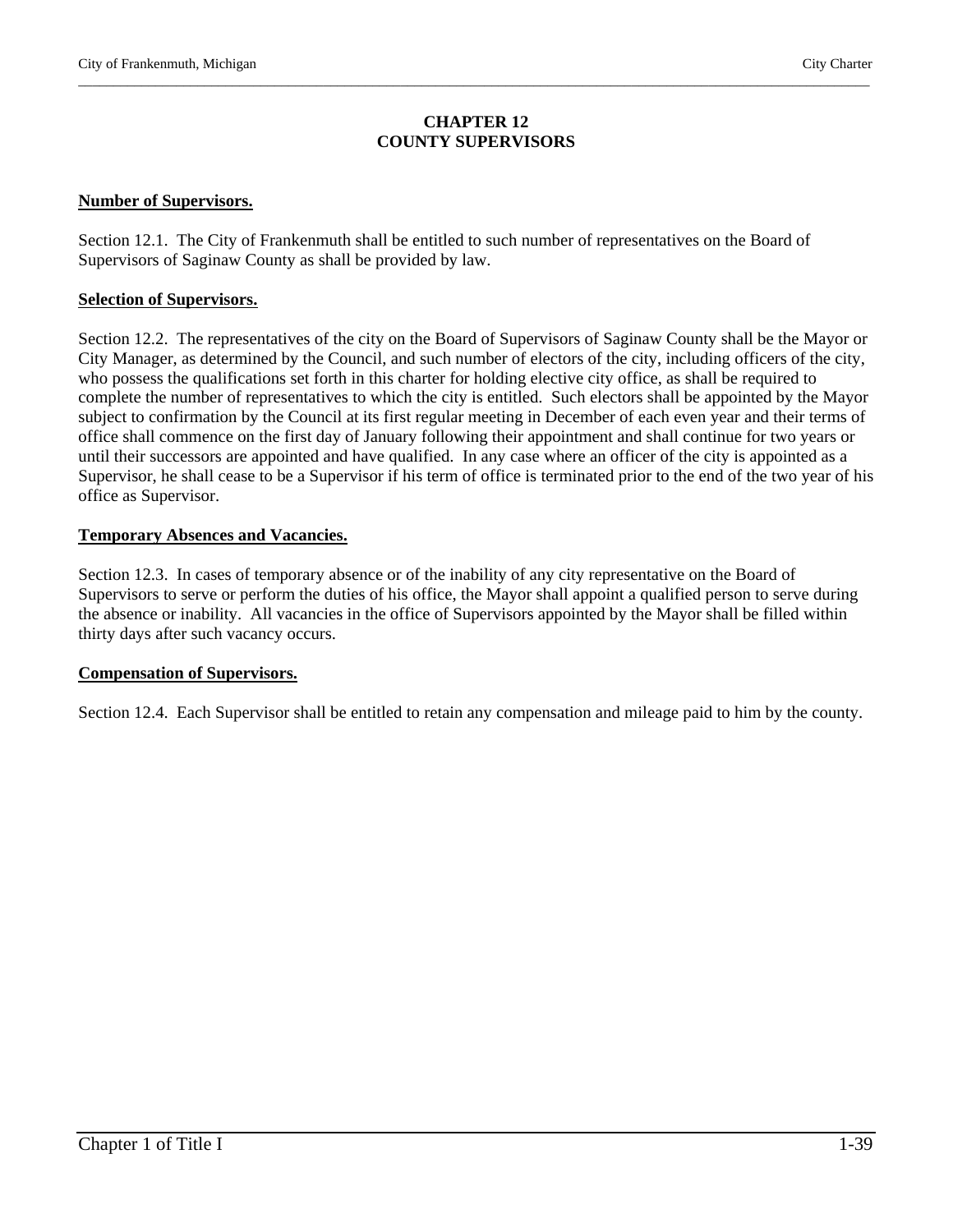#### **CHAPTER 12 COUNTY SUPERVISORS**

\_\_\_\_\_\_\_\_\_\_\_\_\_\_\_\_\_\_\_\_\_\_\_\_\_\_\_\_\_\_\_\_\_\_\_\_\_\_\_\_\_\_\_\_\_\_\_\_\_\_\_\_\_\_\_\_\_\_\_\_\_\_\_\_\_\_\_\_\_\_\_\_\_\_\_\_\_\_\_\_\_\_\_\_\_\_\_\_\_\_\_\_\_\_\_\_\_\_\_\_\_\_\_\_\_\_\_\_\_\_\_\_\_

#### **Number of Supervisors.**

Section 12.1. The City of Frankenmuth shall be entitled to such number of representatives on the Board of Supervisors of Saginaw County as shall be provided by law.

#### **Selection of Supervisors.**

Section 12.2. The representatives of the city on the Board of Supervisors of Saginaw County shall be the Mayor or City Manager, as determined by the Council, and such number of electors of the city, including officers of the city, who possess the qualifications set forth in this charter for holding elective city office, as shall be required to complete the number of representatives to which the city is entitled. Such electors shall be appointed by the Mayor subject to confirmation by the Council at its first regular meeting in December of each even year and their terms of office shall commence on the first day of January following their appointment and shall continue for two years or until their successors are appointed and have qualified. In any case where an officer of the city is appointed as a Supervisor, he shall cease to be a Supervisor if his term of office is terminated prior to the end of the two year of his office as Supervisor.

#### **Temporary Absences and Vacancies.**

Section 12.3. In cases of temporary absence or of the inability of any city representative on the Board of Supervisors to serve or perform the duties of his office, the Mayor shall appoint a qualified person to serve during the absence or inability. All vacancies in the office of Supervisors appointed by the Mayor shall be filled within thirty days after such vacancy occurs.

#### **Compensation of Supervisors.**

Section 12.4. Each Supervisor shall be entitled to retain any compensation and mileage paid to him by the county.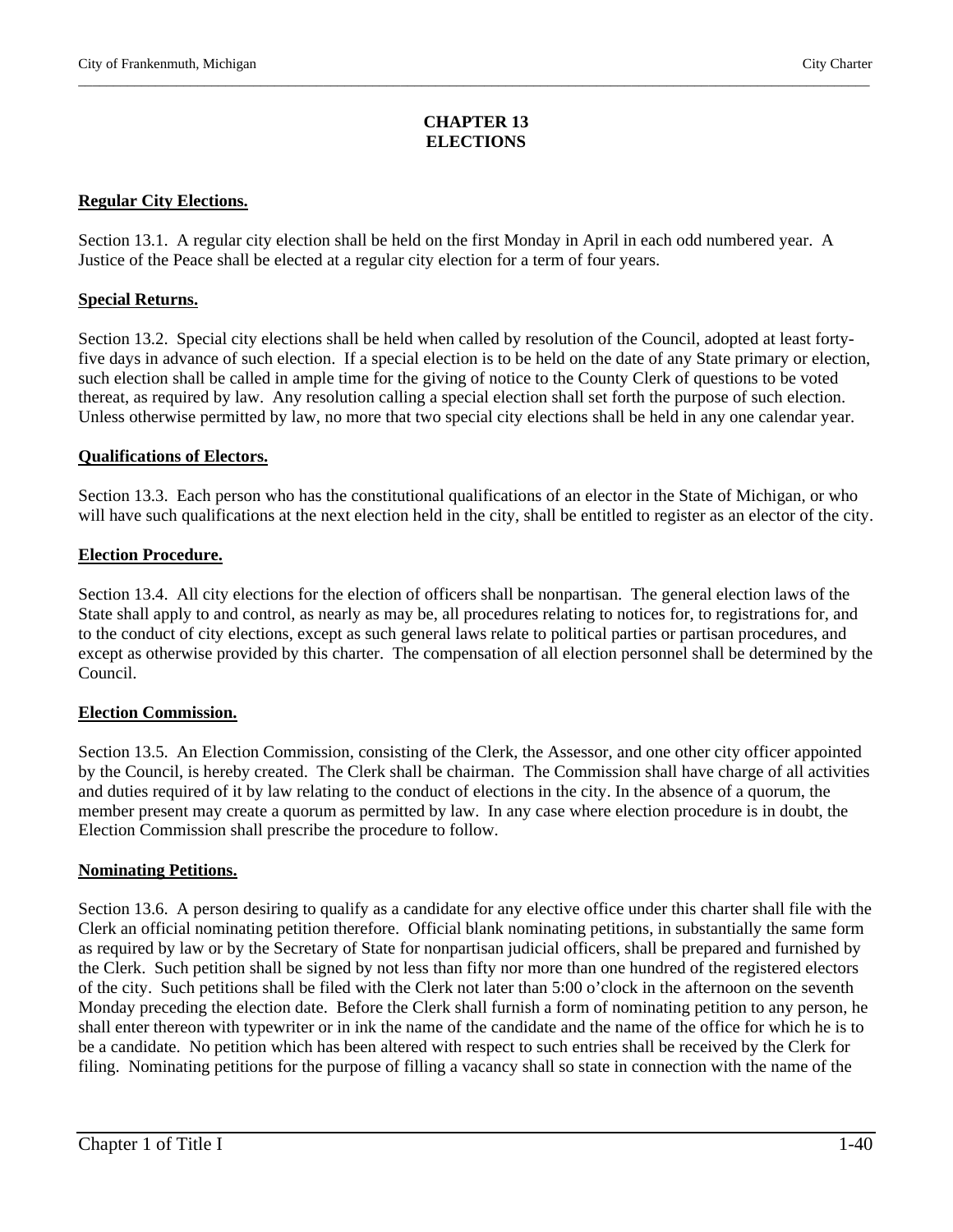# **CHAPTER 13 ELECTIONS**

\_\_\_\_\_\_\_\_\_\_\_\_\_\_\_\_\_\_\_\_\_\_\_\_\_\_\_\_\_\_\_\_\_\_\_\_\_\_\_\_\_\_\_\_\_\_\_\_\_\_\_\_\_\_\_\_\_\_\_\_\_\_\_\_\_\_\_\_\_\_\_\_\_\_\_\_\_\_\_\_\_\_\_\_\_\_\_\_\_\_\_\_\_\_\_\_\_\_\_\_\_\_\_\_\_\_\_\_\_\_\_\_\_

# **Regular City Elections.**

Section 13.1. A regular city election shall be held on the first Monday in April in each odd numbered year. A Justice of the Peace shall be elected at a regular city election for a term of four years.

#### **Special Returns.**

Section 13.2. Special city elections shall be held when called by resolution of the Council, adopted at least fortyfive days in advance of such election. If a special election is to be held on the date of any State primary or election, such election shall be called in ample time for the giving of notice to the County Clerk of questions to be voted thereat, as required by law. Any resolution calling a special election shall set forth the purpose of such election. Unless otherwise permitted by law, no more that two special city elections shall be held in any one calendar year.

#### **Qualifications of Electors.**

Section 13.3. Each person who has the constitutional qualifications of an elector in the State of Michigan, or who will have such qualifications at the next election held in the city, shall be entitled to register as an elector of the city.

#### **Election Procedure.**

Section 13.4. All city elections for the election of officers shall be nonpartisan. The general election laws of the State shall apply to and control, as nearly as may be, all procedures relating to notices for, to registrations for, and to the conduct of city elections, except as such general laws relate to political parties or partisan procedures, and except as otherwise provided by this charter. The compensation of all election personnel shall be determined by the Council.

#### **Election Commission.**

Section 13.5. An Election Commission, consisting of the Clerk, the Assessor, and one other city officer appointed by the Council, is hereby created. The Clerk shall be chairman. The Commission shall have charge of all activities and duties required of it by law relating to the conduct of elections in the city. In the absence of a quorum, the member present may create a quorum as permitted by law. In any case where election procedure is in doubt, the Election Commission shall prescribe the procedure to follow.

#### **Nominating Petitions.**

Section 13.6. A person desiring to qualify as a candidate for any elective office under this charter shall file with the Clerk an official nominating petition therefore. Official blank nominating petitions, in substantially the same form as required by law or by the Secretary of State for nonpartisan judicial officers, shall be prepared and furnished by the Clerk. Such petition shall be signed by not less than fifty nor more than one hundred of the registered electors of the city. Such petitions shall be filed with the Clerk not later than 5:00 o'clock in the afternoon on the seventh Monday preceding the election date. Before the Clerk shall furnish a form of nominating petition to any person, he shall enter thereon with typewriter or in ink the name of the candidate and the name of the office for which he is to be a candidate. No petition which has been altered with respect to such entries shall be received by the Clerk for filing. Nominating petitions for the purpose of filling a vacancy shall so state in connection with the name of the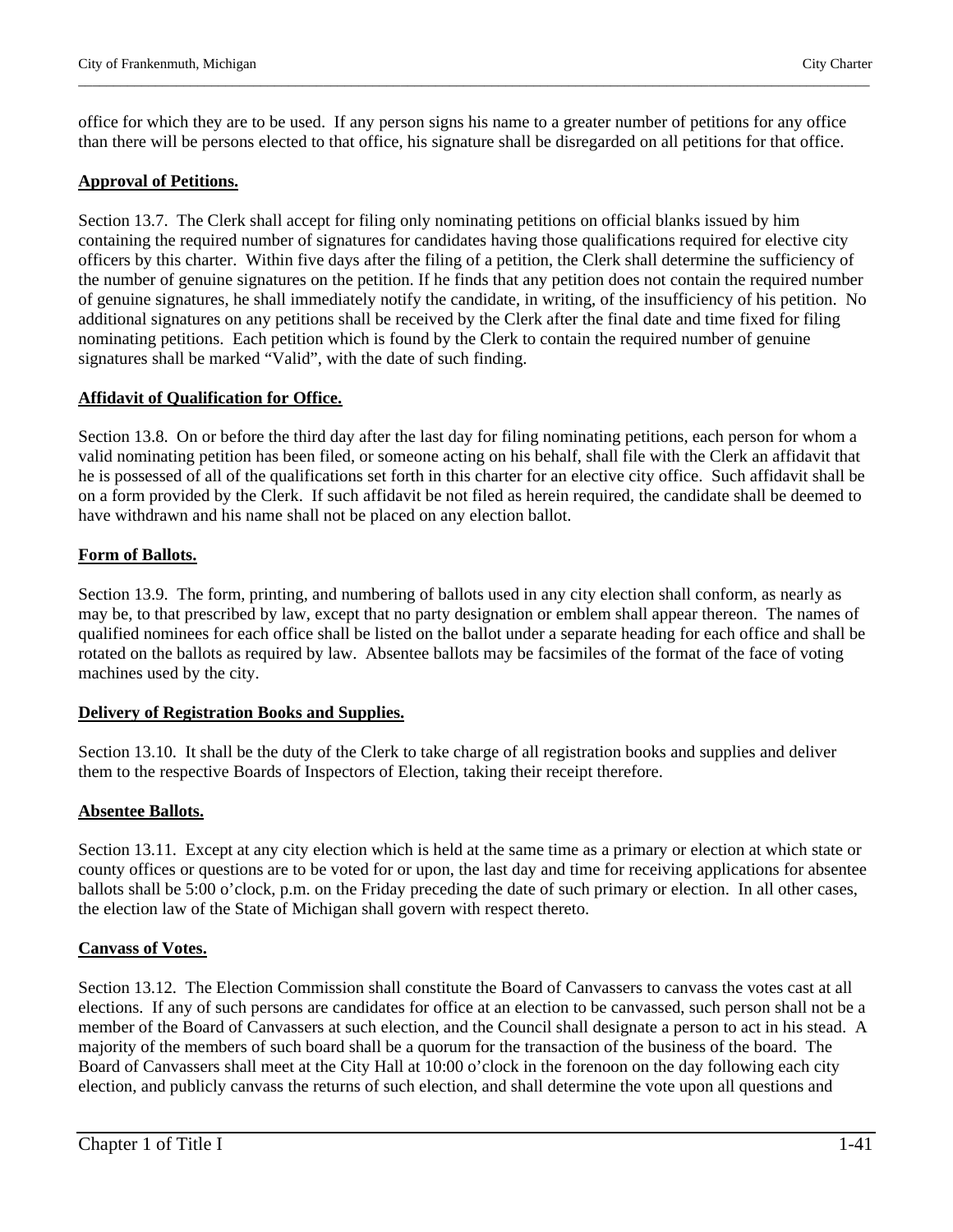office for which they are to be used. If any person signs his name to a greater number of petitions for any office than there will be persons elected to that office, his signature shall be disregarded on all petitions for that office.

\_\_\_\_\_\_\_\_\_\_\_\_\_\_\_\_\_\_\_\_\_\_\_\_\_\_\_\_\_\_\_\_\_\_\_\_\_\_\_\_\_\_\_\_\_\_\_\_\_\_\_\_\_\_\_\_\_\_\_\_\_\_\_\_\_\_\_\_\_\_\_\_\_\_\_\_\_\_\_\_\_\_\_\_\_\_\_\_\_\_\_\_\_\_\_\_\_\_\_\_\_\_\_\_\_\_\_\_\_\_\_\_\_

# **Approval of Petitions.**

Section 13.7. The Clerk shall accept for filing only nominating petitions on official blanks issued by him containing the required number of signatures for candidates having those qualifications required for elective city officers by this charter. Within five days after the filing of a petition, the Clerk shall determine the sufficiency of the number of genuine signatures on the petition. If he finds that any petition does not contain the required number of genuine signatures, he shall immediately notify the candidate, in writing, of the insufficiency of his petition. No additional signatures on any petitions shall be received by the Clerk after the final date and time fixed for filing nominating petitions. Each petition which is found by the Clerk to contain the required number of genuine signatures shall be marked "Valid", with the date of such finding.

# **Affidavit of Qualification for Office.**

Section 13.8. On or before the third day after the last day for filing nominating petitions, each person for whom a valid nominating petition has been filed, or someone acting on his behalf, shall file with the Clerk an affidavit that he is possessed of all of the qualifications set forth in this charter for an elective city office. Such affidavit shall be on a form provided by the Clerk. If such affidavit be not filed as herein required, the candidate shall be deemed to have withdrawn and his name shall not be placed on any election ballot.

# **Form of Ballots.**

Section 13.9. The form, printing, and numbering of ballots used in any city election shall conform, as nearly as may be, to that prescribed by law, except that no party designation or emblem shall appear thereon. The names of qualified nominees for each office shall be listed on the ballot under a separate heading for each office and shall be rotated on the ballots as required by law. Absentee ballots may be facsimiles of the format of the face of voting machines used by the city.

# **Delivery of Registration Books and Supplies.**

Section 13.10. It shall be the duty of the Clerk to take charge of all registration books and supplies and deliver them to the respective Boards of Inspectors of Election, taking their receipt therefore.

# **Absentee Ballots.**

Section 13.11. Except at any city election which is held at the same time as a primary or election at which state or county offices or questions are to be voted for or upon, the last day and time for receiving applications for absentee ballots shall be 5:00 o'clock, p.m. on the Friday preceding the date of such primary or election. In all other cases, the election law of the State of Michigan shall govern with respect thereto.

# **Canvass of Votes.**

Section 13.12. The Election Commission shall constitute the Board of Canvassers to canvass the votes cast at all elections. If any of such persons are candidates for office at an election to be canvassed, such person shall not be a member of the Board of Canvassers at such election, and the Council shall designate a person to act in his stead. A majority of the members of such board shall be a quorum for the transaction of the business of the board. The Board of Canvassers shall meet at the City Hall at 10:00 o'clock in the forenoon on the day following each city election, and publicly canvass the returns of such election, and shall determine the vote upon all questions and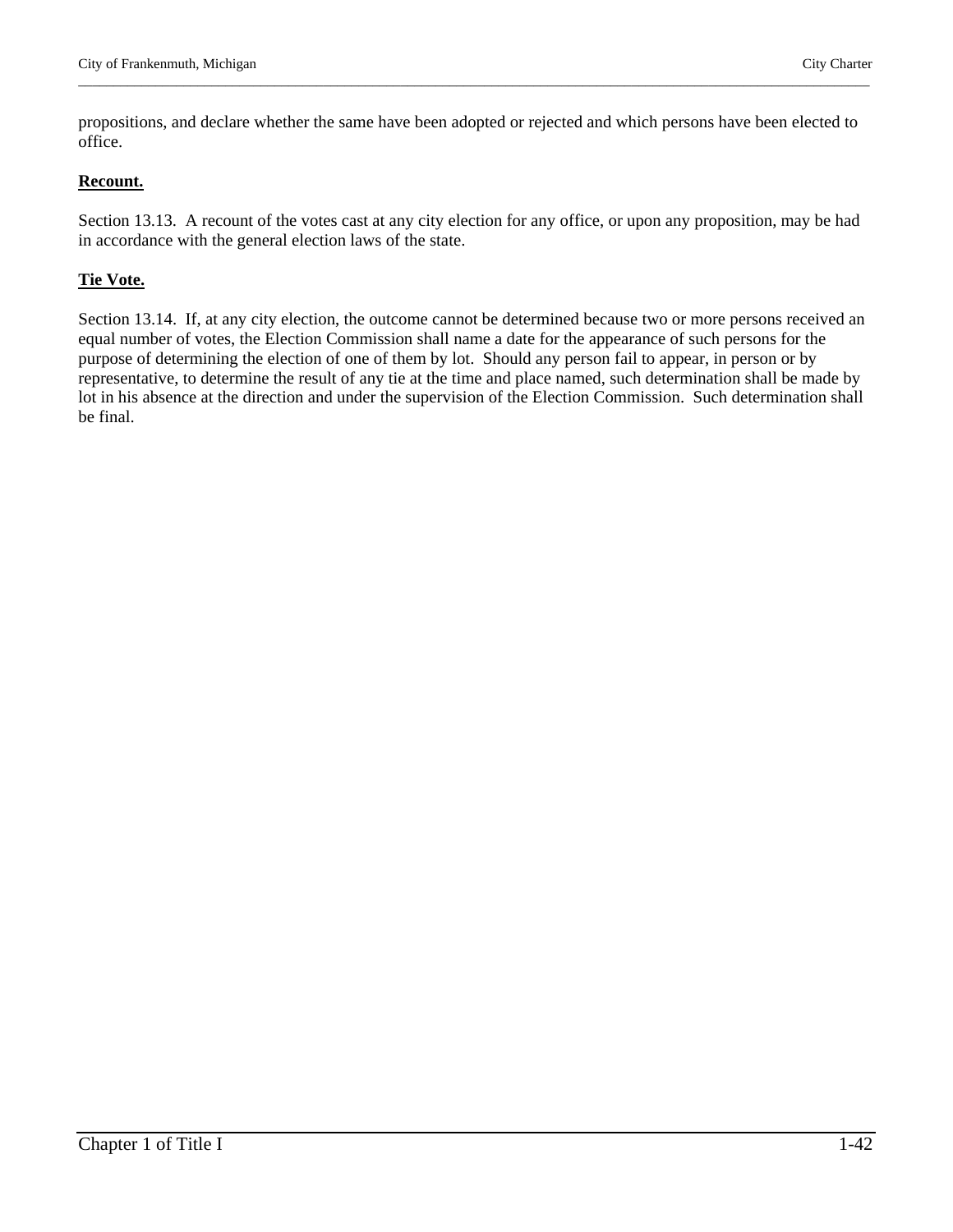propositions, and declare whether the same have been adopted or rejected and which persons have been elected to office.

\_\_\_\_\_\_\_\_\_\_\_\_\_\_\_\_\_\_\_\_\_\_\_\_\_\_\_\_\_\_\_\_\_\_\_\_\_\_\_\_\_\_\_\_\_\_\_\_\_\_\_\_\_\_\_\_\_\_\_\_\_\_\_\_\_\_\_\_\_\_\_\_\_\_\_\_\_\_\_\_\_\_\_\_\_\_\_\_\_\_\_\_\_\_\_\_\_\_\_\_\_\_\_\_\_\_\_\_\_\_\_\_\_

#### **Recount.**

Section 13.13. A recount of the votes cast at any city election for any office, or upon any proposition, may be had in accordance with the general election laws of the state.

#### **Tie Vote.**

Section 13.14. If, at any city election, the outcome cannot be determined because two or more persons received an equal number of votes, the Election Commission shall name a date for the appearance of such persons for the purpose of determining the election of one of them by lot. Should any person fail to appear, in person or by representative, to determine the result of any tie at the time and place named, such determination shall be made by lot in his absence at the direction and under the supervision of the Election Commission. Such determination shall be final.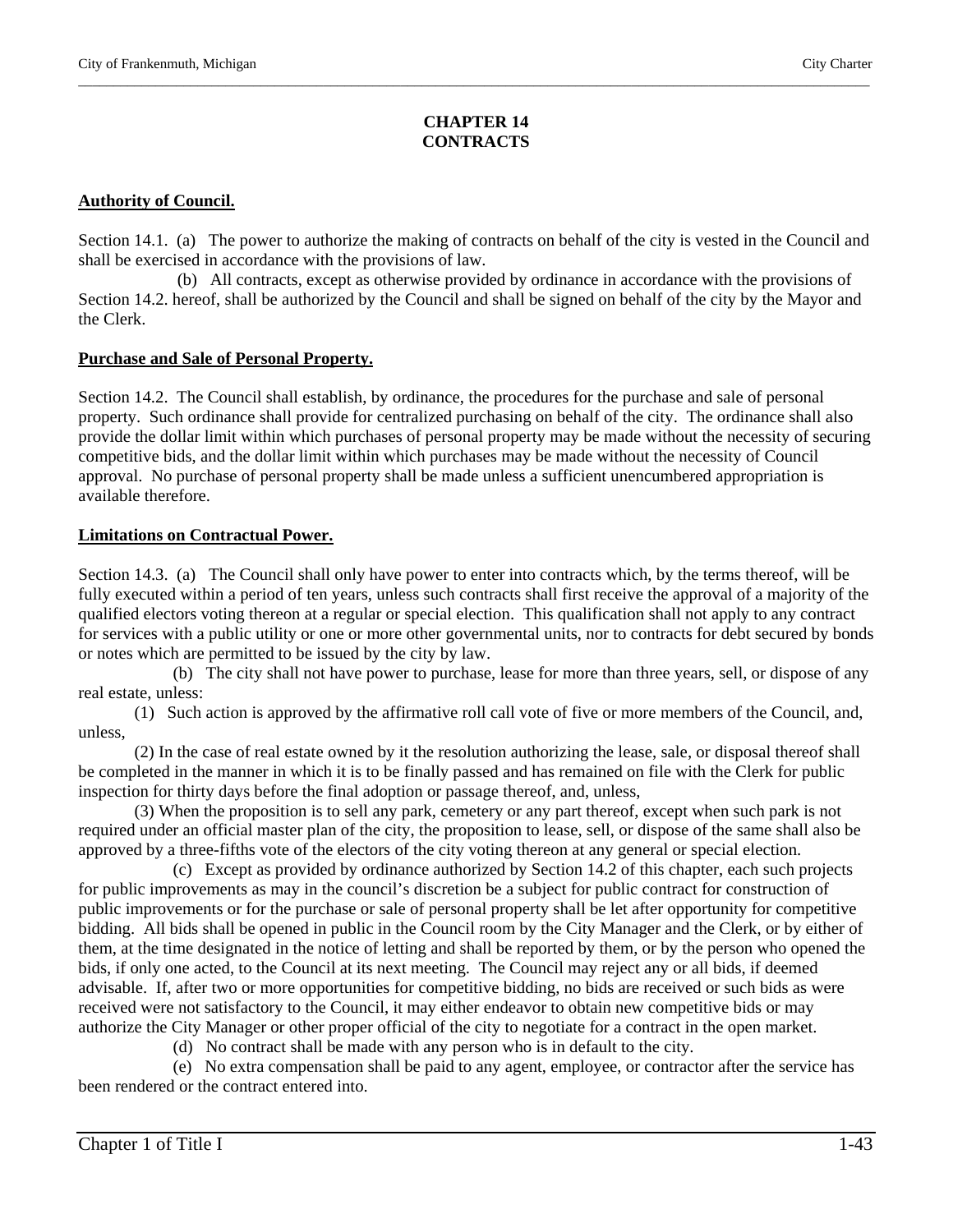# **CHAPTER 14 CONTRACTS**

\_\_\_\_\_\_\_\_\_\_\_\_\_\_\_\_\_\_\_\_\_\_\_\_\_\_\_\_\_\_\_\_\_\_\_\_\_\_\_\_\_\_\_\_\_\_\_\_\_\_\_\_\_\_\_\_\_\_\_\_\_\_\_\_\_\_\_\_\_\_\_\_\_\_\_\_\_\_\_\_\_\_\_\_\_\_\_\_\_\_\_\_\_\_\_\_\_\_\_\_\_\_\_\_\_\_\_\_\_\_\_\_\_

# **Authority of Council.**

Section 14.1. (a) The power to authorize the making of contracts on behalf of the city is vested in the Council and shall be exercised in accordance with the provisions of law.

 (b) All contracts, except as otherwise provided by ordinance in accordance with the provisions of Section 14.2. hereof, shall be authorized by the Council and shall be signed on behalf of the city by the Mayor and the Clerk.

#### **Purchase and Sale of Personal Property.**

Section 14.2. The Council shall establish, by ordinance, the procedures for the purchase and sale of personal property. Such ordinance shall provide for centralized purchasing on behalf of the city. The ordinance shall also provide the dollar limit within which purchases of personal property may be made without the necessity of securing competitive bids, and the dollar limit within which purchases may be made without the necessity of Council approval. No purchase of personal property shall be made unless a sufficient unencumbered appropriation is available therefore.

#### **Limitations on Contractual Power.**

Section 14.3. (a) The Council shall only have power to enter into contracts which, by the terms thereof, will be fully executed within a period of ten years, unless such contracts shall first receive the approval of a majority of the qualified electors voting thereon at a regular or special election. This qualification shall not apply to any contract for services with a public utility or one or more other governmental units, nor to contracts for debt secured by bonds or notes which are permitted to be issued by the city by law.

 (b) The city shall not have power to purchase, lease for more than three years, sell, or dispose of any real estate, unless:

(1) Such action is approved by the affirmative roll call vote of five or more members of the Council, and, unless,

(2) In the case of real estate owned by it the resolution authorizing the lease, sale, or disposal thereof shall be completed in the manner in which it is to be finally passed and has remained on file with the Clerk for public inspection for thirty days before the final adoption or passage thereof, and, unless,

(3) When the proposition is to sell any park, cemetery or any part thereof, except when such park is not required under an official master plan of the city, the proposition to lease, sell, or dispose of the same shall also be approved by a three-fifths vote of the electors of the city voting thereon at any general or special election.

 (c) Except as provided by ordinance authorized by Section 14.2 of this chapter, each such projects for public improvements as may in the council's discretion be a subject for public contract for construction of public improvements or for the purchase or sale of personal property shall be let after opportunity for competitive bidding. All bids shall be opened in public in the Council room by the City Manager and the Clerk, or by either of them, at the time designated in the notice of letting and shall be reported by them, or by the person who opened the bids, if only one acted, to the Council at its next meeting. The Council may reject any or all bids, if deemed advisable. If, after two or more opportunities for competitive bidding, no bids are received or such bids as were received were not satisfactory to the Council, it may either endeavor to obtain new competitive bids or may authorize the City Manager or other proper official of the city to negotiate for a contract in the open market.

(d) No contract shall be made with any person who is in default to the city.

 (e) No extra compensation shall be paid to any agent, employee, or contractor after the service has been rendered or the contract entered into.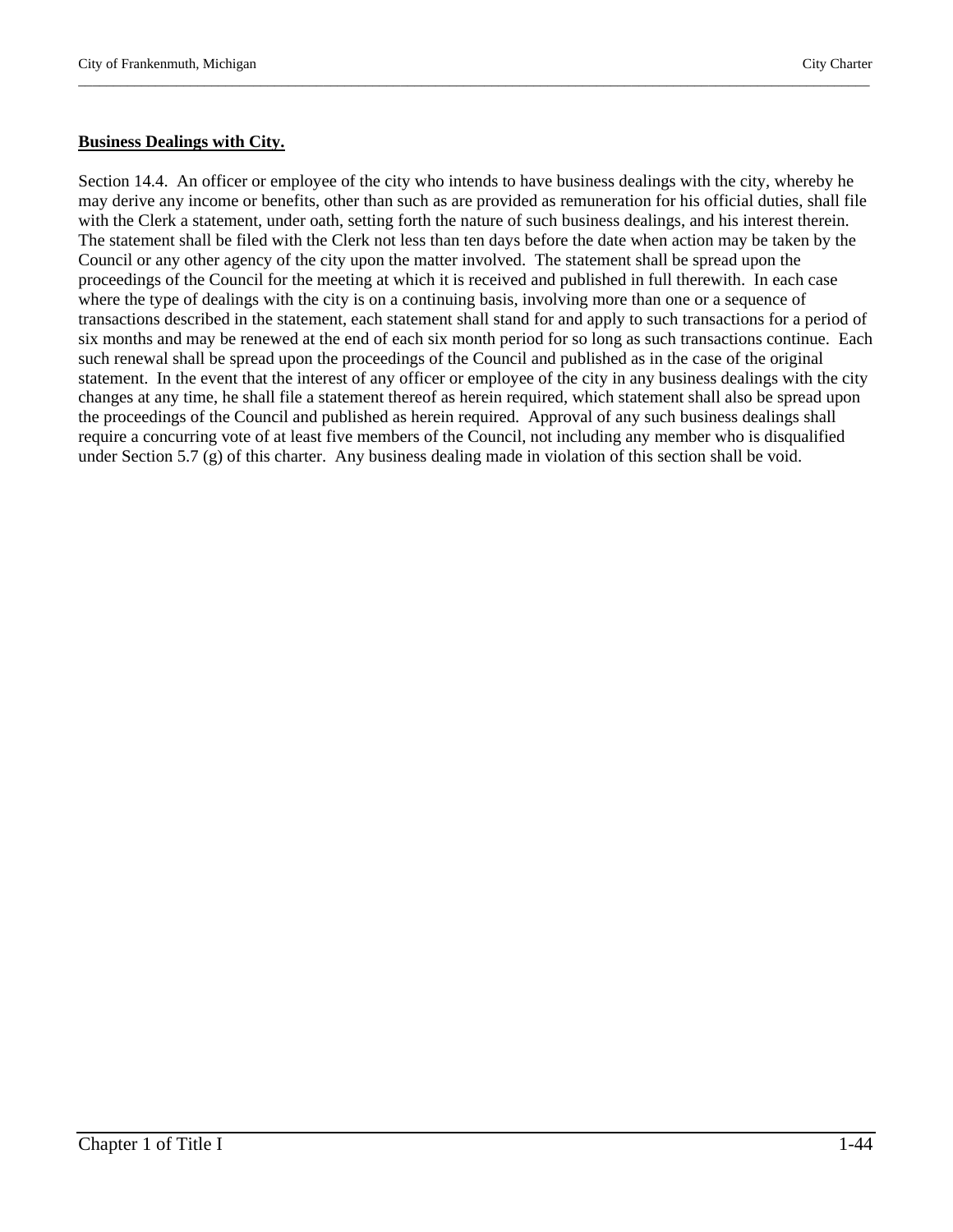#### **Business Dealings with City.**

Section 14.4. An officer or employee of the city who intends to have business dealings with the city, whereby he may derive any income or benefits, other than such as are provided as remuneration for his official duties, shall file with the Clerk a statement, under oath, setting forth the nature of such business dealings, and his interest therein. The statement shall be filed with the Clerk not less than ten days before the date when action may be taken by the Council or any other agency of the city upon the matter involved. The statement shall be spread upon the proceedings of the Council for the meeting at which it is received and published in full therewith. In each case where the type of dealings with the city is on a continuing basis, involving more than one or a sequence of transactions described in the statement, each statement shall stand for and apply to such transactions for a period of six months and may be renewed at the end of each six month period for so long as such transactions continue. Each such renewal shall be spread upon the proceedings of the Council and published as in the case of the original statement. In the event that the interest of any officer or employee of the city in any business dealings with the city changes at any time, he shall file a statement thereof as herein required, which statement shall also be spread upon the proceedings of the Council and published as herein required. Approval of any such business dealings shall require a concurring vote of at least five members of the Council, not including any member who is disqualified under Section 5.7 (g) of this charter. Any business dealing made in violation of this section shall be void.

\_\_\_\_\_\_\_\_\_\_\_\_\_\_\_\_\_\_\_\_\_\_\_\_\_\_\_\_\_\_\_\_\_\_\_\_\_\_\_\_\_\_\_\_\_\_\_\_\_\_\_\_\_\_\_\_\_\_\_\_\_\_\_\_\_\_\_\_\_\_\_\_\_\_\_\_\_\_\_\_\_\_\_\_\_\_\_\_\_\_\_\_\_\_\_\_\_\_\_\_\_\_\_\_\_\_\_\_\_\_\_\_\_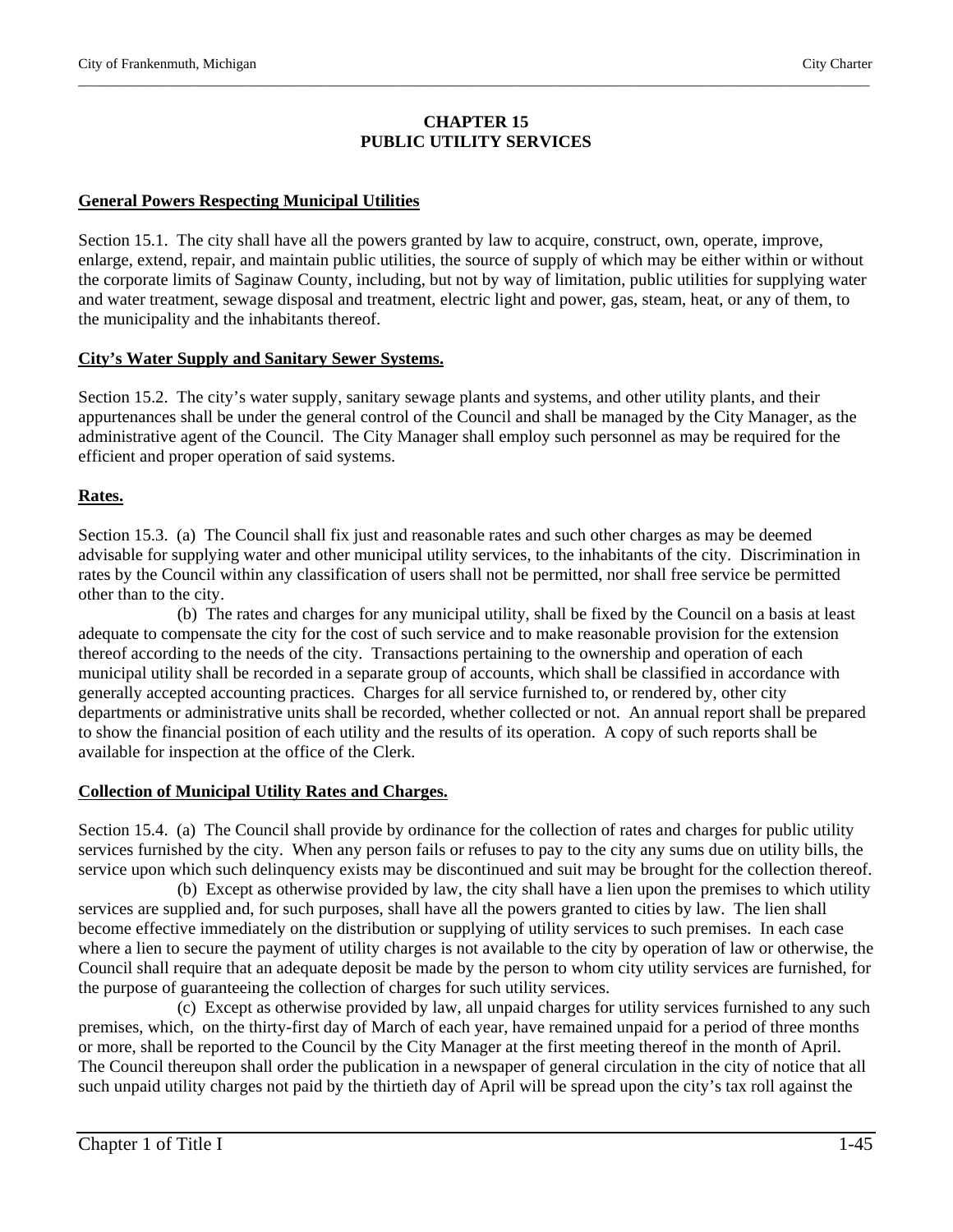# **CHAPTER 15 PUBLIC UTILITY SERVICES**

\_\_\_\_\_\_\_\_\_\_\_\_\_\_\_\_\_\_\_\_\_\_\_\_\_\_\_\_\_\_\_\_\_\_\_\_\_\_\_\_\_\_\_\_\_\_\_\_\_\_\_\_\_\_\_\_\_\_\_\_\_\_\_\_\_\_\_\_\_\_\_\_\_\_\_\_\_\_\_\_\_\_\_\_\_\_\_\_\_\_\_\_\_\_\_\_\_\_\_\_\_\_\_\_\_\_\_\_\_\_\_\_\_

# **General Powers Respecting Municipal Utilities**

Section 15.1. The city shall have all the powers granted by law to acquire, construct, own, operate, improve, enlarge, extend, repair, and maintain public utilities, the source of supply of which may be either within or without the corporate limits of Saginaw County, including, but not by way of limitation, public utilities for supplying water and water treatment, sewage disposal and treatment, electric light and power, gas, steam, heat, or any of them, to the municipality and the inhabitants thereof.

# **City's Water Supply and Sanitary Sewer Systems.**

Section 15.2. The city's water supply, sanitary sewage plants and systems, and other utility plants, and their appurtenances shall be under the general control of the Council and shall be managed by the City Manager, as the administrative agent of the Council. The City Manager shall employ such personnel as may be required for the efficient and proper operation of said systems.

# **Rates.**

Section 15.3. (a) The Council shall fix just and reasonable rates and such other charges as may be deemed advisable for supplying water and other municipal utility services, to the inhabitants of the city. Discrimination in rates by the Council within any classification of users shall not be permitted, nor shall free service be permitted other than to the city.

 (b) The rates and charges for any municipal utility, shall be fixed by the Council on a basis at least adequate to compensate the city for the cost of such service and to make reasonable provision for the extension thereof according to the needs of the city. Transactions pertaining to the ownership and operation of each municipal utility shall be recorded in a separate group of accounts, which shall be classified in accordance with generally accepted accounting practices. Charges for all service furnished to, or rendered by, other city departments or administrative units shall be recorded, whether collected or not. An annual report shall be prepared to show the financial position of each utility and the results of its operation. A copy of such reports shall be available for inspection at the office of the Clerk.

# **Collection of Municipal Utility Rates and Charges.**

Section 15.4. (a) The Council shall provide by ordinance for the collection of rates and charges for public utility services furnished by the city. When any person fails or refuses to pay to the city any sums due on utility bills, the service upon which such delinquency exists may be discontinued and suit may be brought for the collection thereof.

 (b) Except as otherwise provided by law, the city shall have a lien upon the premises to which utility services are supplied and, for such purposes, shall have all the powers granted to cities by law. The lien shall become effective immediately on the distribution or supplying of utility services to such premises. In each case where a lien to secure the payment of utility charges is not available to the city by operation of law or otherwise, the Council shall require that an adequate deposit be made by the person to whom city utility services are furnished, for the purpose of guaranteeing the collection of charges for such utility services.

 (c) Except as otherwise provided by law, all unpaid charges for utility services furnished to any such premises, which, on the thirty-first day of March of each year, have remained unpaid for a period of three months or more, shall be reported to the Council by the City Manager at the first meeting thereof in the month of April. The Council thereupon shall order the publication in a newspaper of general circulation in the city of notice that all such unpaid utility charges not paid by the thirtieth day of April will be spread upon the city's tax roll against the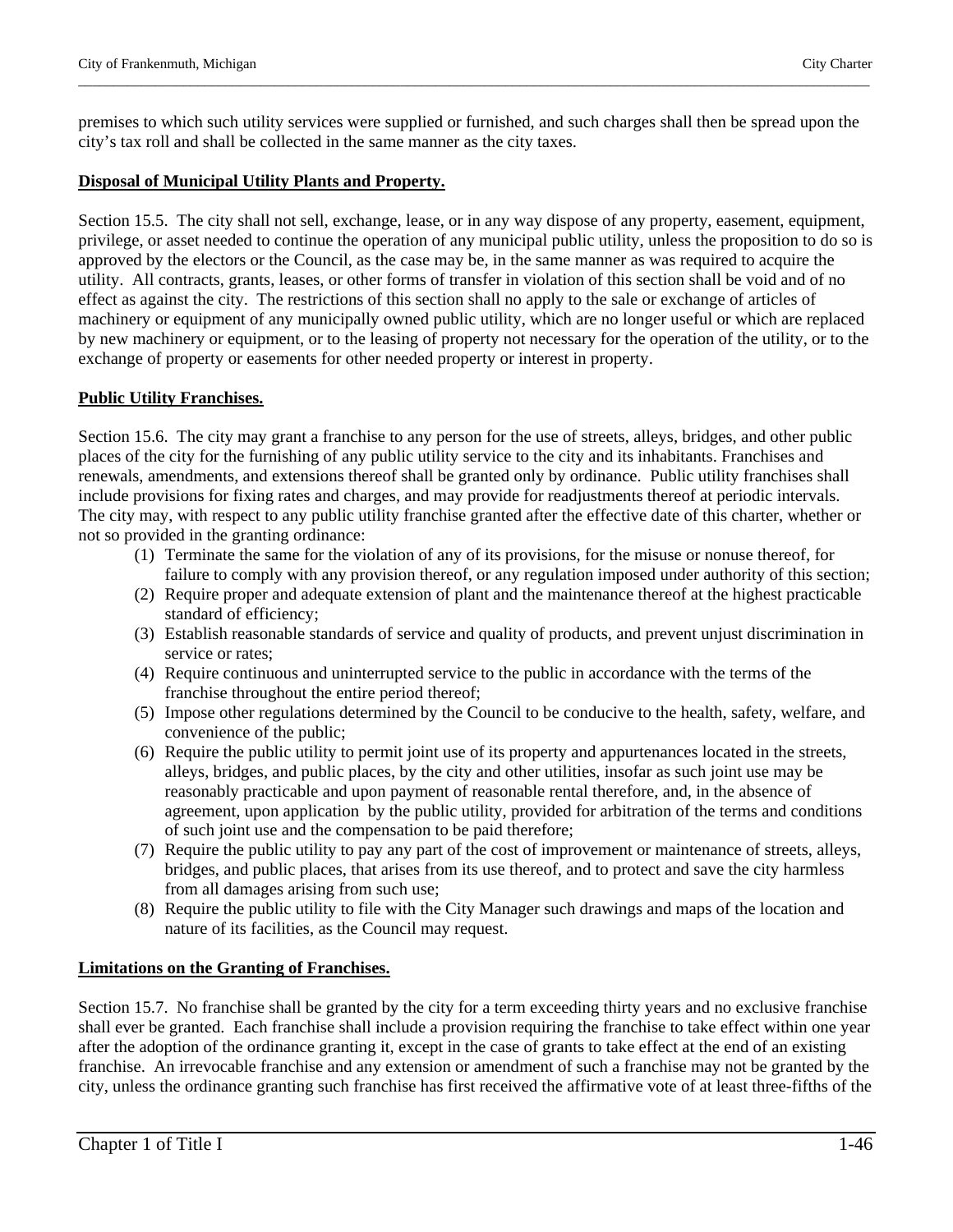premises to which such utility services were supplied or furnished, and such charges shall then be spread upon the city's tax roll and shall be collected in the same manner as the city taxes.

\_\_\_\_\_\_\_\_\_\_\_\_\_\_\_\_\_\_\_\_\_\_\_\_\_\_\_\_\_\_\_\_\_\_\_\_\_\_\_\_\_\_\_\_\_\_\_\_\_\_\_\_\_\_\_\_\_\_\_\_\_\_\_\_\_\_\_\_\_\_\_\_\_\_\_\_\_\_\_\_\_\_\_\_\_\_\_\_\_\_\_\_\_\_\_\_\_\_\_\_\_\_\_\_\_\_\_\_\_\_\_\_\_

#### **Disposal of Municipal Utility Plants and Property.**

Section 15.5. The city shall not sell, exchange, lease, or in any way dispose of any property, easement, equipment, privilege, or asset needed to continue the operation of any municipal public utility, unless the proposition to do so is approved by the electors or the Council, as the case may be, in the same manner as was required to acquire the utility. All contracts, grants, leases, or other forms of transfer in violation of this section shall be void and of no effect as against the city. The restrictions of this section shall no apply to the sale or exchange of articles of machinery or equipment of any municipally owned public utility, which are no longer useful or which are replaced by new machinery or equipment, or to the leasing of property not necessary for the operation of the utility, or to the exchange of property or easements for other needed property or interest in property.

#### **Public Utility Franchises.**

Section 15.6. The city may grant a franchise to any person for the use of streets, alleys, bridges, and other public places of the city for the furnishing of any public utility service to the city and its inhabitants. Franchises and renewals, amendments, and extensions thereof shall be granted only by ordinance. Public utility franchises shall include provisions for fixing rates and charges, and may provide for readjustments thereof at periodic intervals. The city may, with respect to any public utility franchise granted after the effective date of this charter, whether or not so provided in the granting ordinance:

- (1) Terminate the same for the violation of any of its provisions, for the misuse or nonuse thereof, for failure to comply with any provision thereof, or any regulation imposed under authority of this section;
- (2) Require proper and adequate extension of plant and the maintenance thereof at the highest practicable standard of efficiency;
- (3) Establish reasonable standards of service and quality of products, and prevent unjust discrimination in service or rates;
- (4) Require continuous and uninterrupted service to the public in accordance with the terms of the franchise throughout the entire period thereof;
- (5) Impose other regulations determined by the Council to be conducive to the health, safety, welfare, and convenience of the public;
- (6) Require the public utility to permit joint use of its property and appurtenances located in the streets, alleys, bridges, and public places, by the city and other utilities, insofar as such joint use may be reasonably practicable and upon payment of reasonable rental therefore, and, in the absence of agreement, upon application by the public utility, provided for arbitration of the terms and conditions of such joint use and the compensation to be paid therefore;
- (7) Require the public utility to pay any part of the cost of improvement or maintenance of streets, alleys, bridges, and public places, that arises from its use thereof, and to protect and save the city harmless from all damages arising from such use;
- (8) Require the public utility to file with the City Manager such drawings and maps of the location and nature of its facilities, as the Council may request.

#### **Limitations on the Granting of Franchises.**

Section 15.7. No franchise shall be granted by the city for a term exceeding thirty years and no exclusive franchise shall ever be granted. Each franchise shall include a provision requiring the franchise to take effect within one year after the adoption of the ordinance granting it, except in the case of grants to take effect at the end of an existing franchise. An irrevocable franchise and any extension or amendment of such a franchise may not be granted by the city, unless the ordinance granting such franchise has first received the affirmative vote of at least three-fifths of the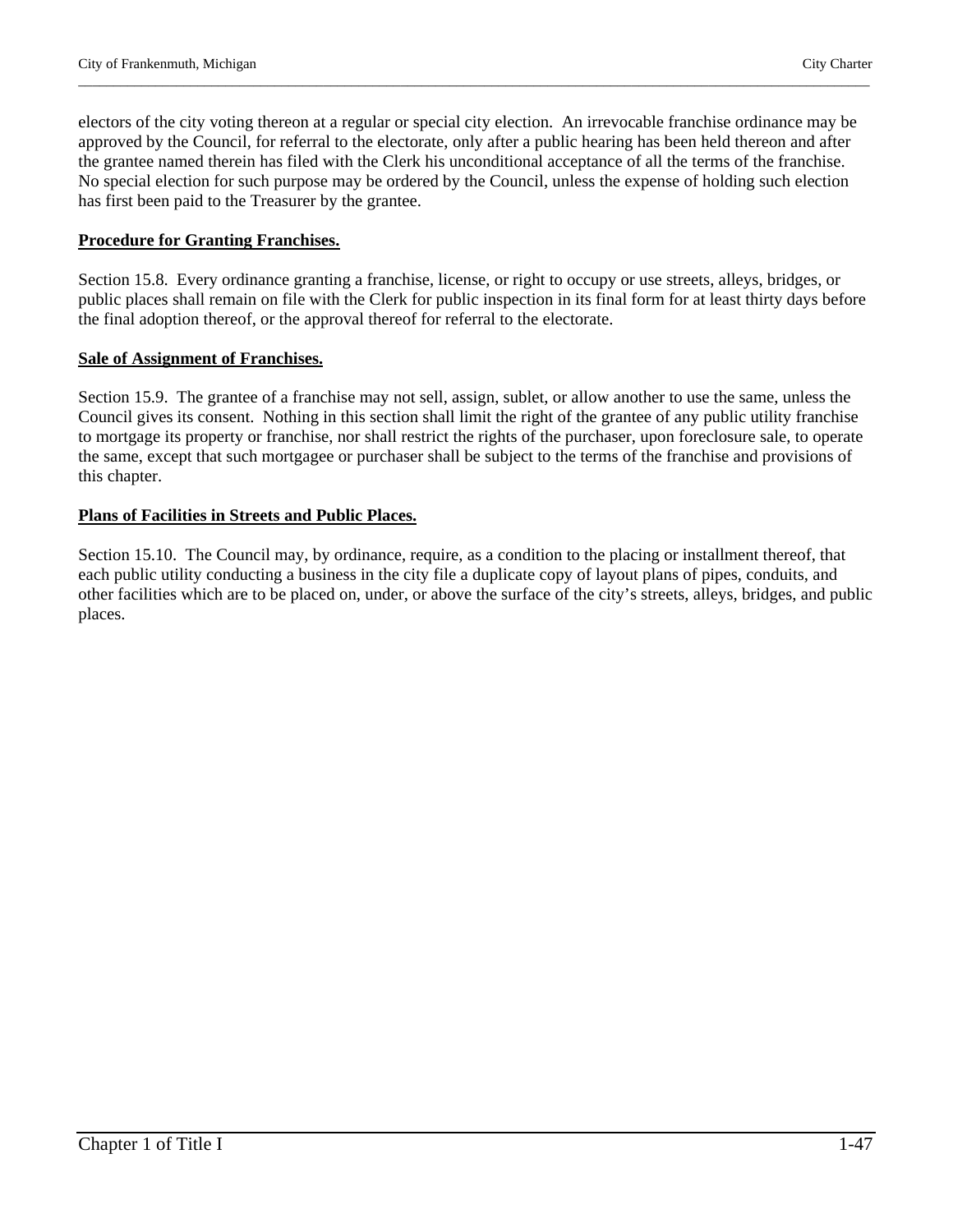electors of the city voting thereon at a regular or special city election. An irrevocable franchise ordinance may be approved by the Council, for referral to the electorate, only after a public hearing has been held thereon and after the grantee named therein has filed with the Clerk his unconditional acceptance of all the terms of the franchise. No special election for such purpose may be ordered by the Council, unless the expense of holding such election has first been paid to the Treasurer by the grantee.

\_\_\_\_\_\_\_\_\_\_\_\_\_\_\_\_\_\_\_\_\_\_\_\_\_\_\_\_\_\_\_\_\_\_\_\_\_\_\_\_\_\_\_\_\_\_\_\_\_\_\_\_\_\_\_\_\_\_\_\_\_\_\_\_\_\_\_\_\_\_\_\_\_\_\_\_\_\_\_\_\_\_\_\_\_\_\_\_\_\_\_\_\_\_\_\_\_\_\_\_\_\_\_\_\_\_\_\_\_\_\_\_\_

#### **Procedure for Granting Franchises.**

Section 15.8. Every ordinance granting a franchise, license, or right to occupy or use streets, alleys, bridges, or public places shall remain on file with the Clerk for public inspection in its final form for at least thirty days before the final adoption thereof, or the approval thereof for referral to the electorate.

# **Sale of Assignment of Franchises.**

Section 15.9. The grantee of a franchise may not sell, assign, sublet, or allow another to use the same, unless the Council gives its consent. Nothing in this section shall limit the right of the grantee of any public utility franchise to mortgage its property or franchise, nor shall restrict the rights of the purchaser, upon foreclosure sale, to operate the same, except that such mortgagee or purchaser shall be subject to the terms of the franchise and provisions of this chapter.

#### **Plans of Facilities in Streets and Public Places.**

Section 15.10. The Council may, by ordinance, require, as a condition to the placing or installment thereof, that each public utility conducting a business in the city file a duplicate copy of layout plans of pipes, conduits, and other facilities which are to be placed on, under, or above the surface of the city's streets, alleys, bridges, and public places.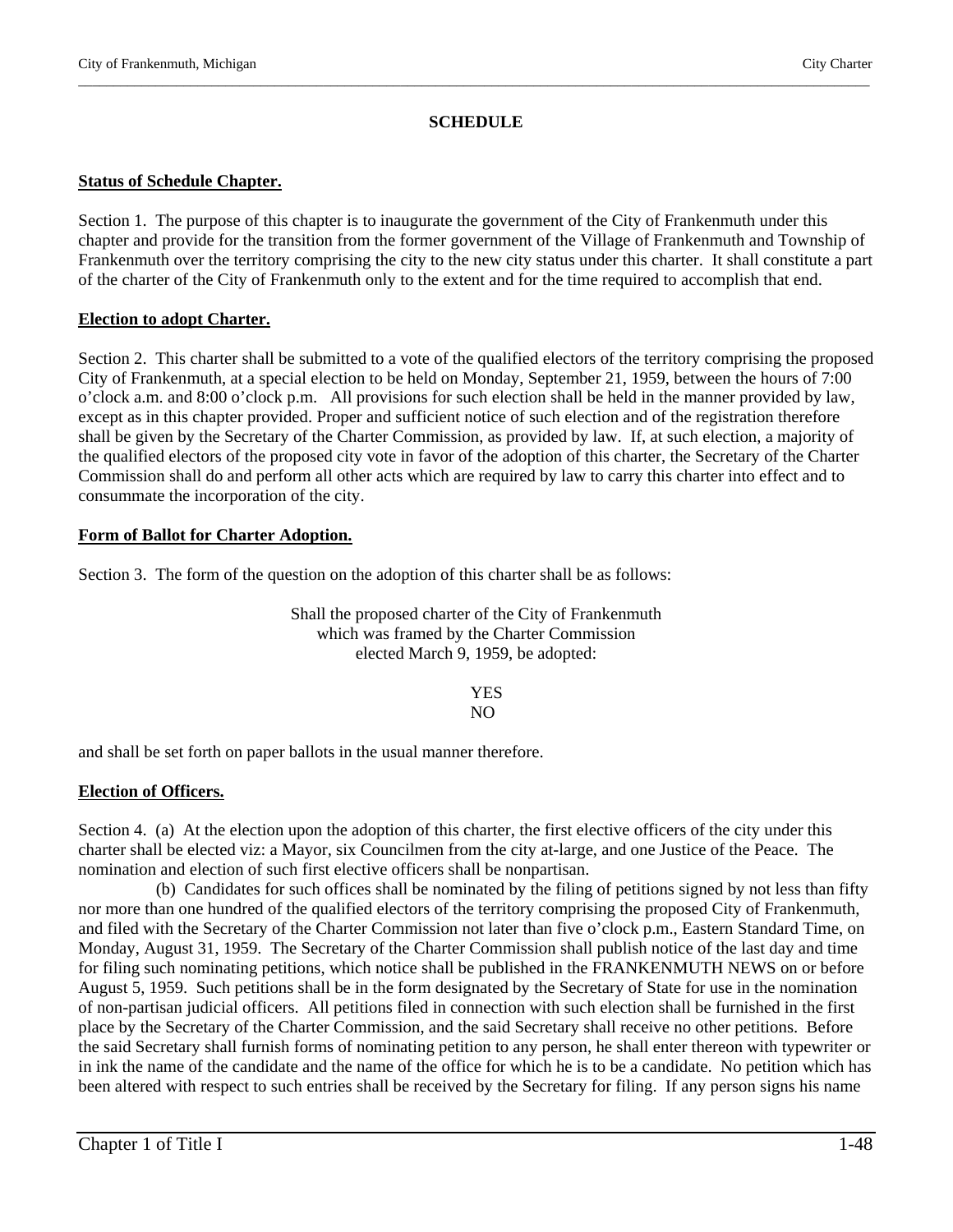#### **SCHEDULE**

\_\_\_\_\_\_\_\_\_\_\_\_\_\_\_\_\_\_\_\_\_\_\_\_\_\_\_\_\_\_\_\_\_\_\_\_\_\_\_\_\_\_\_\_\_\_\_\_\_\_\_\_\_\_\_\_\_\_\_\_\_\_\_\_\_\_\_\_\_\_\_\_\_\_\_\_\_\_\_\_\_\_\_\_\_\_\_\_\_\_\_\_\_\_\_\_\_\_\_\_\_\_\_\_\_\_\_\_\_\_\_\_\_

#### **Status of Schedule Chapter.**

Section 1. The purpose of this chapter is to inaugurate the government of the City of Frankenmuth under this chapter and provide for the transition from the former government of the Village of Frankenmuth and Township of Frankenmuth over the territory comprising the city to the new city status under this charter. It shall constitute a part of the charter of the City of Frankenmuth only to the extent and for the time required to accomplish that end.

#### **Election to adopt Charter.**

Section 2. This charter shall be submitted to a vote of the qualified electors of the territory comprising the proposed City of Frankenmuth, at a special election to be held on Monday, September 21, 1959, between the hours of 7:00 o'clock a.m. and 8:00 o'clock p.m. All provisions for such election shall be held in the manner provided by law, except as in this chapter provided. Proper and sufficient notice of such election and of the registration therefore shall be given by the Secretary of the Charter Commission, as provided by law. If, at such election, a majority of the qualified electors of the proposed city vote in favor of the adoption of this charter, the Secretary of the Charter Commission shall do and perform all other acts which are required by law to carry this charter into effect and to consummate the incorporation of the city.

# **Form of Ballot for Charter Adoption.**

Section 3. The form of the question on the adoption of this charter shall be as follows:

Shall the proposed charter of the City of Frankenmuth which was framed by the Charter Commission elected March 9, 1959, be adopted:

 YES NO<sub>N</sub>

and shall be set forth on paper ballots in the usual manner therefore.

# **Election of Officers.**

Section 4. (a) At the election upon the adoption of this charter, the first elective officers of the city under this charter shall be elected viz: a Mayor, six Councilmen from the city at-large, and one Justice of the Peace. The nomination and election of such first elective officers shall be nonpartisan.

 (b) Candidates for such offices shall be nominated by the filing of petitions signed by not less than fifty nor more than one hundred of the qualified electors of the territory comprising the proposed City of Frankenmuth, and filed with the Secretary of the Charter Commission not later than five o'clock p.m., Eastern Standard Time, on Monday, August 31, 1959. The Secretary of the Charter Commission shall publish notice of the last day and time for filing such nominating petitions, which notice shall be published in the FRANKENMUTH NEWS on or before August 5, 1959. Such petitions shall be in the form designated by the Secretary of State for use in the nomination of non-partisan judicial officers. All petitions filed in connection with such election shall be furnished in the first place by the Secretary of the Charter Commission, and the said Secretary shall receive no other petitions. Before the said Secretary shall furnish forms of nominating petition to any person, he shall enter thereon with typewriter or in ink the name of the candidate and the name of the office for which he is to be a candidate. No petition which has been altered with respect to such entries shall be received by the Secretary for filing. If any person signs his name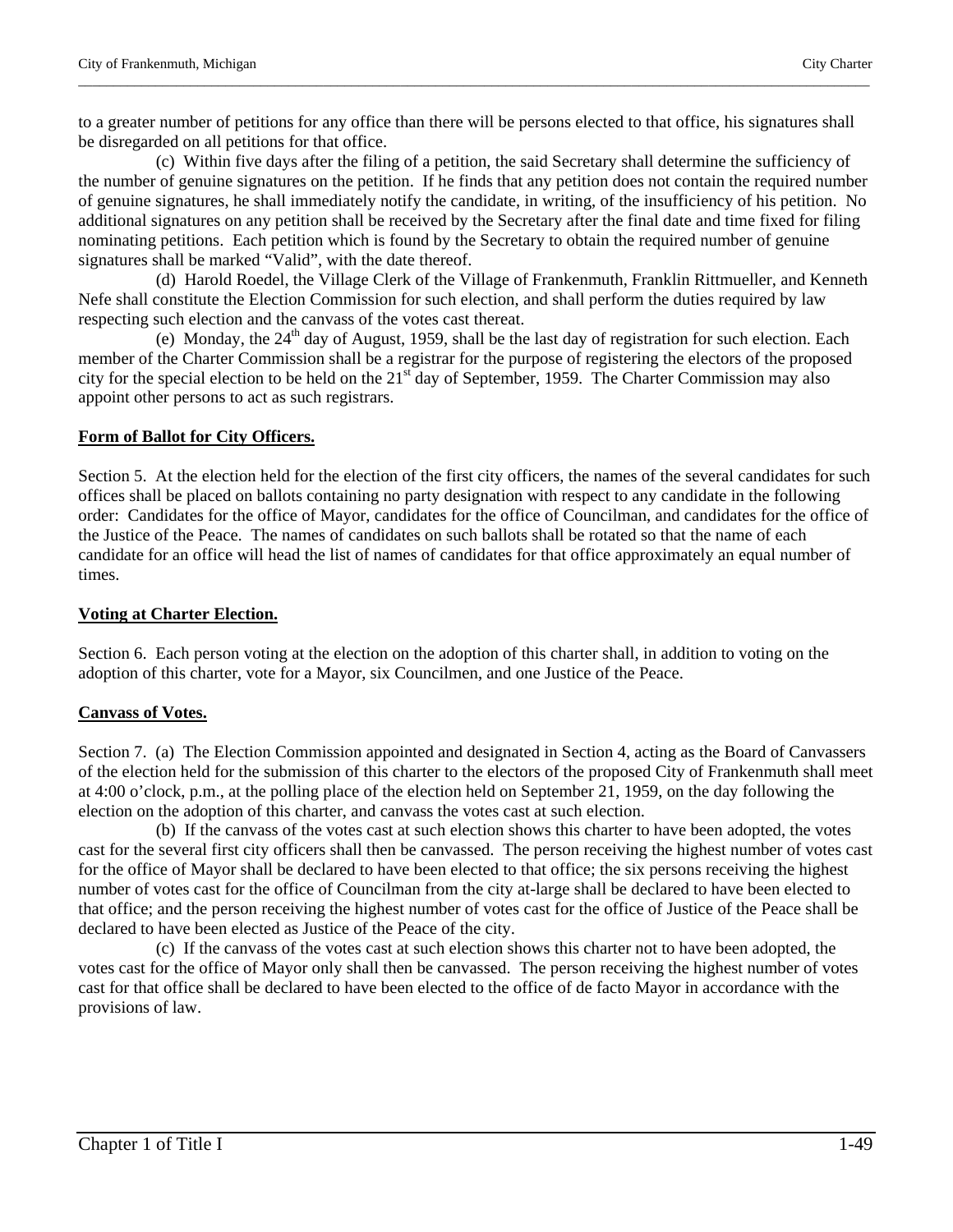to a greater number of petitions for any office than there will be persons elected to that office, his signatures shall be disregarded on all petitions for that office.

\_\_\_\_\_\_\_\_\_\_\_\_\_\_\_\_\_\_\_\_\_\_\_\_\_\_\_\_\_\_\_\_\_\_\_\_\_\_\_\_\_\_\_\_\_\_\_\_\_\_\_\_\_\_\_\_\_\_\_\_\_\_\_\_\_\_\_\_\_\_\_\_\_\_\_\_\_\_\_\_\_\_\_\_\_\_\_\_\_\_\_\_\_\_\_\_\_\_\_\_\_\_\_\_\_\_\_\_\_\_\_\_\_

(c) Within five days after the filing of a petition, the said Secretary shall determine the sufficiency of the number of genuine signatures on the petition. If he finds that any petition does not contain the required number of genuine signatures, he shall immediately notify the candidate, in writing, of the insufficiency of his petition. No additional signatures on any petition shall be received by the Secretary after the final date and time fixed for filing nominating petitions. Each petition which is found by the Secretary to obtain the required number of genuine signatures shall be marked "Valid", with the date thereof.

 (d) Harold Roedel, the Village Clerk of the Village of Frankenmuth, Franklin Rittmueller, and Kenneth Nefe shall constitute the Election Commission for such election, and shall perform the duties required by law respecting such election and the canvass of the votes cast thereat.

(e) Monday, the 24<sup>th</sup> day of August, 1959, shall be the last day of registration for such election. Each member of the Charter Commission shall be a registrar for the purpose of registering the electors of the proposed city for the special election to be held on the  $21<sup>st</sup>$  day of September, 1959. The Charter Commission may also appoint other persons to act as such registrars.

# **Form of Ballot for City Officers.**

Section 5. At the election held for the election of the first city officers, the names of the several candidates for such offices shall be placed on ballots containing no party designation with respect to any candidate in the following order: Candidates for the office of Mayor, candidates for the office of Councilman, and candidates for the office of the Justice of the Peace. The names of candidates on such ballots shall be rotated so that the name of each candidate for an office will head the list of names of candidates for that office approximately an equal number of times.

# **Voting at Charter Election.**

Section 6. Each person voting at the election on the adoption of this charter shall, in addition to voting on the adoption of this charter, vote for a Mayor, six Councilmen, and one Justice of the Peace.

# **Canvass of Votes.**

Section 7. (a) The Election Commission appointed and designated in Section 4, acting as the Board of Canvassers of the election held for the submission of this charter to the electors of the proposed City of Frankenmuth shall meet at 4:00 o'clock, p.m., at the polling place of the election held on September 21, 1959, on the day following the election on the adoption of this charter, and canvass the votes cast at such election.

 (b) If the canvass of the votes cast at such election shows this charter to have been adopted, the votes cast for the several first city officers shall then be canvassed. The person receiving the highest number of votes cast for the office of Mayor shall be declared to have been elected to that office; the six persons receiving the highest number of votes cast for the office of Councilman from the city at-large shall be declared to have been elected to that office; and the person receiving the highest number of votes cast for the office of Justice of the Peace shall be declared to have been elected as Justice of the Peace of the city.

 (c) If the canvass of the votes cast at such election shows this charter not to have been adopted, the votes cast for the office of Mayor only shall then be canvassed. The person receiving the highest number of votes cast for that office shall be declared to have been elected to the office of de facto Mayor in accordance with the provisions of law.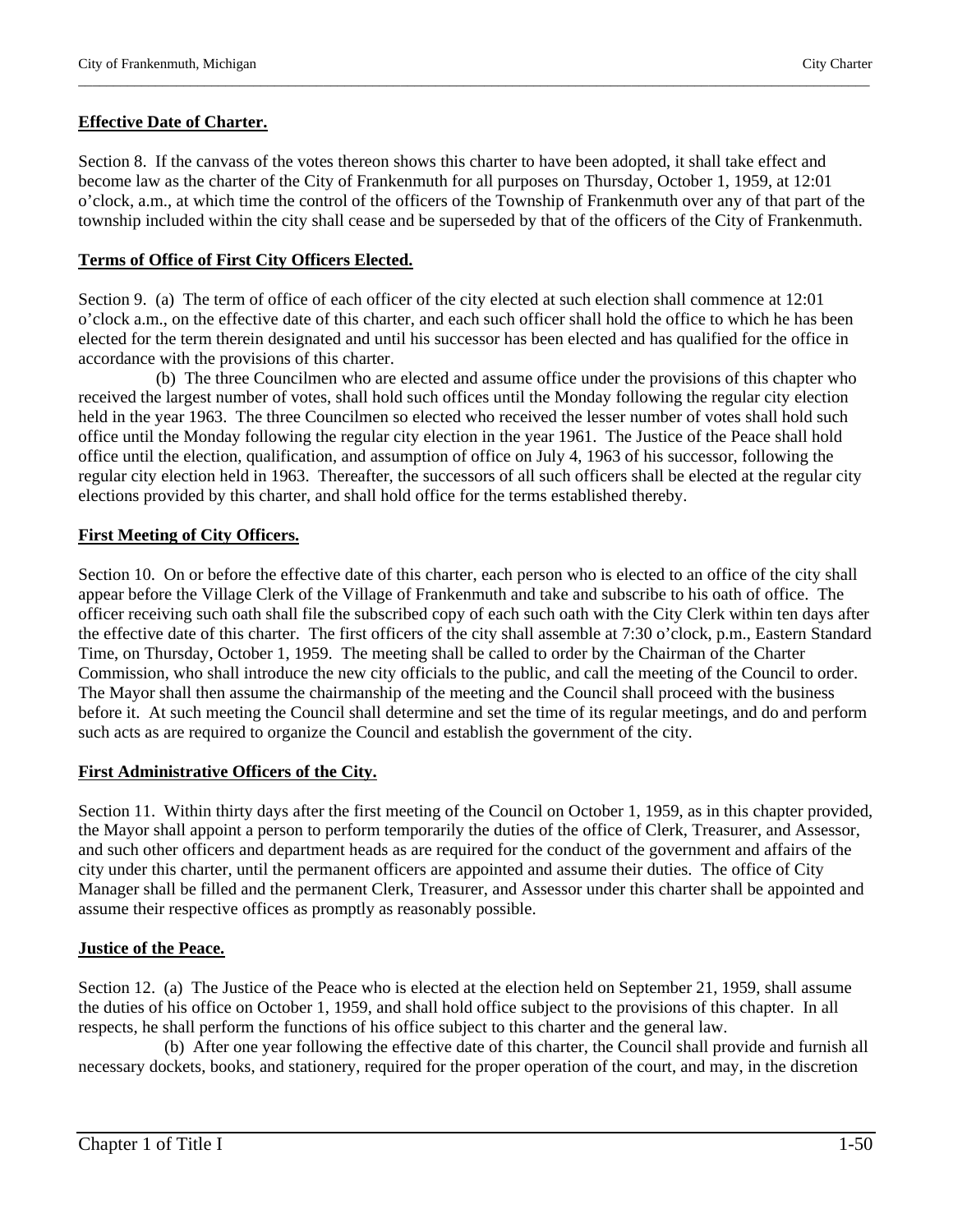# **Effective Date of Charter.**

Section 8. If the canvass of the votes thereon shows this charter to have been adopted, it shall take effect and become law as the charter of the City of Frankenmuth for all purposes on Thursday, October 1, 1959, at 12:01 o'clock, a.m., at which time the control of the officers of the Township of Frankenmuth over any of that part of the township included within the city shall cease and be superseded by that of the officers of the City of Frankenmuth.

\_\_\_\_\_\_\_\_\_\_\_\_\_\_\_\_\_\_\_\_\_\_\_\_\_\_\_\_\_\_\_\_\_\_\_\_\_\_\_\_\_\_\_\_\_\_\_\_\_\_\_\_\_\_\_\_\_\_\_\_\_\_\_\_\_\_\_\_\_\_\_\_\_\_\_\_\_\_\_\_\_\_\_\_\_\_\_\_\_\_\_\_\_\_\_\_\_\_\_\_\_\_\_\_\_\_\_\_\_\_\_\_\_

# **Terms of Office of First City Officers Elected.**

Section 9. (a) The term of office of each officer of the city elected at such election shall commence at 12:01 o'clock a.m., on the effective date of this charter, and each such officer shall hold the office to which he has been elected for the term therein designated and until his successor has been elected and has qualified for the office in accordance with the provisions of this charter.

 (b) The three Councilmen who are elected and assume office under the provisions of this chapter who received the largest number of votes, shall hold such offices until the Monday following the regular city election held in the year 1963. The three Councilmen so elected who received the lesser number of votes shall hold such office until the Monday following the regular city election in the year 1961. The Justice of the Peace shall hold office until the election, qualification, and assumption of office on July 4, 1963 of his successor, following the regular city election held in 1963. Thereafter, the successors of all such officers shall be elected at the regular city elections provided by this charter, and shall hold office for the terms established thereby.

# **First Meeting of City Officers.**

Section 10. On or before the effective date of this charter, each person who is elected to an office of the city shall appear before the Village Clerk of the Village of Frankenmuth and take and subscribe to his oath of office. The officer receiving such oath shall file the subscribed copy of each such oath with the City Clerk within ten days after the effective date of this charter. The first officers of the city shall assemble at 7:30 o'clock, p.m., Eastern Standard Time, on Thursday, October 1, 1959. The meeting shall be called to order by the Chairman of the Charter Commission, who shall introduce the new city officials to the public, and call the meeting of the Council to order. The Mayor shall then assume the chairmanship of the meeting and the Council shall proceed with the business before it. At such meeting the Council shall determine and set the time of its regular meetings, and do and perform such acts as are required to organize the Council and establish the government of the city.

# **First Administrative Officers of the City.**

Section 11. Within thirty days after the first meeting of the Council on October 1, 1959, as in this chapter provided, the Mayor shall appoint a person to perform temporarily the duties of the office of Clerk, Treasurer, and Assessor, and such other officers and department heads as are required for the conduct of the government and affairs of the city under this charter, until the permanent officers are appointed and assume their duties. The office of City Manager shall be filled and the permanent Clerk, Treasurer, and Assessor under this charter shall be appointed and assume their respective offices as promptly as reasonably possible.

# **Justice of the Peace.**

Section 12. (a) The Justice of the Peace who is elected at the election held on September 21, 1959, shall assume the duties of his office on October 1, 1959, and shall hold office subject to the provisions of this chapter. In all respects, he shall perform the functions of his office subject to this charter and the general law.

 (b) After one year following the effective date of this charter, the Council shall provide and furnish all necessary dockets, books, and stationery, required for the proper operation of the court, and may, in the discretion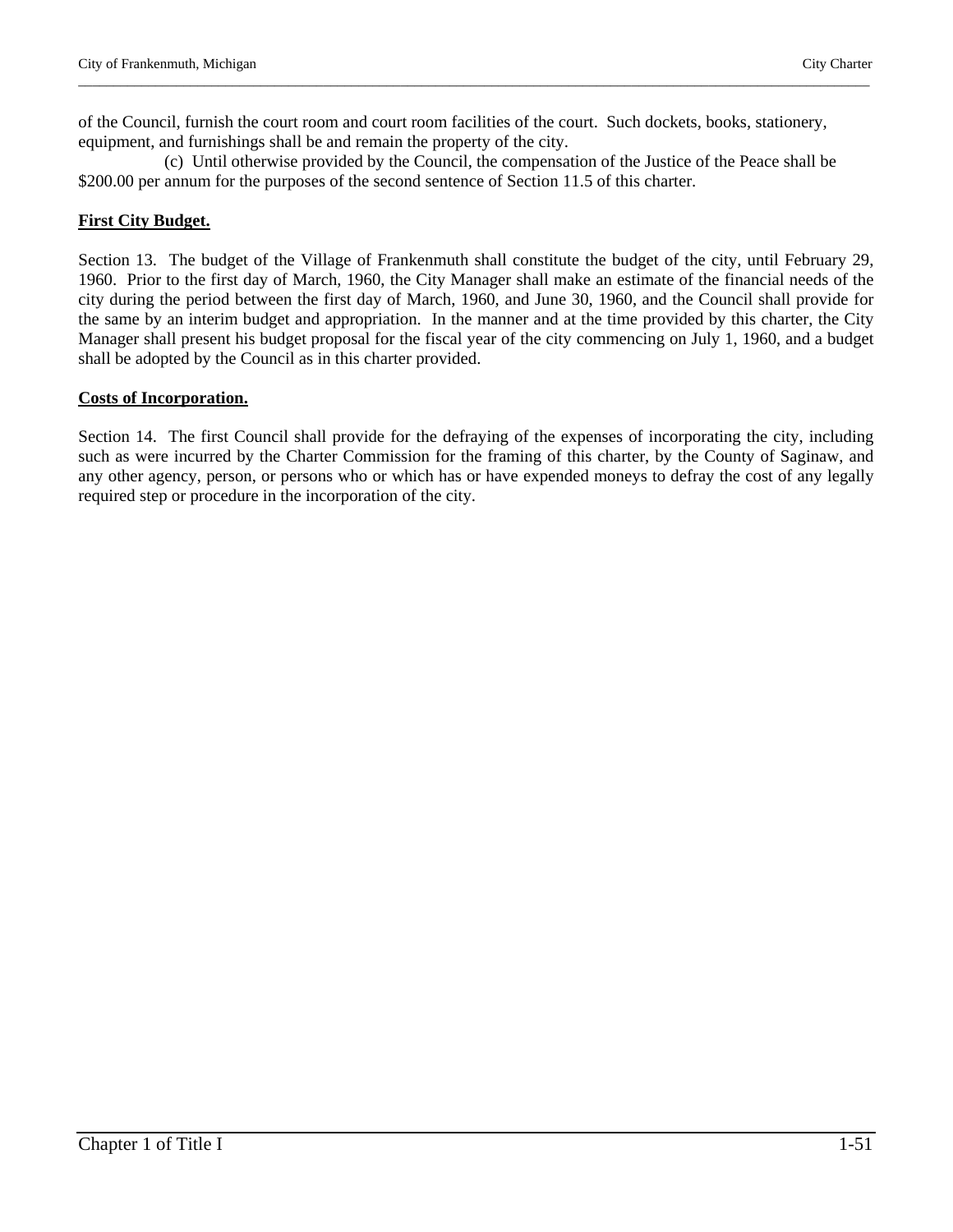of the Council, furnish the court room and court room facilities of the court. Such dockets, books, stationery, equipment, and furnishings shall be and remain the property of the city.

\_\_\_\_\_\_\_\_\_\_\_\_\_\_\_\_\_\_\_\_\_\_\_\_\_\_\_\_\_\_\_\_\_\_\_\_\_\_\_\_\_\_\_\_\_\_\_\_\_\_\_\_\_\_\_\_\_\_\_\_\_\_\_\_\_\_\_\_\_\_\_\_\_\_\_\_\_\_\_\_\_\_\_\_\_\_\_\_\_\_\_\_\_\_\_\_\_\_\_\_\_\_\_\_\_\_\_\_\_\_\_\_\_

 (c) Until otherwise provided by the Council, the compensation of the Justice of the Peace shall be \$200.00 per annum for the purposes of the second sentence of Section 11.5 of this charter.

# **First City Budget.**

Section 13. The budget of the Village of Frankenmuth shall constitute the budget of the city, until February 29, 1960. Prior to the first day of March, 1960, the City Manager shall make an estimate of the financial needs of the city during the period between the first day of March, 1960, and June 30, 1960, and the Council shall provide for the same by an interim budget and appropriation. In the manner and at the time provided by this charter, the City Manager shall present his budget proposal for the fiscal year of the city commencing on July 1, 1960, and a budget shall be adopted by the Council as in this charter provided.

#### **Costs of Incorporation.**

Section 14. The first Council shall provide for the defraying of the expenses of incorporating the city, including such as were incurred by the Charter Commission for the framing of this charter, by the County of Saginaw, and any other agency, person, or persons who or which has or have expended moneys to defray the cost of any legally required step or procedure in the incorporation of the city.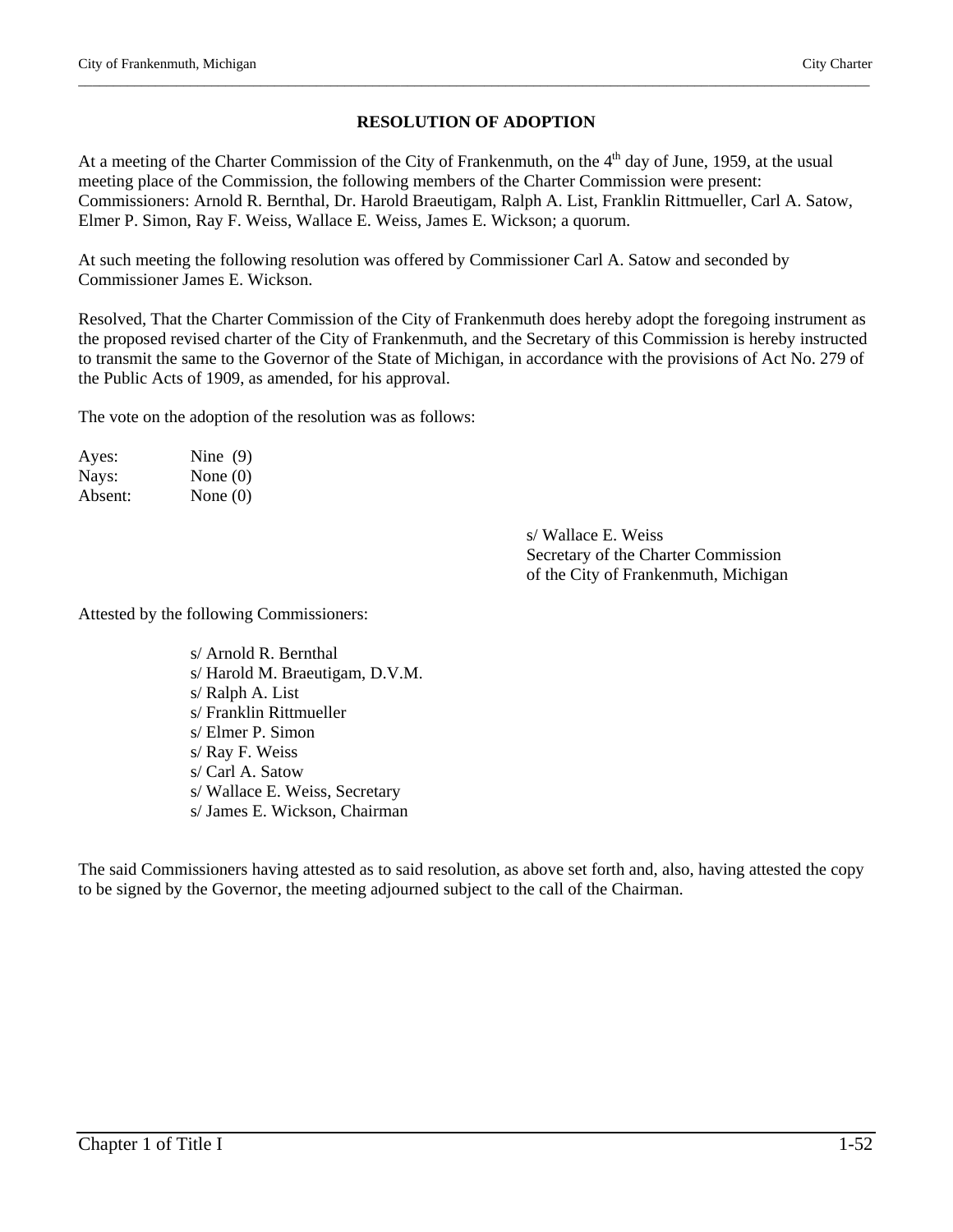# **RESOLUTION OF ADOPTION**

\_\_\_\_\_\_\_\_\_\_\_\_\_\_\_\_\_\_\_\_\_\_\_\_\_\_\_\_\_\_\_\_\_\_\_\_\_\_\_\_\_\_\_\_\_\_\_\_\_\_\_\_\_\_\_\_\_\_\_\_\_\_\_\_\_\_\_\_\_\_\_\_\_\_\_\_\_\_\_\_\_\_\_\_\_\_\_\_\_\_\_\_\_\_\_\_\_\_\_\_\_\_\_\_\_\_\_\_\_\_\_\_\_

At a meeting of the Charter Commission of the City of Frankenmuth, on the  $4<sup>th</sup>$  day of June, 1959, at the usual meeting place of the Commission, the following members of the Charter Commission were present: Commissioners: Arnold R. Bernthal, Dr. Harold Braeutigam, Ralph A. List, Franklin Rittmueller, Carl A. Satow, Elmer P. Simon, Ray F. Weiss, Wallace E. Weiss, James E. Wickson; a quorum.

At such meeting the following resolution was offered by Commissioner Carl A. Satow and seconded by Commissioner James E. Wickson.

Resolved, That the Charter Commission of the City of Frankenmuth does hereby adopt the foregoing instrument as the proposed revised charter of the City of Frankenmuth, and the Secretary of this Commission is hereby instructed to transmit the same to the Governor of the State of Michigan, in accordance with the provisions of Act No. 279 of the Public Acts of 1909, as amended, for his approval.

The vote on the adoption of the resolution was as follows:

| Ayes:   | Nine $(9)$ |
|---------|------------|
| Nays:   | None $(0)$ |
| Absent: | None $(0)$ |

s/ Wallace E. Weiss Secretary of the Charter Commission of the City of Frankenmuth, Michigan

Attested by the following Commissioners:

s/ Arnold R. Bernthal s/ Harold M. Braeutigam, D.V.M. s/ Ralph A. List s/ Franklin Rittmueller s/ Elmer P. Simon s/ Ray F. Weiss s/ Carl A. Satow s/ Wallace E. Weiss, Secretary s/ James E. Wickson, Chairman

The said Commissioners having attested as to said resolution, as above set forth and, also, having attested the copy to be signed by the Governor, the meeting adjourned subject to the call of the Chairman.